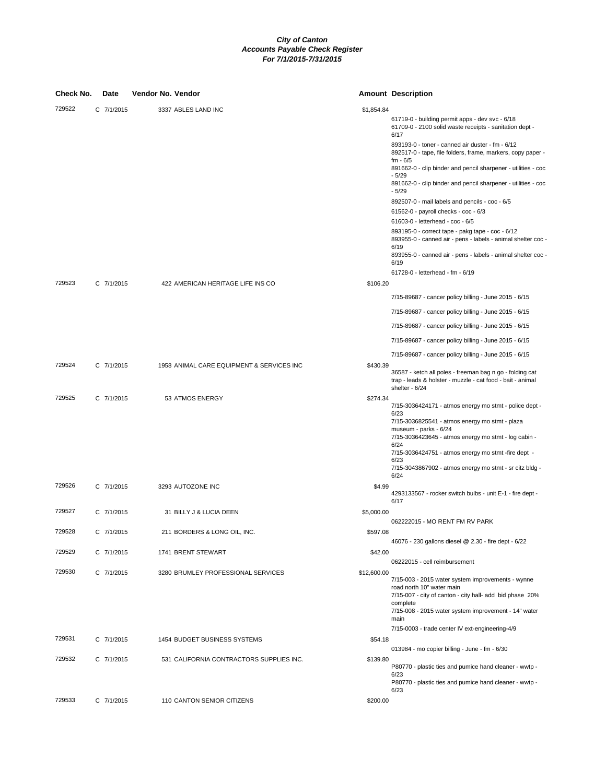| 729522<br>C 7/1/2015<br>3337 ABLES LAND INC<br>\$1,854.84<br>61719-0 - building permit apps - dev svc - 6/18<br>61709-0 - 2100 solid waste receipts - sanitation dept -<br>6/17<br>893193-0 - toner - canned air duster - fm - 6/12<br>fm - 6/5<br>$-5/29$<br>$-5/29$<br>892507-0 - mail labels and pencils - coc - 6/5<br>61562-0 - payroll checks - coc - 6/3<br>61603-0 - letterhead - coc - 6/5<br>893195-0 - correct tape - pakg tape - coc - 6/12<br>6/19<br>6/19<br>61728-0 - letterhead - fm - 6/19<br>729523<br>C 7/1/2015<br>422 AMERICAN HERITAGE LIFE INS CO<br>\$106.20<br>7/15-89687 - cancer policy billing - June 2015 - 6/15<br>7/15-89687 - cancer policy billing - June 2015 - 6/15<br>7/15-89687 - cancer policy billing - June 2015 - 6/15<br>7/15-89687 - cancer policy billing - June 2015 - 6/15<br>7/15-89687 - cancer policy billing - June 2015 - 6/15<br>729524<br>C 7/1/2015<br>1958 ANIMAL CARE EQUIPMENT & SERVICES INC<br>\$430.39<br>36587 - ketch all poles - freeman bag n go - folding cat<br>trap - leads & holster - muzzle - cat food - bait - animal<br>shelter - 6/24<br>729525<br>C 7/1/2015<br>53 ATMOS ENERGY<br>\$274.34<br>7/15-3036424171 - atmos energy mo stmt - police dept -<br>6/23<br>7/15-3036825541 - atmos energy mo stmt - plaza<br>museum - parks - 6/24<br>7/15-3036423645 - atmos energy mo stmt - log cabin -<br>6/24<br>7/15-3036424751 - atmos energy mo stmt -fire dept -<br>6/23<br>7/15-3043867902 - atmos energy mo stmt - sr citz bldg -<br>6/24<br>729526<br>C 7/1/2015<br>3293 AUTOZONE INC<br>\$4.99<br>4293133567 - rocker switch bulbs - unit E-1 - fire dept -<br>6/17<br>729527<br>C 7/1/2015<br>\$5,000.00<br>31 BILLY J & LUCIA DEEN<br>062222015 - MO RENT FM RV PARK<br>729528<br>211 BORDERS & LONG OIL, INC.<br>\$597.08<br>C 7/1/2015 | Check No. | Date | Vendor No. Vendor | <b>Amount Description</b>                                                                                                    |
|-------------------------------------------------------------------------------------------------------------------------------------------------------------------------------------------------------------------------------------------------------------------------------------------------------------------------------------------------------------------------------------------------------------------------------------------------------------------------------------------------------------------------------------------------------------------------------------------------------------------------------------------------------------------------------------------------------------------------------------------------------------------------------------------------------------------------------------------------------------------------------------------------------------------------------------------------------------------------------------------------------------------------------------------------------------------------------------------------------------------------------------------------------------------------------------------------------------------------------------------------------------------------------------------------------------------------------------------------------------------------------------------------------------------------------------------------------------------------------------------------------------------------------------------------------------------------------------------------------------------------------------------------------------------------------------------------------------------------------------------------------------------------------------------------------------------------|-----------|------|-------------------|------------------------------------------------------------------------------------------------------------------------------|
|                                                                                                                                                                                                                                                                                                                                                                                                                                                                                                                                                                                                                                                                                                                                                                                                                                                                                                                                                                                                                                                                                                                                                                                                                                                                                                                                                                                                                                                                                                                                                                                                                                                                                                                                                                                                                         |           |      |                   |                                                                                                                              |
|                                                                                                                                                                                                                                                                                                                                                                                                                                                                                                                                                                                                                                                                                                                                                                                                                                                                                                                                                                                                                                                                                                                                                                                                                                                                                                                                                                                                                                                                                                                                                                                                                                                                                                                                                                                                                         |           |      |                   | 892517-0 - tape, file folders, frame, markers, copy paper -                                                                  |
|                                                                                                                                                                                                                                                                                                                                                                                                                                                                                                                                                                                                                                                                                                                                                                                                                                                                                                                                                                                                                                                                                                                                                                                                                                                                                                                                                                                                                                                                                                                                                                                                                                                                                                                                                                                                                         |           |      |                   | 891662-0 - clip binder and pencil sharpener - utilities - coc                                                                |
|                                                                                                                                                                                                                                                                                                                                                                                                                                                                                                                                                                                                                                                                                                                                                                                                                                                                                                                                                                                                                                                                                                                                                                                                                                                                                                                                                                                                                                                                                                                                                                                                                                                                                                                                                                                                                         |           |      |                   | 891662-0 - clip binder and pencil sharpener - utilities - coc                                                                |
|                                                                                                                                                                                                                                                                                                                                                                                                                                                                                                                                                                                                                                                                                                                                                                                                                                                                                                                                                                                                                                                                                                                                                                                                                                                                                                                                                                                                                                                                                                                                                                                                                                                                                                                                                                                                                         |           |      |                   |                                                                                                                              |
|                                                                                                                                                                                                                                                                                                                                                                                                                                                                                                                                                                                                                                                                                                                                                                                                                                                                                                                                                                                                                                                                                                                                                                                                                                                                                                                                                                                                                                                                                                                                                                                                                                                                                                                                                                                                                         |           |      |                   |                                                                                                                              |
|                                                                                                                                                                                                                                                                                                                                                                                                                                                                                                                                                                                                                                                                                                                                                                                                                                                                                                                                                                                                                                                                                                                                                                                                                                                                                                                                                                                                                                                                                                                                                                                                                                                                                                                                                                                                                         |           |      |                   |                                                                                                                              |
|                                                                                                                                                                                                                                                                                                                                                                                                                                                                                                                                                                                                                                                                                                                                                                                                                                                                                                                                                                                                                                                                                                                                                                                                                                                                                                                                                                                                                                                                                                                                                                                                                                                                                                                                                                                                                         |           |      |                   | 893955-0 - canned air - pens - labels - animal shelter coc -<br>893955-0 - canned air - pens - labels - animal shelter coc - |
|                                                                                                                                                                                                                                                                                                                                                                                                                                                                                                                                                                                                                                                                                                                                                                                                                                                                                                                                                                                                                                                                                                                                                                                                                                                                                                                                                                                                                                                                                                                                                                                                                                                                                                                                                                                                                         |           |      |                   |                                                                                                                              |
|                                                                                                                                                                                                                                                                                                                                                                                                                                                                                                                                                                                                                                                                                                                                                                                                                                                                                                                                                                                                                                                                                                                                                                                                                                                                                                                                                                                                                                                                                                                                                                                                                                                                                                                                                                                                                         |           |      |                   |                                                                                                                              |
|                                                                                                                                                                                                                                                                                                                                                                                                                                                                                                                                                                                                                                                                                                                                                                                                                                                                                                                                                                                                                                                                                                                                                                                                                                                                                                                                                                                                                                                                                                                                                                                                                                                                                                                                                                                                                         |           |      |                   |                                                                                                                              |
|                                                                                                                                                                                                                                                                                                                                                                                                                                                                                                                                                                                                                                                                                                                                                                                                                                                                                                                                                                                                                                                                                                                                                                                                                                                                                                                                                                                                                                                                                                                                                                                                                                                                                                                                                                                                                         |           |      |                   |                                                                                                                              |
|                                                                                                                                                                                                                                                                                                                                                                                                                                                                                                                                                                                                                                                                                                                                                                                                                                                                                                                                                                                                                                                                                                                                                                                                                                                                                                                                                                                                                                                                                                                                                                                                                                                                                                                                                                                                                         |           |      |                   |                                                                                                                              |
|                                                                                                                                                                                                                                                                                                                                                                                                                                                                                                                                                                                                                                                                                                                                                                                                                                                                                                                                                                                                                                                                                                                                                                                                                                                                                                                                                                                                                                                                                                                                                                                                                                                                                                                                                                                                                         |           |      |                   |                                                                                                                              |
|                                                                                                                                                                                                                                                                                                                                                                                                                                                                                                                                                                                                                                                                                                                                                                                                                                                                                                                                                                                                                                                                                                                                                                                                                                                                                                                                                                                                                                                                                                                                                                                                                                                                                                                                                                                                                         |           |      |                   |                                                                                                                              |
|                                                                                                                                                                                                                                                                                                                                                                                                                                                                                                                                                                                                                                                                                                                                                                                                                                                                                                                                                                                                                                                                                                                                                                                                                                                                                                                                                                                                                                                                                                                                                                                                                                                                                                                                                                                                                         |           |      |                   |                                                                                                                              |
|                                                                                                                                                                                                                                                                                                                                                                                                                                                                                                                                                                                                                                                                                                                                                                                                                                                                                                                                                                                                                                                                                                                                                                                                                                                                                                                                                                                                                                                                                                                                                                                                                                                                                                                                                                                                                         |           |      |                   |                                                                                                                              |
|                                                                                                                                                                                                                                                                                                                                                                                                                                                                                                                                                                                                                                                                                                                                                                                                                                                                                                                                                                                                                                                                                                                                                                                                                                                                                                                                                                                                                                                                                                                                                                                                                                                                                                                                                                                                                         |           |      |                   |                                                                                                                              |
|                                                                                                                                                                                                                                                                                                                                                                                                                                                                                                                                                                                                                                                                                                                                                                                                                                                                                                                                                                                                                                                                                                                                                                                                                                                                                                                                                                                                                                                                                                                                                                                                                                                                                                                                                                                                                         |           |      |                   |                                                                                                                              |
|                                                                                                                                                                                                                                                                                                                                                                                                                                                                                                                                                                                                                                                                                                                                                                                                                                                                                                                                                                                                                                                                                                                                                                                                                                                                                                                                                                                                                                                                                                                                                                                                                                                                                                                                                                                                                         |           |      |                   |                                                                                                                              |
|                                                                                                                                                                                                                                                                                                                                                                                                                                                                                                                                                                                                                                                                                                                                                                                                                                                                                                                                                                                                                                                                                                                                                                                                                                                                                                                                                                                                                                                                                                                                                                                                                                                                                                                                                                                                                         |           |      |                   |                                                                                                                              |
|                                                                                                                                                                                                                                                                                                                                                                                                                                                                                                                                                                                                                                                                                                                                                                                                                                                                                                                                                                                                                                                                                                                                                                                                                                                                                                                                                                                                                                                                                                                                                                                                                                                                                                                                                                                                                         |           |      |                   |                                                                                                                              |
|                                                                                                                                                                                                                                                                                                                                                                                                                                                                                                                                                                                                                                                                                                                                                                                                                                                                                                                                                                                                                                                                                                                                                                                                                                                                                                                                                                                                                                                                                                                                                                                                                                                                                                                                                                                                                         |           |      |                   |                                                                                                                              |
|                                                                                                                                                                                                                                                                                                                                                                                                                                                                                                                                                                                                                                                                                                                                                                                                                                                                                                                                                                                                                                                                                                                                                                                                                                                                                                                                                                                                                                                                                                                                                                                                                                                                                                                                                                                                                         |           |      |                   |                                                                                                                              |
|                                                                                                                                                                                                                                                                                                                                                                                                                                                                                                                                                                                                                                                                                                                                                                                                                                                                                                                                                                                                                                                                                                                                                                                                                                                                                                                                                                                                                                                                                                                                                                                                                                                                                                                                                                                                                         |           |      |                   | 46076 - 230 gallons diesel @ 2.30 - fire dept - 6/22                                                                         |
| 729529<br>C 7/1/2015<br>1741 BRENT STEWART<br>\$42.00                                                                                                                                                                                                                                                                                                                                                                                                                                                                                                                                                                                                                                                                                                                                                                                                                                                                                                                                                                                                                                                                                                                                                                                                                                                                                                                                                                                                                                                                                                                                                                                                                                                                                                                                                                   |           |      |                   |                                                                                                                              |
| 06222015 - cell reimbursement<br>729530<br>C 7/1/2015<br>3280 BRUMLEY PROFESSIONAL SERVICES<br>\$12,600.00                                                                                                                                                                                                                                                                                                                                                                                                                                                                                                                                                                                                                                                                                                                                                                                                                                                                                                                                                                                                                                                                                                                                                                                                                                                                                                                                                                                                                                                                                                                                                                                                                                                                                                              |           |      |                   |                                                                                                                              |
| 7/15-003 - 2015 water system improvements - wynne<br>road north 10" water main<br>7/15-007 - city of canton - city hall- add bid phase 20%                                                                                                                                                                                                                                                                                                                                                                                                                                                                                                                                                                                                                                                                                                                                                                                                                                                                                                                                                                                                                                                                                                                                                                                                                                                                                                                                                                                                                                                                                                                                                                                                                                                                              |           |      |                   |                                                                                                                              |
| complete<br>7/15-008 - 2015 water system improvement - 14" water<br>main                                                                                                                                                                                                                                                                                                                                                                                                                                                                                                                                                                                                                                                                                                                                                                                                                                                                                                                                                                                                                                                                                                                                                                                                                                                                                                                                                                                                                                                                                                                                                                                                                                                                                                                                                |           |      |                   |                                                                                                                              |
| 7/15-0003 - trade center IV ext-engineering-4/9                                                                                                                                                                                                                                                                                                                                                                                                                                                                                                                                                                                                                                                                                                                                                                                                                                                                                                                                                                                                                                                                                                                                                                                                                                                                                                                                                                                                                                                                                                                                                                                                                                                                                                                                                                         |           |      |                   |                                                                                                                              |
| 729531<br>C 7/1/2015<br>1454 BUDGET BUSINESS SYSTEMS<br>\$54.18<br>013984 - mo copier billing - June - fm - 6/30                                                                                                                                                                                                                                                                                                                                                                                                                                                                                                                                                                                                                                                                                                                                                                                                                                                                                                                                                                                                                                                                                                                                                                                                                                                                                                                                                                                                                                                                                                                                                                                                                                                                                                        |           |      |                   |                                                                                                                              |
| 729532<br>C 7/1/2015<br>531 CALIFORNIA CONTRACTORS SUPPLIES INC.<br>\$139.80<br>P80770 - plastic ties and pumice hand cleaner - wwtp -                                                                                                                                                                                                                                                                                                                                                                                                                                                                                                                                                                                                                                                                                                                                                                                                                                                                                                                                                                                                                                                                                                                                                                                                                                                                                                                                                                                                                                                                                                                                                                                                                                                                                  |           |      |                   |                                                                                                                              |
| 6/23<br>P80770 - plastic ties and pumice hand cleaner - wwtp -                                                                                                                                                                                                                                                                                                                                                                                                                                                                                                                                                                                                                                                                                                                                                                                                                                                                                                                                                                                                                                                                                                                                                                                                                                                                                                                                                                                                                                                                                                                                                                                                                                                                                                                                                          |           |      |                   |                                                                                                                              |
| 6/23<br>729533<br>C 7/1/2015<br>110 CANTON SENIOR CITIZENS<br>\$200.00                                                                                                                                                                                                                                                                                                                                                                                                                                                                                                                                                                                                                                                                                                                                                                                                                                                                                                                                                                                                                                                                                                                                                                                                                                                                                                                                                                                                                                                                                                                                                                                                                                                                                                                                                  |           |      |                   |                                                                                                                              |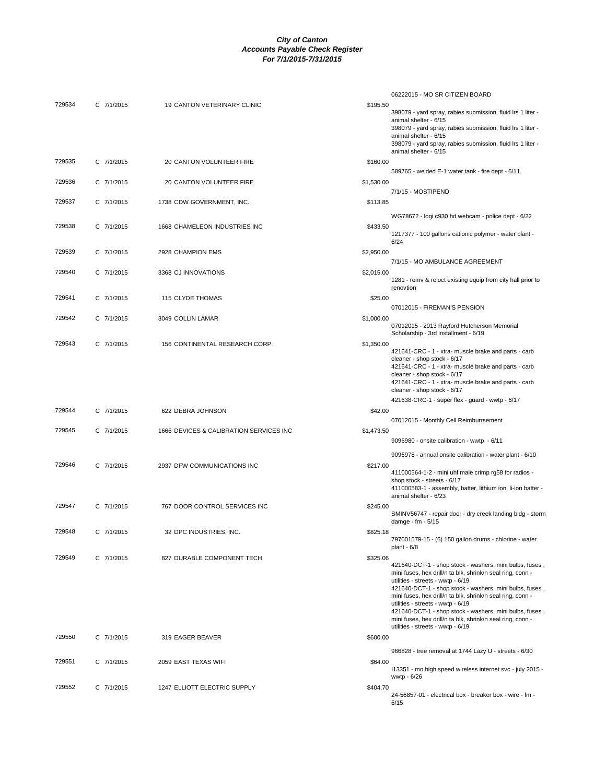| 729534 | C 7/1/2015 | 19 CANTON VETERINARY CLINIC             | \$195.50   | 06222015 - MO SR CITIZEN BOARD<br>398079 - yard spray, rabies submission, fluid Irs 1 liter -                                                                                                                                                                                                                                                                                                                                                                                          |
|--------|------------|-----------------------------------------|------------|----------------------------------------------------------------------------------------------------------------------------------------------------------------------------------------------------------------------------------------------------------------------------------------------------------------------------------------------------------------------------------------------------------------------------------------------------------------------------------------|
|        |            |                                         |            | animal shelter - 6/15<br>398079 - yard spray, rabies submission, fluid Irs 1 liter -<br>animal shelter - 6/15<br>398079 - yard spray, rabies submission, fluid Irs 1 liter -                                                                                                                                                                                                                                                                                                           |
| 729535 | C 7/1/2015 | 20 CANTON VOLUNTEER FIRE                | \$160.00   | animal shelter - 6/15                                                                                                                                                                                                                                                                                                                                                                                                                                                                  |
| 729536 | C 7/1/2015 | 20 CANTON VOLUNTEER FIRE                | \$1,530.00 | 589765 - welded E-1 water tank - fire dept - 6/11                                                                                                                                                                                                                                                                                                                                                                                                                                      |
| 729537 | C 7/1/2015 | 1738 CDW GOVERNMENT, INC.               | \$113.85   | 7/1/15 - MOSTIPEND                                                                                                                                                                                                                                                                                                                                                                                                                                                                     |
| 729538 | C 7/1/2015 | 1668 CHAMELEON INDUSTRIES INC           | \$433.50   | WG78672 - logi c930 hd webcam - police dept - 6/22<br>1217377 - 100 gallons cationic polymer - water plant -                                                                                                                                                                                                                                                                                                                                                                           |
| 729539 | C 7/1/2015 | 2928 CHAMPION EMS                       | \$2,950.00 | 6/24                                                                                                                                                                                                                                                                                                                                                                                                                                                                                   |
| 729540 | C 7/1/2015 | 3368 CJ INNOVATIONS                     | \$2,015.00 | 7/1/15 - MO AMBULANCE AGREEMENT<br>1281 - remv & reloct existing equip from city hall prior to                                                                                                                                                                                                                                                                                                                                                                                         |
| 729541 | C 7/1/2015 | 115 CLYDE THOMAS                        | \$25.00    | renovtion                                                                                                                                                                                                                                                                                                                                                                                                                                                                              |
| 729542 | C 7/1/2015 | 3049 COLLIN LAMAR                       | \$1,000.00 | 07012015 - FIREMAN'S PENSION                                                                                                                                                                                                                                                                                                                                                                                                                                                           |
|        |            |                                         |            | 07012015 - 2013 Rayford Hutcherson Memorial<br>Scholarship - 3rd installment - 6/19                                                                                                                                                                                                                                                                                                                                                                                                    |
| 729543 | C 7/1/2015 | 156 CONTINENTAL RESEARCH CORP.          | \$1,350.00 | 421641-CRC - 1 - xtra- muscle brake and parts - carb<br>cleaner - shop stock - 6/17<br>421641-CRC - 1 - xtra- muscle brake and parts - carb<br>cleaner - shop stock - 6/17<br>421641-CRC - 1 - xtra- muscle brake and parts - carb<br>cleaner - shop stock - 6/17                                                                                                                                                                                                                      |
| 729544 | C 7/1/2015 | 622 DEBRA JOHNSON                       | \$42.00    | 421638-CRC-1 - super flex - guard - wwtp - 6/17                                                                                                                                                                                                                                                                                                                                                                                                                                        |
| 729545 | C 7/1/2015 | 1666 DEVICES & CALIBRATION SERVICES INC | \$1,473.50 | 07012015 - Monthly Cell Reimburrsement<br>9096980 - onsite calibration - wwtp - 6/11                                                                                                                                                                                                                                                                                                                                                                                                   |
|        |            |                                         |            | 9096978 - annual onsite calibration - water plant - 6/10                                                                                                                                                                                                                                                                                                                                                                                                                               |
| 729546 | C 7/1/2015 | 2937 DFW COMMUNICATIONS INC             | \$217.00   | 411000564-1-2 - mini uhf male crimp rg58 for radios -<br>shop stock - streets - 6/17<br>411000583-1 - assembly, batter, lithium ion, li-ion batter -<br>animal shelter - 6/23                                                                                                                                                                                                                                                                                                          |
| 729547 | C 7/1/2015 | 767 DOOR CONTROL SERVICES INC           | \$245.00   | SMINV56747 - repair door - dry creek landing bldg - storm<br>damge - fm - 5/15                                                                                                                                                                                                                                                                                                                                                                                                         |
| 729548 | C 7/1/2015 | 32 DPC INDUSTRIES, INC.                 | \$825.18   | 797001579-15 - (6) 150 gallon drums - chlorine - water<br>plant - $6/8$                                                                                                                                                                                                                                                                                                                                                                                                                |
| 729549 | C 7/1/2015 | 827 DURABLE COMPONENT TECH              | \$325.06   | 421640-DCT-1 - shop stock - washers, mini bulbs, fuses,<br>mini fuses, hex drill/n ta blk, shrink/n seal ring, conn -<br>utilities - streets - wwtp - 6/19<br>421640-DCT-1 - shop stock - washers, mini bulbs, fuses,<br>mini fuses, hex drill/n ta blk, shrink/n seal ring, conn -<br>utilities - streets - wwtp - 6/19<br>421640-DCT-1 - shop stock - washers, mini bulbs, fuses,<br>mini fuses, hex drill/n ta blk, shrink/n seal ring, conn -<br>utilities - streets - wwtp - 6/19 |
| 729550 | C 7/1/2015 | 319 EAGER BEAVER                        | \$600.00   | 966828 - tree removal at 1744 Lazy U - streets - 6/30                                                                                                                                                                                                                                                                                                                                                                                                                                  |
| 729551 | C 7/1/2015 | 2059 EAST TEXAS WIFI                    | \$64.00    | 113351 - mo high speed wireless internet svc - july 2015 -<br>wwtp - 6/26                                                                                                                                                                                                                                                                                                                                                                                                              |
| 729552 | C 7/1/2015 | 1247 ELLIOTT ELECTRIC SUPPLY            | \$404.70   | 24-56857-01 - electrical box - breaker box - wire - fm -<br>6/15                                                                                                                                                                                                                                                                                                                                                                                                                       |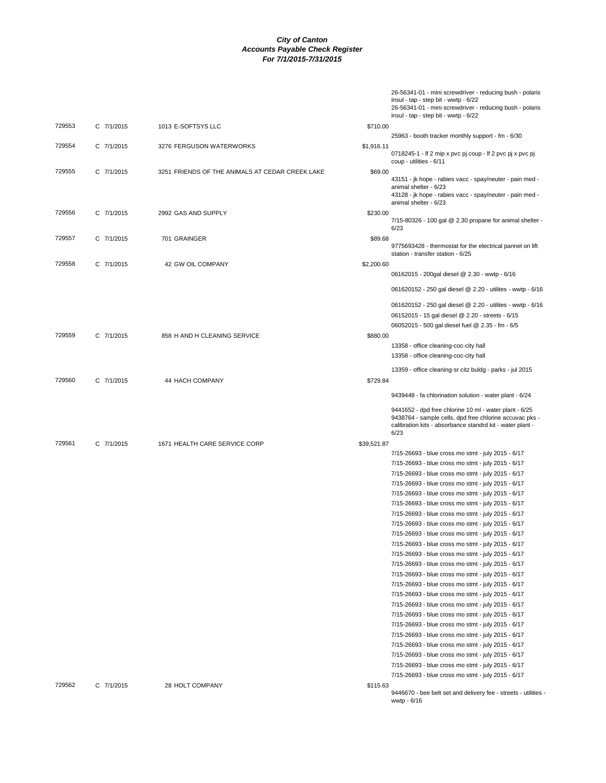|        |            |                                                 |             | 26-56341-01 - mini screwdriver - reducing bush - polaris<br>insul - tap - step bit - wwtp - 6/22<br>26-56341-01 - mini screwdriver - reducing bush - polaris<br>insul - tap - step bit - wwtp - 6/22 |
|--------|------------|-------------------------------------------------|-------------|------------------------------------------------------------------------------------------------------------------------------------------------------------------------------------------------------|
| 729553 | C 7/1/2015 | 1013 E-SOFTSYS LLC                              | \$710.00    |                                                                                                                                                                                                      |
|        |            |                                                 |             | 25963 - booth tracker monthly support - fm - 6/30                                                                                                                                                    |
| 729554 | C 7/1/2015 | 3276 FERGUSON WATERWORKS                        | \$1,916.11  | 0718245-1 - If 2 mip x pvc pj coup - If 2 pvc pj x pvc pj<br>coup - utilities - 6/11                                                                                                                 |
| 729555 | C 7/1/2015 | 3251 FRIENDS OF THE ANIMALS AT CEDAR CREEK LAKE | \$69.00     | 43151 - jk hope - rabies vacc - spay/neuter - pain med -<br>animal shelter - 6/23<br>43128 - jk hope - rabies vacc - spay/neuter - pain med -                                                        |
| 729556 | C 7/1/2015 | 2992 GAS AND SUPPLY                             | \$230.00    | animal shelter - 6/23                                                                                                                                                                                |
|        |            |                                                 |             | $7/15 - 80326 - 100$ gal @ 2.30 propane for animal shelter -<br>6/23                                                                                                                                 |
| 729557 | C 7/1/2015 | 701 GRAINGER                                    | \$89.68     | 9775693428 - thermostat for the electrical pannel on lift<br>station - transfer station - 6/25                                                                                                       |
| 729558 | C 7/1/2015 | 42 GW OIL COMPANY                               | \$2,200.60  |                                                                                                                                                                                                      |
|        |            |                                                 |             | 06162015 - 200gal diesel @ 2.30 - wwtp - 6/16                                                                                                                                                        |
|        |            |                                                 |             | 061620152 - 250 gal diesel @ 2.20 - utilites - wwtp - 6/16                                                                                                                                           |
|        |            |                                                 |             | 061620152 - 250 gal diesel @ 2.20 - utilites - wwtp - 6/16<br>06152015 - 15 gal diesel @ 2.20 - streets - 6/15                                                                                       |
|        |            |                                                 |             | 06052015 - 500 gal diesel fuel @ 2.35 - fm - 6/5                                                                                                                                                     |
| 729559 | C 7/1/2015 | 858 H AND H CLEANING SERVICE                    | \$880.00    |                                                                                                                                                                                                      |
|        |            |                                                 |             | 13358 - office cleaning-coc-city hall<br>13358 - office cleaning-coc-city hall                                                                                                                       |
|        |            |                                                 |             | 13359 - office cleaning-sr citz buldg - parks - jul 2015                                                                                                                                             |
| 729560 | C 7/1/2015 | 44 HACH COMPANY                                 | \$729.84    |                                                                                                                                                                                                      |
|        |            |                                                 |             | 9439448 - fa chlorination solution - water plant - 6/24                                                                                                                                              |
|        |            |                                                 |             | 9441652 - dpd free chlorine 10 ml - water plant - 6/25<br>9438764 - sample cells, dpd free chlorine accuvac pks -<br>calibration kits - absorbance standrd kit - water plant -<br>6/23               |
| 729561 | C 7/1/2015 | 1671 HEALTH CARE SERVICE CORP                   | \$39,521.87 |                                                                                                                                                                                                      |
|        |            |                                                 |             | 7/15-26693 - blue cross mo stmt - july 2015 - 6/17                                                                                                                                                   |
|        |            |                                                 |             | 7/15-26693 - blue cross mo stmt - july 2015 - 6/17                                                                                                                                                   |
|        |            |                                                 |             | 7/15-26693 - blue cross mo stmt - july 2015 - 6/17                                                                                                                                                   |
|        |            |                                                 |             | 7/15-26693 - blue cross mo stmt - july 2015 - 6/17                                                                                                                                                   |
|        |            |                                                 |             | 7/15-26693 - blue cross mo stmt - july 2015 - 6/17                                                                                                                                                   |
|        |            |                                                 |             | 7/15-26693 - blue cross mo stmt - july 2015 - 6/17                                                                                                                                                   |
|        |            |                                                 |             | 7/15-26693 - blue cross mo stmt - july 2015 - 6/17                                                                                                                                                   |
|        |            |                                                 |             | 7/15-26693 - blue cross mo stmt - july 2015 - 6/17                                                                                                                                                   |
|        |            |                                                 |             | 7/15-26693 - blue cross mo stmt - july 2015 - 6/17                                                                                                                                                   |
|        |            |                                                 |             | 7/15-26693 - blue cross mo stmt - july 2015 - 6/17                                                                                                                                                   |
|        |            |                                                 |             | 7/15-26693 - blue cross mo stmt - july 2015 - 6/17                                                                                                                                                   |
|        |            |                                                 |             | 7/15-26693 - blue cross mo stmt - july 2015 - 6/17                                                                                                                                                   |
|        |            |                                                 |             | 7/15-26693 - blue cross mo stmt - july 2015 - 6/17                                                                                                                                                   |
|        |            |                                                 |             | 7/15-26693 - blue cross mo stmt - july 2015 - 6/17                                                                                                                                                   |
|        |            |                                                 |             | 7/15-26693 - blue cross mo stmt - july 2015 - 6/17                                                                                                                                                   |
|        |            |                                                 |             | 7/15-26693 - blue cross mo stmt - july 2015 - 6/17                                                                                                                                                   |
|        |            |                                                 |             | 7/15-26693 - blue cross mo stmt - july 2015 - 6/17                                                                                                                                                   |
|        |            |                                                 |             | 7/15-26693 - blue cross mo stmt - july 2015 - 6/17                                                                                                                                                   |
|        |            |                                                 |             | 7/15-26693 - blue cross mo stmt - july 2015 - 6/17                                                                                                                                                   |
|        |            |                                                 |             | 7/15-26693 - blue cross mo stmt - july 2015 - 6/17                                                                                                                                                   |
|        |            |                                                 |             | 7/15-26693 - blue cross mo stmt - july 2015 - 6/17                                                                                                                                                   |
|        |            |                                                 |             | 7/15-26693 - blue cross mo stmt - july 2015 - 6/17                                                                                                                                                   |
|        |            |                                                 |             | 7/15-26693 - blue cross mo stmt - july 2015 - 6/17                                                                                                                                                   |
| 729562 | C 7/1/2015 | 28 HOLT COMPANY                                 | \$115.63    | 9446670 - bee belt set and delivery fee - streets - utilities -<br>wwtp - 6/16                                                                                                                       |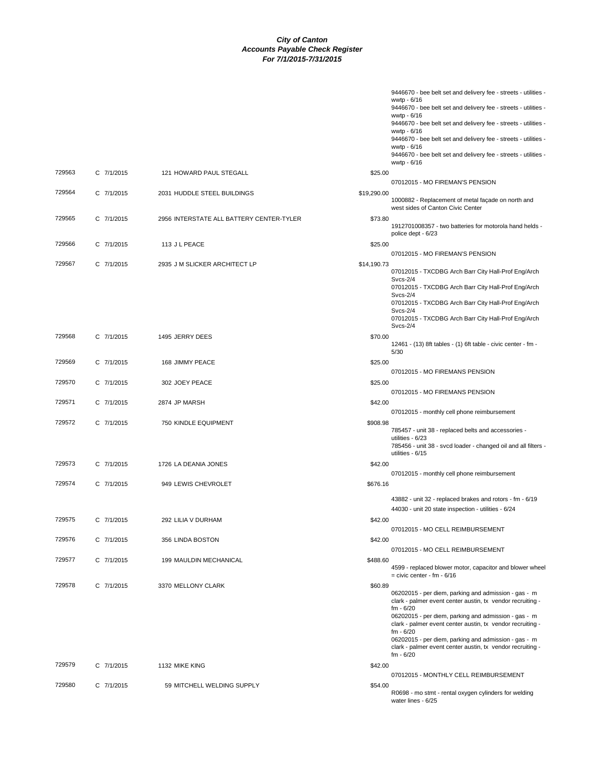|        |            |                                          |             | 9446670 - bee belt set and delivery fee - streets - utilities -                                                    |
|--------|------------|------------------------------------------|-------------|--------------------------------------------------------------------------------------------------------------------|
|        |            |                                          |             | wwtp - 6/16<br>9446670 - bee belt set and delivery fee - streets - utilities -                                     |
|        |            |                                          |             | wwtp - 6/16                                                                                                        |
|        |            |                                          |             | 9446670 - bee belt set and delivery fee - streets - utilities -<br>wwtp - 6/16                                     |
|        |            |                                          |             | 9446670 - bee belt set and delivery fee - streets - utilities -                                                    |
|        |            |                                          |             | wwtp - 6/16                                                                                                        |
|        |            |                                          |             | 9446670 - bee belt set and delivery fee - streets - utilities -<br>wwtp - 6/16                                     |
| 729563 | C 7/1/2015 | 121 HOWARD PAUL STEGALL                  | \$25.00     |                                                                                                                    |
|        |            |                                          |             | 07012015 - MO FIREMAN'S PENSION                                                                                    |
| 729564 | C 7/1/2015 | 2031 HUDDLE STEEL BUILDINGS              | \$19,290.00 |                                                                                                                    |
|        |            |                                          |             | 1000882 - Replacement of metal façade on north and<br>west sides of Canton Civic Center                            |
| 729565 | C 7/1/2015 | 2956 INTERSTATE ALL BATTERY CENTER-TYLER | \$73.80     |                                                                                                                    |
|        |            |                                          |             | 1912701008357 - two batteries for motorola hand helds -                                                            |
|        |            |                                          |             | police dept - 6/23                                                                                                 |
| 729566 | C 7/1/2015 | 113 J L PEACE                            | \$25.00     | 07012015 - MO FIREMAN'S PENSION                                                                                    |
| 729567 | C 7/1/2015 | 2935 J M SLICKER ARCHITECT LP            | \$14,190.73 |                                                                                                                    |
|        |            |                                          |             | 07012015 - TXCDBG Arch Barr City Hall-Prof Eng/Arch                                                                |
|        |            |                                          |             | <b>Svcs-2/4</b>                                                                                                    |
|        |            |                                          |             | 07012015 - TXCDBG Arch Barr City Hall-Prof Eng/Arch<br><b>Svcs-2/4</b>                                             |
|        |            |                                          |             | 07012015 - TXCDBG Arch Barr City Hall-Prof Eng/Arch                                                                |
|        |            |                                          |             | <b>Svcs-2/4</b><br>07012015 - TXCDBG Arch Barr City Hall-Prof Eng/Arch                                             |
|        |            |                                          |             | $Svcs-2/4$                                                                                                         |
| 729568 | C 7/1/2015 | 1495 JERRY DEES                          | \$70.00     |                                                                                                                    |
|        |            |                                          |             | 12461 - (13) 8ft tables - (1) 6ft table - civic center - fm -<br>5/30                                              |
| 729569 | C 7/1/2015 | 168 JIMMY PEACE                          | \$25.00     |                                                                                                                    |
|        |            |                                          |             | 07012015 - MO FIREMANS PENSION                                                                                     |
| 729570 | C 7/1/2015 | 302 JOEY PEACE                           | \$25.00     |                                                                                                                    |
|        |            |                                          |             | 07012015 - MO FIREMANS PENSION                                                                                     |
| 729571 | C 7/1/2015 | 2874 JP MARSH                            | \$42.00     |                                                                                                                    |
|        |            |                                          |             | 07012015 - monthly cell phone reimbursement                                                                        |
| 729572 | C 7/1/2015 | 750 KINDLE EQUIPMENT                     | \$908.98    | 785457 - unit 38 - replaced belts and accessories -                                                                |
|        |            |                                          |             | utilities - 6/23                                                                                                   |
|        |            |                                          |             | 785456 - unit 38 - svcd loader - changed oil and all filters -<br>utilities - 6/15                                 |
| 729573 | C 7/1/2015 | 1726 LA DEANIA JONES                     | \$42.00     |                                                                                                                    |
|        |            |                                          |             | 07012015 - monthly cell phone reimbursement                                                                        |
| 729574 | C 7/1/2015 | 949 LEWIS CHEVROLET                      | \$676.16    |                                                                                                                    |
|        |            |                                          |             | 43882 - unit 32 - replaced brakes and rotors - fm - 6/19                                                           |
|        |            |                                          |             | 44030 - unit 20 state inspection - utilities - 6/24                                                                |
| 729575 | C 7/1/2015 | 292 LILIA V DURHAM                       | \$42.00     |                                                                                                                    |
|        |            |                                          |             | 07012015 - MO CELL REIMBURSEMENT                                                                                   |
| 729576 | C 7/1/2015 | 356 LINDA BOSTON                         | \$42.00     |                                                                                                                    |
|        |            |                                          |             | 07012015 - MO CELL REIMBURSEMENT                                                                                   |
| 729577 | C 7/1/2015 | 199 MAULDIN MECHANICAL                   | \$488.60    | 4599 - replaced blower motor, capacitor and blower wheel                                                           |
|        |            |                                          |             | $=$ civic center - fm - $6/16$                                                                                     |
| 729578 | C 7/1/2015 | 3370 MELLONY CLARK                       | \$60.89     |                                                                                                                    |
|        |            |                                          |             | 06202015 - per diem, parking and admission - gas - m<br>clark - palmer event center austin, tx vendor recruiting - |
|        |            |                                          |             | $fm - 6/20$                                                                                                        |
|        |            |                                          |             | 06202015 - per diem, parking and admission - gas - m<br>clark - palmer event center austin, tx vendor recruiting - |
|        |            |                                          |             | $fm - 6/20$                                                                                                        |
|        |            |                                          |             | 06202015 - per diem, parking and admission - gas - m<br>clark - palmer event center austin, tx vendor recruiting - |
|        |            |                                          |             | $fm - 6/20$                                                                                                        |
| 729579 | C 7/1/2015 | 1132 MIKE KING                           | \$42.00     |                                                                                                                    |
|        |            |                                          |             | 07012015 - MONTHLY CELL REIMBURSEMENT                                                                              |
| 729580 | C 7/1/2015 | 59 MITCHELL WELDING SUPPLY               | \$54.00     |                                                                                                                    |
|        |            |                                          |             | R0698 - mo stmt - rental oxygen cylinders for welding<br>water lines - 6/25                                        |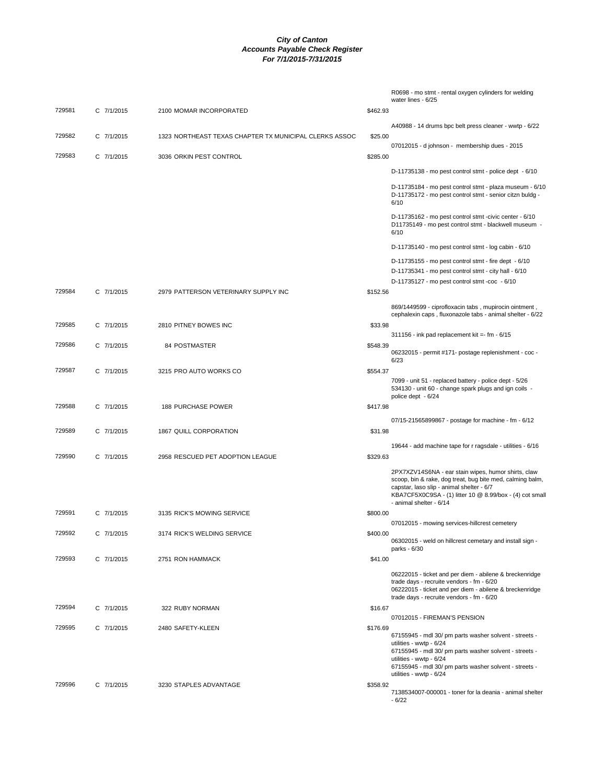|        |            |                                                        |          | R0698 - mo stmt - rental oxygen cylinders for welding<br>water lines - 6/25                                                                                                                                  |
|--------|------------|--------------------------------------------------------|----------|--------------------------------------------------------------------------------------------------------------------------------------------------------------------------------------------------------------|
| 729581 | C 7/1/2015 | 2100 MOMAR INCORPORATED                                | \$462.93 |                                                                                                                                                                                                              |
|        |            |                                                        |          | A40988 - 14 drums bpc belt press cleaner - wwtp - 6/22                                                                                                                                                       |
| 729582 | C 7/1/2015 | 1323 NORTHEAST TEXAS CHAPTER TX MUNICIPAL CLERKS ASSOC | \$25.00  | 07012015 - d johnson - membership dues - 2015                                                                                                                                                                |
| 729583 | C 7/1/2015 | 3036 ORKIN PEST CONTROL                                | \$285.00 |                                                                                                                                                                                                              |
|        |            |                                                        |          | D-11735138 - mo pest control stmt - police dept - 6/10                                                                                                                                                       |
|        |            |                                                        |          | D-11735184 - mo pest control stmt - plaza museum - 6/10                                                                                                                                                      |
|        |            |                                                        |          | D-11735172 - mo pest control stmt - senior citzn buldg -<br>6/10                                                                                                                                             |
|        |            |                                                        |          | D-11735162 - mo pest control stmt -civic center - 6/10<br>D11735149 - mo pest control stmt - blackwell museum -<br>6/10                                                                                      |
|        |            |                                                        |          | D-11735140 - mo pest control stmt - log cabin - 6/10                                                                                                                                                         |
|        |            |                                                        |          | D-11735155 - mo pest control stmt - fire dept - 6/10                                                                                                                                                         |
|        |            |                                                        |          | D-11735341 - mo pest control stmt - city hall - 6/10<br>D-11735127 - mo pest control stmt -coc - 6/10                                                                                                        |
| 729584 | C 7/1/2015 | 2979 PATTERSON VETERINARY SUPPLY INC                   | \$152.56 |                                                                                                                                                                                                              |
|        |            |                                                        |          | 869/1449599 - ciprofloxacin tabs, mupirocin ointment,<br>cephalexin caps, fluxonazole tabs - animal shelter - 6/22                                                                                           |
| 729585 | C 7/1/2015 | 2810 PITNEY BOWES INC                                  | \$33.98  |                                                                                                                                                                                                              |
| 729586 | C 7/1/2015 | 84 POSTMASTER                                          | \$548.39 | 311156 - ink pad replacement kit = - fm - 6/15                                                                                                                                                               |
|        |            |                                                        |          | 06232015 - permit #171- postage replenishment - coc -<br>6/23                                                                                                                                                |
| 729587 | C 7/1/2015 | 3215 PRO AUTO WORKS CO                                 | \$554.37 |                                                                                                                                                                                                              |
|        |            |                                                        |          | 7099 - unit 51 - replaced battery - police dept - 5/26<br>534130 - unit 60 - change spark plugs and ign coils -<br>police dept - 6/24                                                                        |
| 729588 | C 7/1/2015 | <b>188 PURCHASE POWER</b>                              | \$417.98 |                                                                                                                                                                                                              |
|        |            |                                                        |          | 07/15-21565899867 - postage for machine - fm - 6/12                                                                                                                                                          |
| 729589 | C 7/1/2015 | 1867 QUILL CORPORATION                                 | \$31.98  |                                                                                                                                                                                                              |
| 729590 | C 7/1/2015 | 2958 RESCUED PET ADOPTION LEAGUE                       | \$329.63 | 19644 - add machine tape for r ragsdale - utilities - 6/16                                                                                                                                                   |
|        |            |                                                        |          | 2PX7XZV14S6NA - ear stain wipes, humor shirts, claw                                                                                                                                                          |
|        |            |                                                        |          | scoop, bin & rake, dog treat, bug bite med, calming balm,<br>capstar, laso slip - animal shelter - 6/7<br>KBA7CF5X0C9SA - (1) litter 10 @ 8.99/box - (4) cot small<br>- animal shelter - 6/14                |
| 729591 | C 7/1/2015 | 3135 RICK'S MOWING SERVICE                             | \$800.00 |                                                                                                                                                                                                              |
|        |            |                                                        |          | 07012015 - mowing services-hillcrest cemetery                                                                                                                                                                |
| 729592 | C 7/1/2015 | 3174 RICK'S WELDING SERVICE                            | \$400.00 | 06302015 - weld on hillcrest cemetary and install sign -<br>parks - 6/30                                                                                                                                     |
| 729593 | C 7/1/2015 | 2751 RON HAMMACK                                       | \$41.00  |                                                                                                                                                                                                              |
|        |            |                                                        |          | 06222015 - ticket and per diem - abilene & breckenridge<br>trade days - recruite vendors - fm - 6/20<br>06222015 - ticket and per diem - abilene & breckenridge<br>trade days - recruite vendors - fm - 6/20 |
| 729594 | C 7/1/2015 | 322 RUBY NORMAN                                        | \$16.67  |                                                                                                                                                                                                              |
| 729595 | C 7/1/2015 | 2480 SAFETY-KLEEN                                      | \$176.69 | 07012015 - FIREMAN'S PENSION                                                                                                                                                                                 |
|        |            |                                                        |          | 67155945 - mdl 30/ pm parts washer solvent - streets -<br>utilities - wwtp - 6/24<br>67155945 - mdl 30/ pm parts washer solvent - streets -<br>utilities - wwtp - 6/24                                       |
|        |            |                                                        |          | 67155945 - mdl 30/ pm parts washer solvent - streets -<br>utilities - wwtp - 6/24                                                                                                                            |
| 729596 | C 7/1/2015 | 3230 STAPLES ADVANTAGE                                 | \$358.92 |                                                                                                                                                                                                              |
|        |            |                                                        |          | 7138534007-000001 - toner for la deania - animal shelter<br>$-6/22$                                                                                                                                          |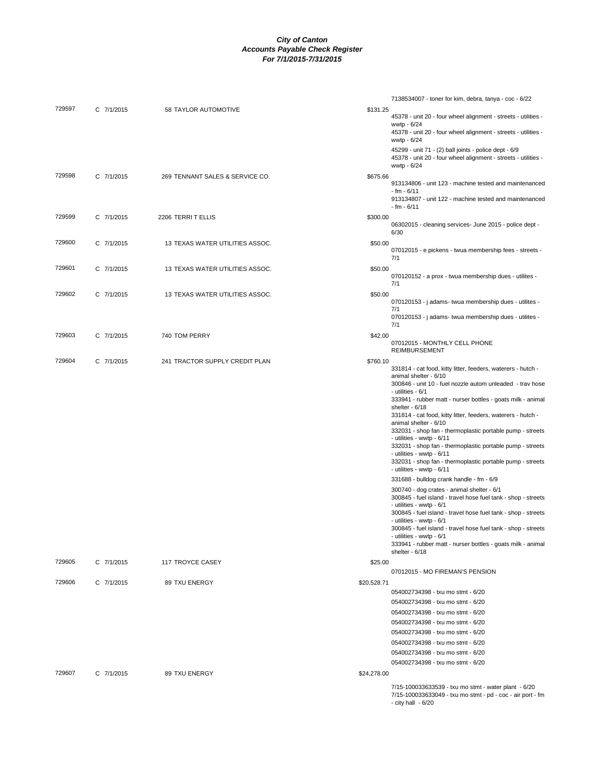|        |            |                                 |             | 7138534007 - toner for kim, debra, tanya - coc - 6/22                                                                                  |
|--------|------------|---------------------------------|-------------|----------------------------------------------------------------------------------------------------------------------------------------|
| 729597 | C 7/1/2015 | 58 TAYLOR AUTOMOTIVE            | \$131.25    | 45378 - unit 20 - four wheel alignment - streets - utilities -                                                                         |
|        |            |                                 |             | wwtp - 6/24<br>45378 - unit 20 - four wheel alignment - streets - utilities -                                                          |
|        |            |                                 |             | wwtp - 6/24                                                                                                                            |
|        |            |                                 |             | 45299 - unit 71 - (2) ball joints - police dept - 6/9<br>45378 - unit 20 - four wheel alignment - streets - utilities -<br>wwtp - 6/24 |
| 729598 | C 7/1/2015 | 269 TENNANT SALES & SERVICE CO. | \$675.66    | 913134806 - unit 123 - machine tested and maintenanced                                                                                 |
|        |            |                                 |             | - fm - 6/11<br>913134807 - unit 122 - machine tested and maintenanced<br>- fm - 6/11                                                   |
| 729599 | C 7/1/2015 | 2206 TERRIT ELLIS               | \$300.00    | 06302015 - cleaning services- June 2015 - police dept -<br>6/30                                                                        |
| 729600 | C 7/1/2015 | 13 TEXAS WATER UTILITIES ASSOC. | \$50.00     | 07012015 - e pickens - twua membership fees - streets -<br>7/1                                                                         |
| 729601 | C 7/1/2015 | 13 TEXAS WATER UTILITIES ASSOC. | \$50.00     | 070120152 - a prox - twua membership dues - utilites -                                                                                 |
| 729602 | C 7/1/2015 | 13 TEXAS WATER UTILITIES ASSOC. | \$50.00     | 7/1                                                                                                                                    |
|        |            |                                 |             | 070120153 - j adams- twua membership dues - utilites -<br>7/1                                                                          |
|        |            |                                 |             | 070120153 - j adams- twua membership dues - utilites -<br>7/1                                                                          |
| 729603 | C 7/1/2015 | 740 TOM PERRY                   | \$42.00     |                                                                                                                                        |
|        |            |                                 |             | 07012015 - MONTHLY CELL PHONE<br><b>REIMBURSEMENT</b>                                                                                  |
| 729604 | C 7/1/2015 | 241 TRACTOR SUPPLY CREDIT PLAN  | \$760.10    | 331814 - cat food, kitty litter, feeders, waterers - hutch -                                                                           |
|        |            |                                 |             | animal shelter - 6/10                                                                                                                  |
|        |            |                                 |             | 300846 - unit 10 - fuel nozzle autom unleaded - trav hose<br>- utilities - 6/1                                                         |
|        |            |                                 |             | 333941 - rubber matt - nurser bottles - goats milk - animal                                                                            |
|        |            |                                 |             | shelter - 6/18<br>331814 - cat food, kitty litter, feeders, waterers - hutch -                                                         |
|        |            |                                 |             | animal shelter - 6/10                                                                                                                  |
|        |            |                                 |             | 332031 - shop fan - thermoplastic portable pump - streets<br>- utilities - wwtp - 6/11                                                 |
|        |            |                                 |             | 332031 - shop fan - thermoplastic portable pump - streets                                                                              |
|        |            |                                 |             | - utilities - wwtp - 6/11<br>332031 - shop fan - thermoplastic portable pump - streets                                                 |
|        |            |                                 |             | - utilities - wwtp - 6/11                                                                                                              |
|        |            |                                 |             | 331688 - bulldog crank handle - fm - 6/9                                                                                               |
|        |            |                                 |             | 300740 - dog crates - animal shelter - 6/1<br>300845 - fuel island - travel hose fuel tank - shop - streets                            |
|        |            |                                 |             | - utilities - wwtp - 6/1                                                                                                               |
|        |            |                                 |             | 300845 - fuel island - travel hose fuel tank - shop - streets<br>- utilities - wwtp - 6/1                                              |
|        |            |                                 |             | 300845 - fuel island - travel hose fuel tank - shop - streets                                                                          |
|        |            |                                 |             | - utilities - wwtp - 6/1<br>333941 - rubber matt - nurser bottles - goats milk - animal                                                |
|        |            |                                 |             | shelter - 6/18                                                                                                                         |
| 729605 | C 7/1/2015 | 117 TROYCE CASEY                | \$25.00     | 07012015 - MO FIREMAN'S PENSION                                                                                                        |
| 729606 | C 7/1/2015 | 89 TXU ENERGY                   | \$20,528.71 |                                                                                                                                        |
|        |            |                                 |             | 054002734398 - txu mo stmt - 6/20                                                                                                      |
|        |            |                                 |             | 054002734398 - txu mo stmt - 6/20                                                                                                      |
|        |            |                                 |             | 054002734398 - txu mo stmt - 6/20                                                                                                      |
|        |            |                                 |             | 054002734398 - txu mo stmt - 6/20                                                                                                      |
|        |            |                                 |             | 054002734398 - txu mo stmt - 6/20<br>054002734398 - txu mo stmt - 6/20                                                                 |
|        |            |                                 |             | 054002734398 - txu mo stmt - 6/20                                                                                                      |
|        |            |                                 |             | 054002734398 - txu mo stmt - 6/20                                                                                                      |
| 729607 | C 7/1/2015 | 89 TXU ENERGY                   | \$24,278.00 |                                                                                                                                        |
|        |            |                                 |             | 7/15-100033633539 - txu mo stmt - water plant - 6/20                                                                                   |
|        |            |                                 |             | 7/15-100033633049 - txu mo stmt - pd - coc - air port - fm<br>- city hall $-6/20$                                                      |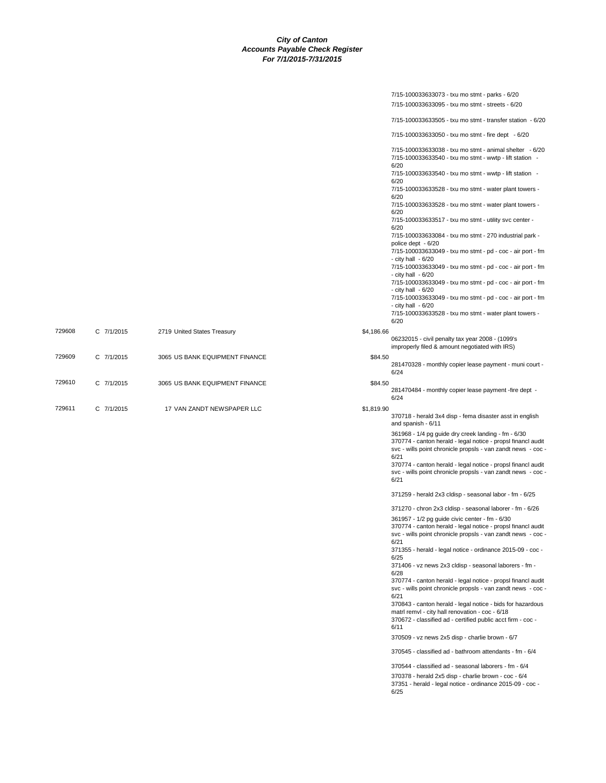|        |            |                                |            | 7/15-100033633073 - txu mo stmt - parks - 6/20                                                                                                                                 |
|--------|------------|--------------------------------|------------|--------------------------------------------------------------------------------------------------------------------------------------------------------------------------------|
|        |            |                                |            | 7/15-100033633095 - txu mo stmt - streets - 6/20                                                                                                                               |
|        |            |                                |            | 7/15-100033633505 - txu mo stmt - transfer station - 6/20                                                                                                                      |
|        |            |                                |            | 7/15-100033633050 - txu mo stmt - fire dept - 6/20                                                                                                                             |
|        |            |                                |            | 7/15-100033633038 - txu mo stmt - animal shelter - 6/20<br>7/15-100033633540 - txu mo stmt - wwtp - lift station -<br>6/20                                                     |
|        |            |                                |            | 7/15-100033633540 - txu mo stmt - wwtp - lift station -<br>6/20                                                                                                                |
|        |            |                                |            | 7/15-100033633528 - txu mo stmt - water plant towers -<br>6/20                                                                                                                 |
|        |            |                                |            | 7/15-100033633528 - txu mo stmt - water plant towers -<br>6/20                                                                                                                 |
|        |            |                                |            | 7/15-100033633517 - txu mo stmt - utility svc center -<br>6/20                                                                                                                 |
|        |            |                                |            | 7/15-100033633084 - txu mo stmt - 270 industrial park -<br>police dept - 6/20                                                                                                  |
|        |            |                                |            | 7/15-100033633049 - txu mo stmt - pd - coc - air port - fm<br>- city hall $-6/20$                                                                                              |
|        |            |                                |            | 7/15-100033633049 - txu mo stmt - pd - coc - air port - fm<br>- city hall $-6/20$                                                                                              |
|        |            |                                |            | 7/15-100033633049 - txu mo stmt - pd - coc - air port - fm<br>- city hall $-6/20$                                                                                              |
|        |            |                                |            | 7/15-100033633049 - txu mo stmt - pd - coc - air port - fm<br>- city hall $-6/20$                                                                                              |
|        |            |                                |            | 7/15-100033633528 - txu mo stmt - water plant towers -<br>6/20                                                                                                                 |
| 729608 | C 7/1/2015 | 2719 United States Treasury    | \$4,186.66 |                                                                                                                                                                                |
|        |            |                                |            | 06232015 - civil penalty tax year 2008 - (1099's<br>improperly filed & amount negotiated with IRS)                                                                             |
| 729609 | C 7/1/2015 | 3065 US BANK EQUIPMENT FINANCE | \$84.50    |                                                                                                                                                                                |
|        |            |                                |            | 281470328 - monthly copier lease payment - muni court -<br>6/24                                                                                                                |
| 729610 | C 7/1/2015 | 3065 US BANK EQUIPMENT FINANCE | \$84.50    | 281470484 - monthly copier lease payment - fire dept -                                                                                                                         |
|        |            |                                |            | 6/24                                                                                                                                                                           |
| 729611 | C 7/1/2015 | 17 VAN ZANDT NEWSPAPER LLC     | \$1,819.90 | 370718 - herald 3x4 disp - fema disaster asst in english<br>and spanish - 6/11                                                                                                 |
|        |            |                                |            | 361968 - 1/4 pg guide dry creek landing - fm - 6/30                                                                                                                            |
|        |            |                                |            | 370774 - canton herald - legal notice - propsl financl audit<br>svc - wills point chronicle propsls - van zandt news - coc -<br>6/21                                           |
|        |            |                                |            | 370774 - canton herald - legal notice - propsl financl audit<br>svc - wills point chronicle propsls - van zandt news - coc -<br>6/21                                           |
|        |            |                                |            | 371259 - herald 2x3 cldisp - seasonal labor - fm - 6/25                                                                                                                        |
|        |            |                                |            | 371270 - chron 2x3 cldisp - seasonal laborer - fm - 6/26                                                                                                                       |
|        |            |                                |            | 361957 - 1/2 pg guide civic center - fm - 6/30<br>370774 - canton herald - legal notice - propsl financl audit<br>svc - wills point chronicle propsls - van zandt news - coc - |
|        |            |                                |            | 6/21<br>371355 - herald - legal notice - ordinance 2015-09 - coc -<br>6/25                                                                                                     |
|        |            |                                |            | 371406 - vz news 2x3 cldisp - seasonal laborers - fm -<br>6/28                                                                                                                 |
|        |            |                                |            | 370774 - canton herald - legal notice - propsl financl audit<br>svc - wills point chronicle propsls - van zandt news - coc -<br>6/21                                           |
|        |            |                                |            | 370843 - canton herald - legal notice - bids for hazardous<br>matrl remvl - city hall renovation - coc - 6/18                                                                  |
|        |            |                                |            | 370672 - classified ad - certified public acct firm - coc -<br>6/11                                                                                                            |
|        |            |                                |            | 370509 - vz news 2x5 disp - charlie brown - 6/7                                                                                                                                |
|        |            |                                |            | 370545 - classified ad - bathroom attendants - fm - 6/4                                                                                                                        |
|        |            |                                |            | 370544 - classified ad - seasonal laborers - fm - 6/4                                                                                                                          |
|        |            |                                |            | 370378 - herald 2x5 disp - charlie brown - coc - 6/4<br>37351 - herald - legal notice - ordinance 2015-09 - coc -<br>6/25                                                      |
|        |            |                                |            |                                                                                                                                                                                |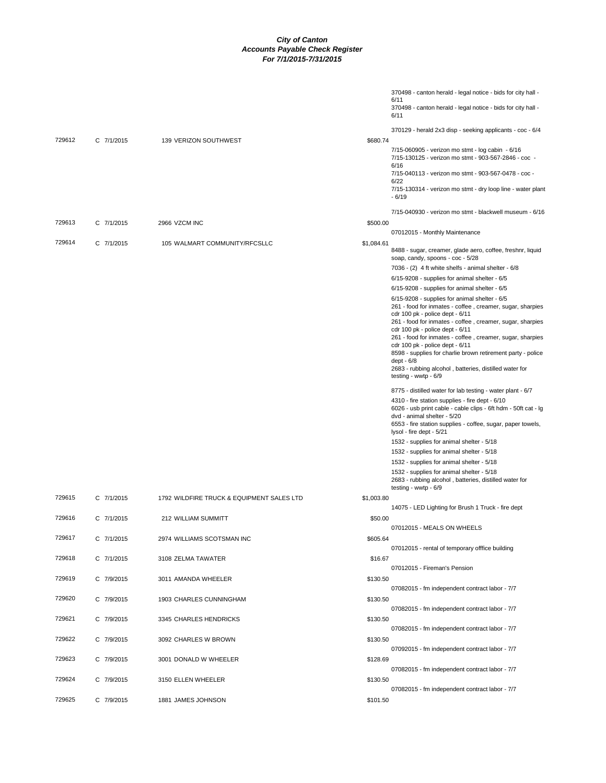|        |            |                                           | 370498 - canton herald - legal notice - bids for city hall -                                                                                                                                                                                                                                                                                  |
|--------|------------|-------------------------------------------|-----------------------------------------------------------------------------------------------------------------------------------------------------------------------------------------------------------------------------------------------------------------------------------------------------------------------------------------------|
|        |            |                                           | 6/11<br>370498 - canton herald - legal notice - bids for city hall -<br>6/11                                                                                                                                                                                                                                                                  |
|        |            |                                           | 370129 - herald 2x3 disp - seeking applicants - coc - 6/4                                                                                                                                                                                                                                                                                     |
| 729612 | C 7/1/2015 | 139 VERIZON SOUTHWEST                     | \$680.74                                                                                                                                                                                                                                                                                                                                      |
|        |            |                                           | 7/15-060905 - verizon mo stmt - log cabin - 6/16<br>7/15-130125 - verizon mo stmt - 903-567-2846 - coc -<br>6/16                                                                                                                                                                                                                              |
|        |            |                                           | 7/15-040113 - verizon mo stmt - 903-567-0478 - coc -<br>6/22                                                                                                                                                                                                                                                                                  |
|        |            |                                           | 7/15-130314 - verizon mo stmt - dry loop line - water plant<br>$-6/19$                                                                                                                                                                                                                                                                        |
|        |            |                                           | 7/15-040930 - verizon mo stmt - blackwell museum - 6/16                                                                                                                                                                                                                                                                                       |
| 729613 | C 7/1/2015 | 2966 VZCM INC                             | \$500.00                                                                                                                                                                                                                                                                                                                                      |
| 729614 |            |                                           | 07012015 - Monthly Maintenance                                                                                                                                                                                                                                                                                                                |
|        | C 7/1/2015 | 105 WALMART COMMUNITY/RFCSLLC             | \$1,084.61<br>8488 - sugar, creamer, glade aero, coffee, freshnr, liquid<br>soap, candy, spoons - coc - 5/28                                                                                                                                                                                                                                  |
|        |            |                                           | 7036 - (2) 4 ft white shelfs - animal shelter - 6/8                                                                                                                                                                                                                                                                                           |
|        |            |                                           | 6/15-9208 - supplies for animal shelter - 6/5                                                                                                                                                                                                                                                                                                 |
|        |            |                                           | 6/15-9208 - supplies for animal shelter - 6/5                                                                                                                                                                                                                                                                                                 |
|        |            |                                           | 6/15-9208 - supplies for animal shelter - 6/5<br>261 - food for inmates - coffee, creamer, sugar, sharpies<br>cdr 100 pk - police dept - 6/11<br>261 - food for inmates - coffee, creamer, sugar, sharpies<br>cdr 100 pk - police dept - 6/11<br>261 - food for inmates - coffee, creamer, sugar, sharpies<br>cdr 100 pk - police dept - 6/11 |
|        |            |                                           | 8598 - supplies for charlie brown retirement party - police<br>dept - 6/8<br>2683 - rubbing alcohol, batteries, distilled water for                                                                                                                                                                                                           |
|        |            |                                           | testing - wwtp - 6/9                                                                                                                                                                                                                                                                                                                          |
|        |            |                                           | 8775 - distilled water for lab testing - water plant - 6/7<br>4310 - fire station supplies - fire dept - 6/10<br>6026 - usb print cable - cable clips - 6ft hdm - 50ft cat - Ig<br>dvd - animal shelter - 5/20                                                                                                                                |
|        |            |                                           | 6553 - fire station supplies - coffee, sugar, paper towels,<br>lysol - fire dept - 5/21                                                                                                                                                                                                                                                       |
|        |            |                                           | 1532 - supplies for animal shelter - 5/18                                                                                                                                                                                                                                                                                                     |
|        |            |                                           | 1532 - supplies for animal shelter - 5/18                                                                                                                                                                                                                                                                                                     |
|        |            |                                           | 1532 - supplies for animal shelter - 5/18                                                                                                                                                                                                                                                                                                     |
|        |            |                                           | 1532 - supplies for animal shelter - 5/18<br>2683 - rubbing alcohol, batteries, distilled water for<br>testing - wwtp - 6/9                                                                                                                                                                                                                   |
| 729615 | C 7/1/2015 | 1792 WILDFIRE TRUCK & EQUIPMENT SALES LTD | \$1,003.80                                                                                                                                                                                                                                                                                                                                    |
|        |            |                                           | 14075 - LED Lighting for Brush 1 Truck - fire dept                                                                                                                                                                                                                                                                                            |
| 729616 | C 7/1/2015 | 212 WILLIAM SUMMITT                       | \$50.00<br>07012015 - MEALS ON WHEELS                                                                                                                                                                                                                                                                                                         |
| 729617 | C 7/1/2015 | 2974 WILLIAMS SCOTSMAN INC                | \$605.64                                                                                                                                                                                                                                                                                                                                      |
|        |            |                                           | 07012015 - rental of temporary offfice building                                                                                                                                                                                                                                                                                               |
| 729618 | C 7/1/2015 | 3108 ZELMA TAWATER                        | \$16.67                                                                                                                                                                                                                                                                                                                                       |
| 729619 | C 7/9/2015 | 3011 AMANDA WHEELER                       | 07012015 - Fireman's Pension<br>\$130.50                                                                                                                                                                                                                                                                                                      |
|        |            |                                           | 07082015 - fm independent contract labor - 7/7                                                                                                                                                                                                                                                                                                |
| 729620 | C 7/9/2015 | 1903 CHARLES CUNNINGHAM                   | \$130.50                                                                                                                                                                                                                                                                                                                                      |
|        |            |                                           | 07082015 - fm independent contract labor - 7/7                                                                                                                                                                                                                                                                                                |
| 729621 | C 7/9/2015 | 3345 CHARLES HENDRICKS                    | \$130.50<br>07082015 - fm independent contract labor - 7/7                                                                                                                                                                                                                                                                                    |
| 729622 | C 7/9/2015 | 3092 CHARLES W BROWN                      | \$130.50                                                                                                                                                                                                                                                                                                                                      |
| 729623 | C 7/9/2015 | 3001 DONALD W WHEELER                     | 07092015 - fm independent contract labor - 7/7<br>\$128.69                                                                                                                                                                                                                                                                                    |
|        |            |                                           | 07082015 - fm independent contract labor - 7/7                                                                                                                                                                                                                                                                                                |
| 729624 | C 7/9/2015 | 3150 ELLEN WHEELER                        | \$130.50                                                                                                                                                                                                                                                                                                                                      |
| 729625 | C 7/9/2015 | 1881 JAMES JOHNSON                        | 07082015 - fm independent contract labor - 7/7<br>\$101.50                                                                                                                                                                                                                                                                                    |
|        |            |                                           |                                                                                                                                                                                                                                                                                                                                               |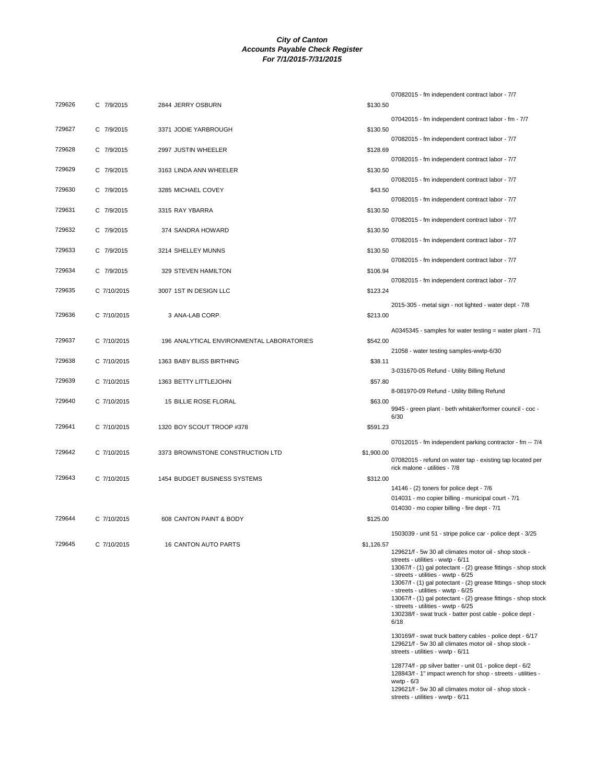|        |             |                                           |            | 07082015 - fm independent contract labor - 7/7                                                                            |
|--------|-------------|-------------------------------------------|------------|---------------------------------------------------------------------------------------------------------------------------|
| 729626 | C 7/9/2015  | 2844 JERRY OSBURN                         | \$130.50   |                                                                                                                           |
|        |             |                                           |            | 07042015 - fm independent contract labor - fm - 7/7                                                                       |
| 729627 | C 7/9/2015  | 3371 JODIE YARBROUGH                      | \$130.50   |                                                                                                                           |
|        |             |                                           |            | 07082015 - fm independent contract labor - 7/7                                                                            |
| 729628 | C 7/9/2015  | 2997 JUSTIN WHEELER                       | \$128.69   |                                                                                                                           |
| 729629 | C 7/9/2015  | 3163 LINDA ANN WHEELER                    | \$130.50   | 07082015 - fm independent contract labor - 7/7                                                                            |
|        |             |                                           |            | 07082015 - fm independent contract labor - 7/7                                                                            |
| 729630 | C 7/9/2015  | 3285 MICHAEL COVEY                        | \$43.50    |                                                                                                                           |
|        |             |                                           |            | 07082015 - fm independent contract labor - 7/7                                                                            |
| 729631 | C 7/9/2015  | 3315 RAY YBARRA                           | \$130.50   |                                                                                                                           |
| 729632 | C 7/9/2015  | 374 SANDRA HOWARD                         | \$130.50   | 07082015 - fm independent contract labor - 7/7                                                                            |
|        |             |                                           |            | 07082015 - fm independent contract labor - 7/7                                                                            |
| 729633 | C 7/9/2015  | 3214 SHELLEY MUNNS                        | \$130.50   |                                                                                                                           |
|        |             |                                           |            | 07082015 - fm independent contract labor - 7/7                                                                            |
| 729634 | C 7/9/2015  | 329 STEVEN HAMILTON                       | \$106.94   | 07082015 - fm independent contract labor - 7/7                                                                            |
| 729635 | C 7/10/2015 | 3007 1ST IN DESIGN LLC                    | \$123.24   |                                                                                                                           |
|        |             |                                           |            | 2015-305 - metal sign - not lighted - water dept - 7/8                                                                    |
| 729636 | C 7/10/2015 | 3 ANA-LAB CORP.                           | \$213.00   |                                                                                                                           |
|        |             |                                           |            |                                                                                                                           |
| 729637 | C 7/10/2015 | 196 ANALYTICAL ENVIRONMENTAL LABORATORIES | \$542.00   | A0345345 - samples for water testing = water plant - $7/1$                                                                |
|        |             |                                           |            | 21058 - water testing samples-wwtp-6/30                                                                                   |
| 729638 | C 7/10/2015 | 1363 BABY BLISS BIRTHING                  | \$38.11    |                                                                                                                           |
|        |             |                                           |            | 3-031670-05 Refund - Utility Billing Refund                                                                               |
| 729639 | C 7/10/2015 | 1363 BETTY LITTLEJOHN                     | \$57.80    | 8-081970-09 Refund - Utility Billing Refund                                                                               |
| 729640 | C 7/10/2015 | 15 BILLIE ROSE FLORAL                     | \$63.00    |                                                                                                                           |
|        |             |                                           |            | 9945 - green plant - beth whitaker/former council - coc -                                                                 |
| 729641 | C 7/10/2015 | 1320 BOY SCOUT TROOP #378                 | \$591.23   | 6/30                                                                                                                      |
|        |             |                                           |            |                                                                                                                           |
| 729642 | C 7/10/2015 | 3373 BROWNSTONE CONSTRUCTION LTD          |            | 07012015 - fm independent parking contractor - fm -- 7/4                                                                  |
|        |             |                                           | \$1,900.00 | 07082015 - refund on water tap - existing tap located per                                                                 |
|        |             |                                           |            | rick malone - utilities - 7/8                                                                                             |
| 729643 | C 7/10/2015 | 1454 BUDGET BUSINESS SYSTEMS              | \$312.00   | 14146 - (2) toners for police dept - 7/6                                                                                  |
|        |             |                                           |            | 014031 - mo copier billing - municipal court - 7/1                                                                        |
|        |             |                                           |            | 014030 - mo copier billing - fire dept - 7/1                                                                              |
| 729644 | C 7/10/2015 | 608 CANTON PAINT & BODY                   | \$125.00   |                                                                                                                           |
|        |             |                                           |            | 1503039 - unit 51 - stripe police car - police dept - 3/25                                                                |
| 729645 | C 7/10/2015 | <b>16 CANTON AUTO PARTS</b>               | \$1,126.57 |                                                                                                                           |
|        |             |                                           |            | 129621/f - 5w 30 all climates motor oil - shop stock -<br>streets - utilities - wwtp - 6/11                               |
|        |             |                                           |            | 13067/f - (1) gal potectant - (2) grease fittings - shop stock<br>- streets - utilities - wwtp - 6/25                     |
|        |             |                                           |            | 13067/f - (1) gal potectant - (2) grease fittings - shop stock                                                            |
|        |             |                                           |            | - streets - utilities - wwtp - 6/25<br>13067/f - (1) gal potectant - (2) grease fittings - shop stock                     |
|        |             |                                           |            | - streets - utilities - wwtp - 6/25                                                                                       |
|        |             |                                           |            | 130238/f - swat truck - batter post cable - police dept -<br>6/18                                                         |
|        |             |                                           |            | 130169/f - swat truck battery cables - police dept - 6/17                                                                 |
|        |             |                                           |            | 129621/f - 5w 30 all climates motor oil - shop stock -                                                                    |
|        |             |                                           |            | streets - utilities - wwtp - 6/11                                                                                         |
|        |             |                                           |            | 128774/f - pp silver batter - unit 01 - police dept - 6/2<br>128843/f - 1" impact wrench for shop - streets - utilities - |
|        |             |                                           |            | wwtp $-6/3$                                                                                                               |

wwtp - 6/3 129621/f - 5w 30 all climates motor oil - shop stock - streets - utilities - wwtp - 6/11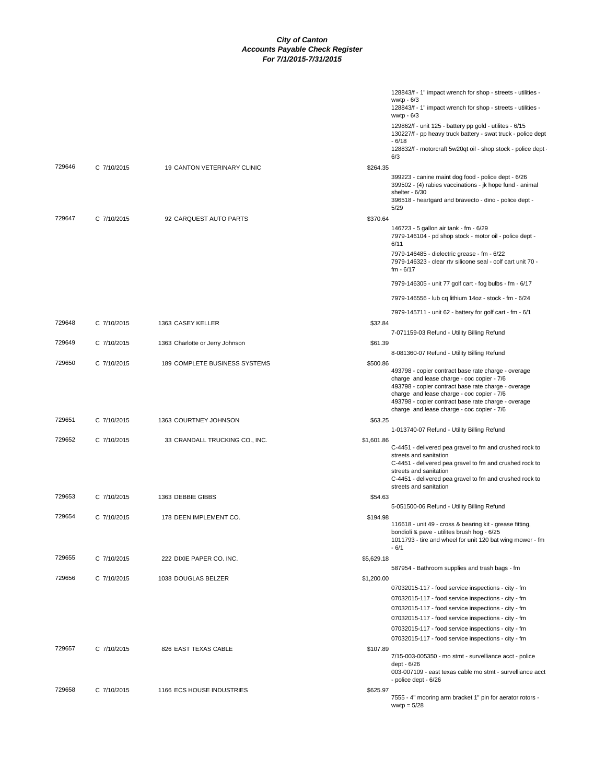|        |             |                                      |            | 128843/f - 1" impact wrench for shop - streets - utilities -<br>wwtp $-6/3$<br>128843/f - 1" impact wrench for shop - streets - utilities -                                                                                                                                                                 |
|--------|-------------|--------------------------------------|------------|-------------------------------------------------------------------------------------------------------------------------------------------------------------------------------------------------------------------------------------------------------------------------------------------------------------|
|        |             |                                      |            | wwtp $-6/3$<br>129862/f - unit 125 - battery pp gold - utilites - 6/15<br>130227/f - pp heavy truck battery - swat truck - police dept                                                                                                                                                                      |
|        |             |                                      |            | $-6/18$<br>128832/f - motorcraft 5w20qt oil - shop stock - police dept<br>6/3                                                                                                                                                                                                                               |
| 729646 | C 7/10/2015 | <b>19 CANTON VETERINARY CLINIC</b>   | \$264.35   |                                                                                                                                                                                                                                                                                                             |
|        |             |                                      |            | 399223 - canine maint dog food - police dept - 6/26<br>399502 - (4) rabies vaccinations - jk hope fund - animal<br>shelter - 6/30                                                                                                                                                                           |
|        |             |                                      |            | 396518 - heartgard and bravecto - dino - police dept -<br>5/29                                                                                                                                                                                                                                              |
| 729647 | C 7/10/2015 | 92 CARQUEST AUTO PARTS               | \$370.64   |                                                                                                                                                                                                                                                                                                             |
|        |             |                                      |            | 146723 - 5 gallon air tank - fm - 6/29<br>7979-146104 - pd shop stock - motor oil - police dept -<br>6/11                                                                                                                                                                                                   |
|        |             |                                      |            | 7979-146485 - dielectric grease - fm - 6/22<br>7979-146323 - clear rtv silicone seal - colf cart unit 70 -<br>$fm - 6/17$                                                                                                                                                                                   |
|        |             |                                      |            | 7979-146305 - unit 77 golf cart - fog bulbs - fm - 6/17                                                                                                                                                                                                                                                     |
|        |             |                                      |            | 7979-146556 - lub cq lithium 14oz - stock - fm - 6/24                                                                                                                                                                                                                                                       |
| 729648 | C 7/10/2015 | 1363 CASEY KELLER                    | \$32.84    | 7979-145711 - unit 62 - battery for golf cart - fm - 6/1                                                                                                                                                                                                                                                    |
|        |             |                                      |            | 7-071159-03 Refund - Utility Billing Refund                                                                                                                                                                                                                                                                 |
| 729649 | C 7/10/2015 | 1363 Charlotte or Jerry Johnson      | \$61.39    | 8-081360-07 Refund - Utility Billing Refund                                                                                                                                                                                                                                                                 |
| 729650 | C 7/10/2015 | <b>189 COMPLETE BUSINESS SYSTEMS</b> | \$500.86   |                                                                                                                                                                                                                                                                                                             |
|        |             |                                      |            | 493798 - copier contract base rate charge - overage<br>charge and lease charge - coc copier - 7/6<br>493798 - copier contract base rate charge - overage<br>charge and lease charge - coc copier - 7/6<br>493798 - copier contract base rate charge - overage<br>charge and lease charge - coc copier - 7/6 |
| 729651 | C 7/10/2015 | 1363 COURTNEY JOHNSON                | \$63.25    |                                                                                                                                                                                                                                                                                                             |
| 729652 | C 7/10/2015 | 33 CRANDALL TRUCKING CO., INC.       | \$1,601.86 | 1-013740-07 Refund - Utility Billing Refund                                                                                                                                                                                                                                                                 |
|        |             |                                      |            | C-4451 - delivered pea gravel to fm and crushed rock to<br>streets and sanitation<br>C-4451 - delivered pea gravel to fm and crushed rock to<br>streets and sanitation<br>C-4451 - delivered pea gravel to fm and crushed rock to<br>streets and sanitation                                                 |
| 729653 | C 7/10/2015 | 1363 DEBBIE GIBBS                    | \$54.63    |                                                                                                                                                                                                                                                                                                             |
| 729654 | C 7/10/2015 | 178 DEEN IMPLEMENT CO.               | \$194.98   | 5-051500-06 Refund - Utility Billing Refund                                                                                                                                                                                                                                                                 |
|        |             |                                      |            | 116618 - unit 49 - cross & bearing kit - grease fitting,<br>bondioli & pave - utilites brush hog - 6/25<br>1011793 - tire and wheel for unit 120 bat wing mower - fm<br>- 6/1                                                                                                                               |
| 729655 | C 7/10/2015 | 222 DIXIE PAPER CO. INC.             | \$5,629.18 | 587954 - Bathroom supplies and trash bags - fm                                                                                                                                                                                                                                                              |
| 729656 | C 7/10/2015 | 1038 DOUGLAS BELZER                  | \$1,200.00 |                                                                                                                                                                                                                                                                                                             |
|        |             |                                      |            | 07032015-117 - food service inspections - city - fm                                                                                                                                                                                                                                                         |
|        |             |                                      |            | 07032015-117 - food service inspections - city - fm                                                                                                                                                                                                                                                         |
|        |             |                                      |            | 07032015-117 - food service inspections - city - fm                                                                                                                                                                                                                                                         |
|        |             |                                      |            | 07032015-117 - food service inspections - city - fm                                                                                                                                                                                                                                                         |
|        |             |                                      |            | 07032015-117 - food service inspections - city - fm                                                                                                                                                                                                                                                         |
|        |             |                                      |            | 07032015-117 - food service inspections - city - fm                                                                                                                                                                                                                                                         |
| 729657 | C 7/10/2015 | 826 EAST TEXAS CABLE                 | \$107.89   |                                                                                                                                                                                                                                                                                                             |
|        |             |                                      |            | 7/15-003-005350 - mo stmt - survelliance acct - police<br>dept - 6/26                                                                                                                                                                                                                                       |
|        |             |                                      |            | 003-007109 - east texas cable mo stmt - survelliance acct<br>- police dept - 6/26                                                                                                                                                                                                                           |
| 729658 | C 7/10/2015 | 1166 ECS HOUSE INDUSTRIES            | \$625.97   |                                                                                                                                                                                                                                                                                                             |
|        |             |                                      |            | 7555 - 4" mooring arm bracket 1" pin for aerator rotors -<br>wwtp = $5/28$                                                                                                                                                                                                                                  |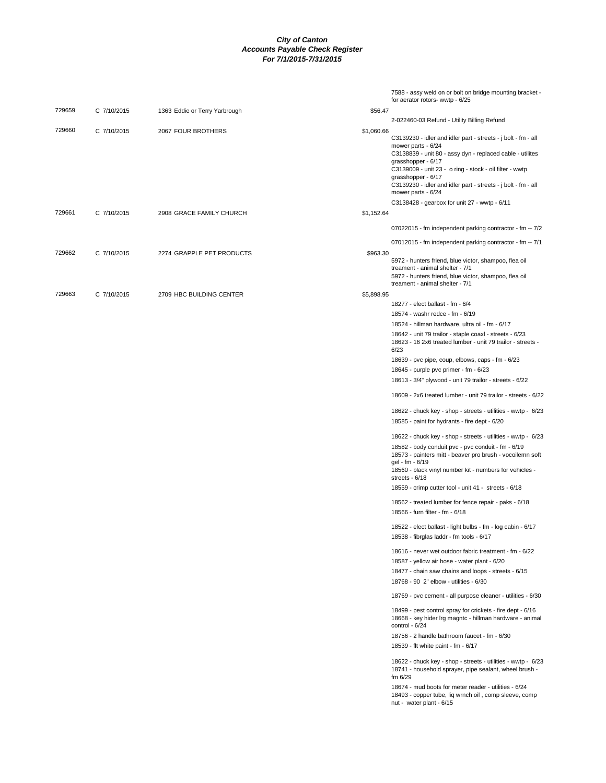|        |             |                               |            | 7588 - assy weld on or bolt on bridge mounting bracket -<br>for aerator rotors- wwtp - 6/25                                                                                                                                       |
|--------|-------------|-------------------------------|------------|-----------------------------------------------------------------------------------------------------------------------------------------------------------------------------------------------------------------------------------|
| 729659 | C 7/10/2015 | 1363 Eddie or Terry Yarbrough | \$56.47    |                                                                                                                                                                                                                                   |
|        |             |                               |            | 2-022460-03 Refund - Utility Billing Refund                                                                                                                                                                                       |
| 729660 | C 7/10/2015 | 2067 FOUR BROTHERS            | \$1,060.66 | C3139230 - idler and idler part - streets - j bolt - fm - all<br>mower parts - 6/24<br>C3138839 - unit 80 - assy dyn - replaced cable - utilites<br>grasshopper - 6/17<br>C3139009 - unit 23 - o ring - stock - oil filter - wwtp |
|        |             |                               |            | grasshopper - 6/17<br>C3139230 - idler and idler part - streets - j bolt - fm - all<br>mower parts - 6/24                                                                                                                         |
|        |             |                               |            | C3138428 - gearbox for unit 27 - wwtp - 6/11                                                                                                                                                                                      |
| 729661 | C 7/10/2015 | 2908 GRACE FAMILY CHURCH      | \$1,152.64 |                                                                                                                                                                                                                                   |
|        |             |                               |            | 07022015 - fm independent parking contractor - fm -- 7/2                                                                                                                                                                          |
|        |             |                               |            | 07012015 - fm independent parking contractor - fm -- 7/1                                                                                                                                                                          |
| 729662 | C 7/10/2015 | 2274 GRAPPLE PET PRODUCTS     | \$963.30   | 5972 - hunters friend, blue victor, shampoo, flea oil<br>treament - animal shelter - 7/1<br>5972 - hunters friend, blue victor, shampoo, flea oil                                                                                 |
|        |             |                               |            | treament - animal shelter - 7/1                                                                                                                                                                                                   |
| 729663 | C 7/10/2015 | 2709 HBC BUILDING CENTER      | \$5,898.95 |                                                                                                                                                                                                                                   |
|        |             |                               |            | 18277 - elect ballast - fm - 6/4                                                                                                                                                                                                  |
|        |             |                               |            | 18574 - washr redce - fm - 6/19                                                                                                                                                                                                   |
|        |             |                               |            | 18524 - hillman hardware, ultra oil - fm - 6/17<br>18642 - unit 79 trailor - staple coaxl - streets - 6/23                                                                                                                        |
|        |             |                               |            | 18623 - 16 2x6 treated lumber - unit 79 trailor - streets -<br>6/23                                                                                                                                                               |
|        |             |                               |            | 18639 - pvc pipe, coup, elbows, caps - fm - 6/23                                                                                                                                                                                  |
|        |             |                               |            | 18645 - purple pvc primer - fm - 6/23                                                                                                                                                                                             |
|        |             |                               |            | 18613 - 3/4" plywood - unit 79 trailor - streets - 6/22                                                                                                                                                                           |
|        |             |                               |            | 18609 - 2x6 treated lumber - unit 79 trailor - streets - 6/22                                                                                                                                                                     |
|        |             |                               |            | 18622 - chuck key - shop - streets - utilities - wwtp - 6/23                                                                                                                                                                      |
|        |             |                               |            | 18585 - paint for hydrants - fire dept - 6/20                                                                                                                                                                                     |
|        |             |                               |            | 18622 - chuck key - shop - streets - utilities - wwtp - 6/23                                                                                                                                                                      |
|        |             |                               |            | 18582 - body conduit pvc - pvc conduit - fm - 6/19<br>18573 - painters mitt - beaver pro brush - vocoilemn soft                                                                                                                   |
|        |             |                               |            | gel - fm - 6/19<br>18560 - black vinyl number kit - numbers for vehicles -<br>streets - 6/18                                                                                                                                      |
|        |             |                               |            | 18559 - crimp cutter tool - unit 41 - streets - 6/18                                                                                                                                                                              |
|        |             |                               |            | 18562 - treated lumber for fence repair - paks - 6/18                                                                                                                                                                             |
|        |             |                               |            | 18566 - furn filter - fm - 6/18                                                                                                                                                                                                   |
|        |             |                               |            | 18522 - elect ballast - light bulbs - fm - log cabin - 6/17<br>18538 - fibrglas laddr - fm tools - 6/17                                                                                                                           |
|        |             |                               |            | 18616 - never wet outdoor fabric treatment - fm - 6/22                                                                                                                                                                            |
|        |             |                               |            | 18587 - yellow air hose - water plant - 6/20                                                                                                                                                                                      |
|        |             |                               |            | 18477 - chain saw chains and loops - streets - 6/15                                                                                                                                                                               |
|        |             |                               |            | 18768 - 90 2" elbow - utilities - 6/30                                                                                                                                                                                            |
|        |             |                               |            | 18769 - pvc cement - all purpose cleaner - utilities - 6/30                                                                                                                                                                       |
|        |             |                               |            | 18499 - pest control spray for crickets - fire dept - 6/16<br>18668 - key hider Irg magntc - hillman hardware - animal<br>control - 6/24                                                                                          |
|        |             |                               |            | 18756 - 2 handle bathroom faucet - fm - 6/30                                                                                                                                                                                      |
|        |             |                               |            | 18539 - flt white paint - fm - 6/17                                                                                                                                                                                               |
|        |             |                               |            | 18622 - chuck key - shop - streets - utilities - wwtp - 6/23<br>18741 - household sprayer, pipe sealant, wheel brush -<br>fm $6/29$                                                                                               |
|        |             |                               |            | 18674 - mud boots for meter reader - utilities - 6/24<br>18493 - copper tube, liq wrnch oil, comp sleeve, comp<br>nut - water plant - 6/15                                                                                        |
|        |             |                               |            |                                                                                                                                                                                                                                   |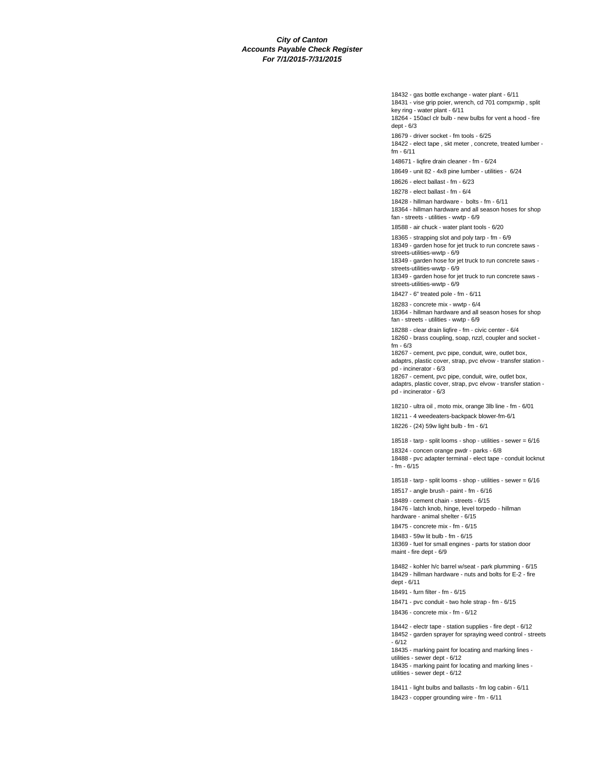18432 - gas bottle exchange - water plant - 6/11 18431 - vise grip poier, wrench, cd 701 compxmip , split key ring - water plant - 6/11 18264 - 150acl clr bulb - new bulbs for vent a hood - fire dept - 6/3 18679 - driver socket - fm tools - 6/25 18422 - elect tape , skt meter , concrete, treated lumber fm - 6/11 148671 - liqfire drain cleaner - fm - 6/24 18649 - unit 82 - 4x8 pine lumber - utilities - 6/24 18626 - elect ballast - fm - 6/23 18278 - elect ballast - fm - 6/4 18428 - hillman hardware - bolts - fm - 6/11 18364 - hillman hardware and all season hoses for shop fan - streets - utilities - wwtp - 6/9 18588 - air chuck - water plant tools - 6/20 18365 - strapping slot and poly tarp - fm - 6/9 18349 - garden hose for jet truck to run concrete saws streets-utilities-wwtp - 6/9 18349 - garden hose for jet truck to run concrete saws streets-utilities-wwtp - 6/9 18349 - garden hose for jet truck to run concrete saws streets-utilities-wwtp - 6/9 18427 - 6" treated pole - fm - 6/11 18283 - concrete mix - wwtp - 6/4 18364 - hillman hardware and all season hoses for shop fan - streets - utilities - wwtp - 6/9 18288 - clear drain liqfire - fm - civic center - 6/4 18260 - brass coupling, soap, nzzl, coupler and socket fm - 6/3 18267 - cement, pvc pipe, conduit, wire, outlet box, adaptrs, plastic cover, strap, pvc elvow - transfer station pd - incinerator - 6/3 18267 - cement, pvc pipe, conduit, wire, outlet box, adaptrs, plastic cover, strap, pvc elvow - transfer station pd - incinerator - 6/3 18210 - ultra oil , moto mix, orange 3lb line - fm - 6/01 18211 - 4 weedeaters-backpack blower-fm-6/1 18226 - (24) 59w light bulb - fm - 6/1 18518 - tarp - split looms - shop - utilities - sewer = 6/16 18324 - concen orange pwdr - parks - 6/8 18488 - pvc adapter terminal - elect tape - conduit locknut - fm - 6/15 18518 - tarp - split looms - shop - utilities - sewer = 6/16 18517 - angle brush - paint - fm - 6/16 18489 - cement chain - streets - 6/15 18476 - latch knob, hinge, level torpedo - hillman hardware - animal shelter - 6/15 18475 - concrete mix - fm - 6/15 18483 - 59w lit bulb - fm - 6/15 18369 - fuel for small engines - parts for station door maint - fire dept - 6/9 18482 - kohler h/c barrel w/seat - park plumming - 6/15 18429 - hillman hardware - nuts and bolts for E-2 - fire dept - 6/11 18491 - furn filter - fm - 6/15 18471 - pvc conduit - two hole strap - fm - 6/15 18436 - concrete mix - fm - 6/12 18442 - electr tape - station supplies - fire dept - 6/12 18452 - garden sprayer for spraying weed control - streets  $- 6/12$ 18435 - marking paint for locating and marking lines -

utilities - sewer dept - 6/12

18435 - marking paint for locating and marking lines utilities - sewer dept - 6/12

18411 - light bulbs and ballasts - fm log cabin - 6/11

18423 - copper grounding wire - fm - 6/11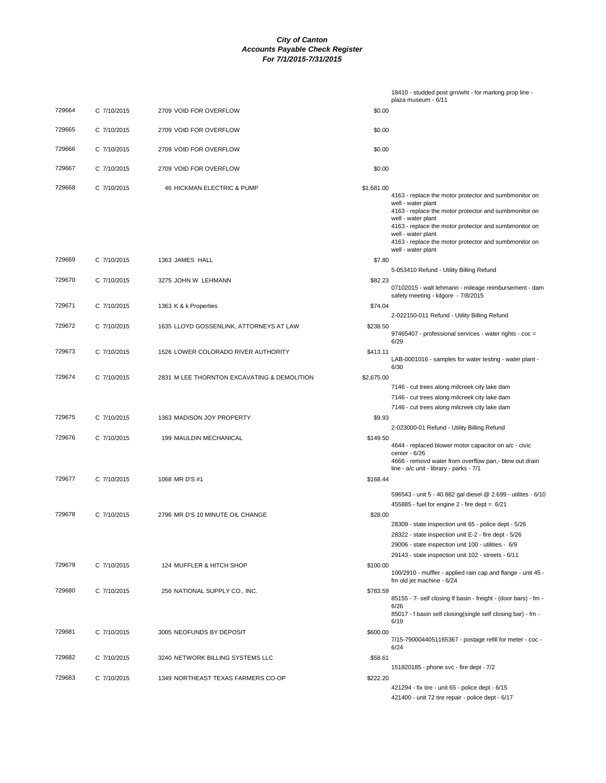|        |             |                                             |            | 18410 - studded post grn/wht - for marking prop line -<br>plaza museum - 6/11                                                                                                                                                             |
|--------|-------------|---------------------------------------------|------------|-------------------------------------------------------------------------------------------------------------------------------------------------------------------------------------------------------------------------------------------|
| 729664 | C 7/10/2015 | 2709 VOID FOR OVERFLOW                      | \$0.00     |                                                                                                                                                                                                                                           |
| 729665 |             |                                             |            |                                                                                                                                                                                                                                           |
|        | C 7/10/2015 | 2709 VOID FOR OVERFLOW                      | \$0.00     |                                                                                                                                                                                                                                           |
| 729666 | C 7/10/2015 | 2709 VOID FOR OVERFLOW                      | \$0.00     |                                                                                                                                                                                                                                           |
| 729667 | C 7/10/2015 | 2709 VOID FOR OVERFLOW                      | \$0.00     |                                                                                                                                                                                                                                           |
| 729668 | C 7/10/2015 | 46 HICKMAN ELECTRIC & PUMP                  | \$1,681.00 | 4163 - replace the motor protector and sumbmonitor on<br>well - water plant<br>4163 - replace the motor protector and sumbmonitor on<br>well - water plant<br>4163 - replace the motor protector and sumbmonitor on<br>well - water plant |
|        |             |                                             |            | 4163 - replace the motor protector and sumbmonitor on<br>well - water plant                                                                                                                                                               |
| 729669 | C 7/10/2015 | 1363 JAMES HALL                             | \$7.80     | 5-053410 Refund - Utility Billing Refund                                                                                                                                                                                                  |
| 729670 | C 7/10/2015 | 3275 JOHN W LEHMANN                         | \$82.23    | 07102015 - walt lehmann - mileage reimbursement - dam<br>safety meeting - kilgore - 7/8/2015                                                                                                                                              |
| 729671 | C 7/10/2015 | 1363 K & k Properties                       | \$74.04    |                                                                                                                                                                                                                                           |
| 729672 | C 7/10/2015 | 1635 LLOYD GOSSENLINK, ATTORNEYS AT LAW     | \$238.50   | 2-022150-011 Refund - Utility Billing Refund                                                                                                                                                                                              |
|        |             |                                             |            | 97465407 - professional services - water rights - coc =<br>6/29                                                                                                                                                                           |
| 729673 | C 7/10/2015 | 1526 LOWER COLORADO RIVER AUTHORITY         | \$413.11   | LAB-0001016 - samples for water testing - water plant -<br>6/30                                                                                                                                                                           |
| 729674 | C 7/10/2015 | 2831 M LEE THORNTON EXCAVATING & DEMOLITION | \$2,675.00 | 7146 - cut trees along milcreek city lake dam                                                                                                                                                                                             |
|        |             |                                             |            | 7146 - cut trees along milcreek city lake dam                                                                                                                                                                                             |
|        |             |                                             |            | 7146 - cut trees along milcreek city lake dam                                                                                                                                                                                             |
| 729675 | C 7/10/2015 | 1363 MADISON JOY PROPERTY                   | \$9.93     | 2-023000-01 Refund - Utility Billing Refund                                                                                                                                                                                               |
| 729676 | C 7/10/2015 | 199 MAULDIN MECHANICAL                      | \$149.50   | 4644 - replaced blower motor capacitor on a/c - civic<br>center - 6/26<br>4666 - removd water from overflow pan,- blew out drain<br>line - a/c unit - library - parks - 7/1                                                               |
| 729677 | C 7/10/2015 | 1068 MR D'S #1                              | \$168.44   |                                                                                                                                                                                                                                           |
|        |             |                                             |            | 596543 - unit 5 - 40.882 gal diesel @ 2.699 - utilites - 6/10<br>$455885$ - fuel for engine 2 - fire dept = $6/21$                                                                                                                        |
| 729678 | C 7/10/2015 | 2796 MR D'S 10 MINUTE OIL CHANGE            | \$28.00    | 28309 - state inspection unit 65 - police dept - 5/26<br>28322 - state inspection unit E-2 - fire dept - 5/26<br>29006 - state inspection unit 100 - utilities - 6/9<br>29143 - state inspection unit 102 - streets - 6/11                |
| 729679 | C 7/10/2015 | 124 MUFFLER & HITCH SHOP                    | \$100.00   | 100/2910 - muffler - applied rain cap and flange - unit 45 -<br>fm old jet machine - 6/24                                                                                                                                                 |
| 729680 | C 7/10/2015 | 256 NATIONAL SUPPLY CO., INC.               | \$783.59   | 85155 - 7- self closing If basin - freight - (door bars) - fm -<br>6/26<br>85017 - f basin self closing(single self closing bar) - fm -<br>6/19                                                                                           |
| 729681 | C 7/10/2015 | 3005 NEOFUNDS BY DEPOSIT                    | \$600.00   | 7/15-7900044051165367 - postage refill for meter - coc -                                                                                                                                                                                  |
| 729682 | C 7/10/2015 | 3240 NETWORK BILLING SYSTEMS LLC            | \$58.61    | 6/24                                                                                                                                                                                                                                      |
| 729683 | C 7/10/2015 | 1349 NORTHEAST TEXAS FARMERS CO-OP          | \$222.20   | 151820185 - phone svc - fire dept - 7/2                                                                                                                                                                                                   |
|        |             |                                             |            | 421294 - fix tire - unit 65 - police dept - 6/15<br>421400 - unit 72 tire repair - police dept - 6/17                                                                                                                                     |
|        |             |                                             |            |                                                                                                                                                                                                                                           |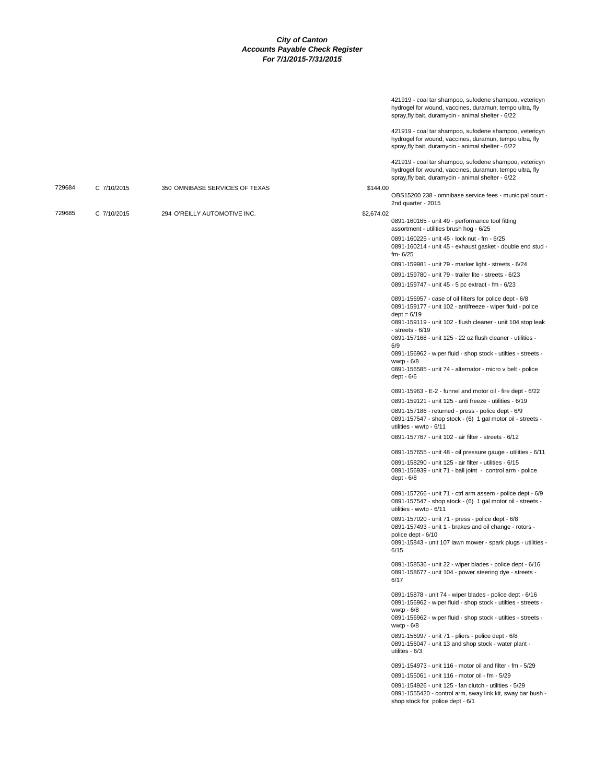|        |             |                                |            | 421919 - coal tar shampoo, sufodene shampoo, vetericyn<br>hydrogel for wound, vaccines, duramun, tempo ultra, fly<br>spray, fly bait, duramycin - animal shelter - 6/22                                   |
|--------|-------------|--------------------------------|------------|-----------------------------------------------------------------------------------------------------------------------------------------------------------------------------------------------------------|
|        |             |                                |            | 421919 - coal tar shampoo, sufodene shampoo, vetericyn<br>hydrogel for wound, vaccines, duramun, tempo ultra, fly<br>spray, fly bait, duramycin - animal shelter - 6/22                                   |
|        |             |                                |            | 421919 - coal tar shampoo, sufodene shampoo, vetericyn<br>hydrogel for wound, vaccines, duramun, tempo ultra, fly<br>spray, fly bait, duramycin - animal shelter - 6/22                                   |
| 729684 | C 7/10/2015 | 350 OMNIBASE SERVICES OF TEXAS | \$144.00   | OBS15200 238 - omnibase service fees - municipal court -<br>2nd quarter - 2015                                                                                                                            |
| 729685 | C 7/10/2015 | 294 O'REILLY AUTOMOTIVE INC.   | \$2,674.02 | 0891-160165 - unit 49 - performance tool fitting<br>assortment - utilities brush hog - 6/25                                                                                                               |
|        |             |                                |            | 0891-160225 - unit 45 - lock nut - fm - 6/25<br>0891-160214 - unit 45 - exhaust gasket - double end stud -<br>$fm - 6/25$                                                                                 |
|        |             |                                |            | 0891-159981 - unit 79 - marker light - streets - 6/24                                                                                                                                                     |
|        |             |                                |            | 0891-159780 - unit 79 - trailer lite - streets - 6/23                                                                                                                                                     |
|        |             |                                |            | 0891-159747 - unit 45 - 5 pc extract - fm - 6/23                                                                                                                                                          |
|        |             |                                |            | 0891-156957 - case of oil filters for police dept - 6/8<br>0891-159177 - unit 102 - antifreeze - wiper fluid - police                                                                                     |
|        |             |                                |            | $dept = 6/19$<br>0891-159119 - unit 102 - flush cleaner - unit 104 stop leak<br>- streets - 6/19                                                                                                          |
|        |             |                                |            | 0891-157168 - unit 125 - 22 oz flush cleaner - utilities -<br>6/9                                                                                                                                         |
|        |             |                                |            | 0891-156962 - wiper fluid - shop stock - utilties - streets -<br>wwtp $-6/8$                                                                                                                              |
|        |             |                                |            | 0891-156585 - unit 74 - alternator - micro v belt - police<br>dept - 6/6                                                                                                                                  |
|        |             |                                |            | 0891-15963 - E-2 - funnel and motor oil - fire dept - 6/22                                                                                                                                                |
|        |             |                                |            | 0891-159121 - unit 125 - anti freeze - utilities - 6/19<br>0891-157186 - returned - press - police dept - 6/9<br>0891-157547 - shop stock - (6) 1 gal motor oil - streets -<br>utilities - wwtp - 6/11    |
|        |             |                                |            | 0891-157767 - unit 102 - air filter - streets - 6/12                                                                                                                                                      |
|        |             |                                |            | 0891-157655 - unit 48 - oil pressure gauge - utilities - 6/11                                                                                                                                             |
|        |             |                                |            | 0891-158290 - unit 125 - air filter - utilities - 6/15<br>0891-156939 - unit 71 - ball joint - control arm - police<br>$dept - 6/8$                                                                       |
|        |             |                                |            | 0891-157266 - unit 71 - ctrl arm assem - police dept - 6/9<br>0891-157547 - shop stock - (6) 1 gal motor oil - streets -<br>utilities - wwtp - 6/11                                                       |
|        |             |                                |            | 0891-157020 - unit 71 - press - police dept - 6/8<br>0891-157493 - unit 1 - brakes and oil change - rotors -<br>police dept - 6/10                                                                        |
|        |             |                                |            | 0891-15843 - unit 107 lawn mower - spark plugs - utilities -<br>6/15                                                                                                                                      |
|        |             |                                |            | 0891-158536 - unit 22 - wiper blades - police dept - 6/16<br>0891-158677 - unit 104 - power steering dye - streets -<br>6/17                                                                              |
|        |             |                                |            | 0891-15878 - unit 74 - wiper blades - police dept - 6/16<br>0891-156962 - wiper fluid - shop stock - utilties - streets -<br>wwtp $-6/8$<br>0891-156962 - wiper fluid - shop stock - utilties - streets - |
|        |             |                                |            | wwtp - 6/8                                                                                                                                                                                                |
|        |             |                                |            | 0891-156997 - unit 71 - pliers - police dept - 6/8<br>0891-156047 - unit 13 and shop stock - water plant -<br>utilites - $6/3$                                                                            |
|        |             |                                |            | 0891-154973 - unit 116 - motor oil and filter - fm - 5/29                                                                                                                                                 |
|        |             |                                |            | 0891-155061 - unit 116 - motor oil - fm - 5/29<br>0891-154926 - unit 125 - fan clutch - utilities - 5/29                                                                                                  |
|        |             |                                |            | 0891-1555420 - control arm, sway link kit, sway bar bush -<br>shop stock for police dept - 6/1                                                                                                            |
|        |             |                                |            |                                                                                                                                                                                                           |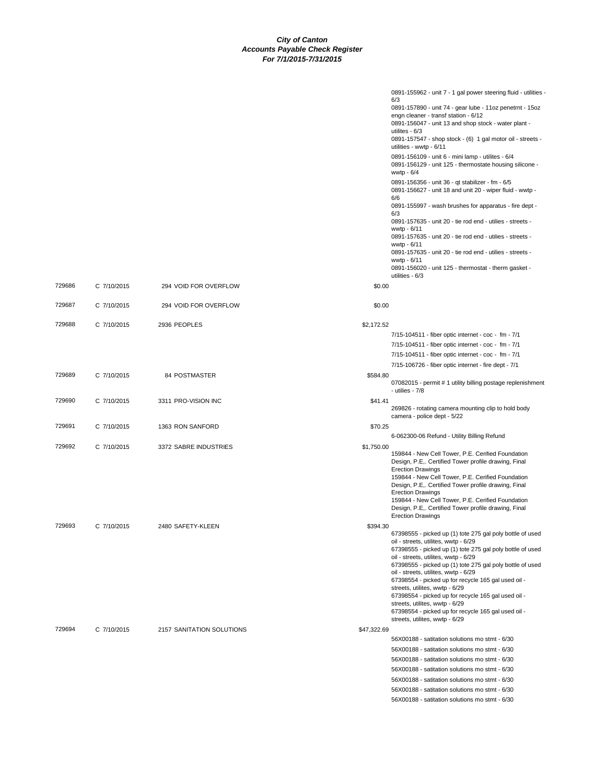|        |             |                           |             | 0891-155962 - unit 7 - 1 gal power steering fluid - utilities -<br>6/3<br>0891-157890 - unit 74 - gear lube - 11oz penetrnt - 15oz<br>engn cleaner - transf station - 6/12<br>0891-156047 - unit 13 and shop stock - water plant -<br>utilites - $6/3$<br>0891-157547 - shop stock - (6) 1 gal motor oil - streets -<br>utilities - wwtp - 6/11<br>0891-156109 - unit 6 - mini lamp - utilites - 6/4<br>0891-156129 - unit 125 - thermostate housing silicone -<br>wwtp $-6/4$<br>0891-156356 - unit 36 - qt stabilizer - fm - 6/5<br>0891-156627 - unit 18 and unit 20 - wiper fluid - wwtp -<br>6/6<br>0891-155997 - wash brushes for apparatus - fire dept -<br>6/3<br>0891-157635 - unit 20 - tie rod end - utilies - streets -<br>wwtp - 6/11<br>0891-157635 - unit 20 - tie rod end - utilies - streets -<br>wwtp - 6/11<br>0891-157635 - unit 20 - tie rod end - utilies - streets -<br>wwtp - 6/11<br>0891-156020 - unit 125 - thermostat - therm gasket - |
|--------|-------------|---------------------------|-------------|--------------------------------------------------------------------------------------------------------------------------------------------------------------------------------------------------------------------------------------------------------------------------------------------------------------------------------------------------------------------------------------------------------------------------------------------------------------------------------------------------------------------------------------------------------------------------------------------------------------------------------------------------------------------------------------------------------------------------------------------------------------------------------------------------------------------------------------------------------------------------------------------------------------------------------------------------------------------|
| 729686 | C 7/10/2015 | 294 VOID FOR OVERFLOW     | \$0.00      | utilities - 6/3                                                                                                                                                                                                                                                                                                                                                                                                                                                                                                                                                                                                                                                                                                                                                                                                                                                                                                                                                    |
| 729687 | C 7/10/2015 | 294 VOID FOR OVERFLOW     | \$0.00      |                                                                                                                                                                                                                                                                                                                                                                                                                                                                                                                                                                                                                                                                                                                                                                                                                                                                                                                                                                    |
| 729688 | C 7/10/2015 | 2936 PEOPLES              | \$2,172.52  | 7/15-104511 - fiber optic internet - coc - fm - 7/1<br>7/15-104511 - fiber optic internet - coc - fm - 7/1<br>7/15-104511 - fiber optic internet - coc - fm - 7/1                                                                                                                                                                                                                                                                                                                                                                                                                                                                                                                                                                                                                                                                                                                                                                                                  |
| 729689 | C 7/10/2015 | 84 POSTMASTER             | \$584.80    | 7/15-106726 - fiber optic internet - fire dept - 7/1<br>07082015 - permit # 1 utility billing postage replenishment<br>- utilies - 7/8                                                                                                                                                                                                                                                                                                                                                                                                                                                                                                                                                                                                                                                                                                                                                                                                                             |
| 729690 | C 7/10/2015 | 3311 PRO-VISION INC       | \$41.41     | 269826 - rotating camera mounting clip to hold body<br>camera - police dept - 5/22                                                                                                                                                                                                                                                                                                                                                                                                                                                                                                                                                                                                                                                                                                                                                                                                                                                                                 |
| 729691 | C 7/10/2015 | 1363 RON SANFORD          | \$70.25     | 6-062300-06 Refund - Utility Billing Refund                                                                                                                                                                                                                                                                                                                                                                                                                                                                                                                                                                                                                                                                                                                                                                                                                                                                                                                        |
| 729692 | C 7/10/2015 | 3372 SABRE INDUSTRIES     | \$1,750.00  | 159844 - New Cell Tower, P.E. Cerified Foundation<br>Design, P.E,. Certified Tower profile drawing, Final<br><b>Erection Drawings</b><br>159844 - New Cell Tower, P.E. Cerified Foundation<br>Design, P.E,. Certified Tower profile drawing, Final<br><b>Erection Drawings</b><br>159844 - New Cell Tower, P.E. Cerified Foundation<br>Design, P.E Certified Tower profile drawing, Final<br><b>Erection Drawings</b>                                                                                                                                                                                                                                                                                                                                                                                                                                                                                                                                              |
| 729693 | C 7/10/2015 | 2480 SAFETY-KLEEN         | \$394.30    | 67398555 - picked up (1) tote 275 gal poly bottle of used<br>oil - streets, utilites, wwtp - 6/29<br>67398555 - picked up (1) tote 275 gal poly bottle of used<br>oil - streets, utilites, wwtp - 6/29<br>67398555 - picked up (1) tote 275 gal poly bottle of used<br>oil - streets, utilites, wwtp - 6/29<br>67398554 - picked up for recycle 165 gal used oil -<br>streets, utilites, wwtp - 6/29<br>67398554 - picked up for recycle 165 gal used oil -<br>streets, utilites, wwtp - 6/29<br>67398554 - picked up for recycle 165 gal used oil -<br>streets, utilites, wwtp - 6/29                                                                                                                                                                                                                                                                                                                                                                             |
| 729694 | C 7/10/2015 | 2157 SANITATION SOLUTIONS | \$47,322.69 | 56X00188 - satitation solutions mo stmt - 6/30<br>56X00188 - satitation solutions mo stmt - 6/30<br>56X00188 - satitation solutions mo stmt - 6/30<br>56X00188 - satitation solutions mo stmt - 6/30<br>56X00188 - satitation solutions mo stmt - 6/30<br>56X00188 - satitation solutions mo stmt - 6/30<br>56X00188 - satitation solutions mo stmt - 6/30                                                                                                                                                                                                                                                                                                                                                                                                                                                                                                                                                                                                         |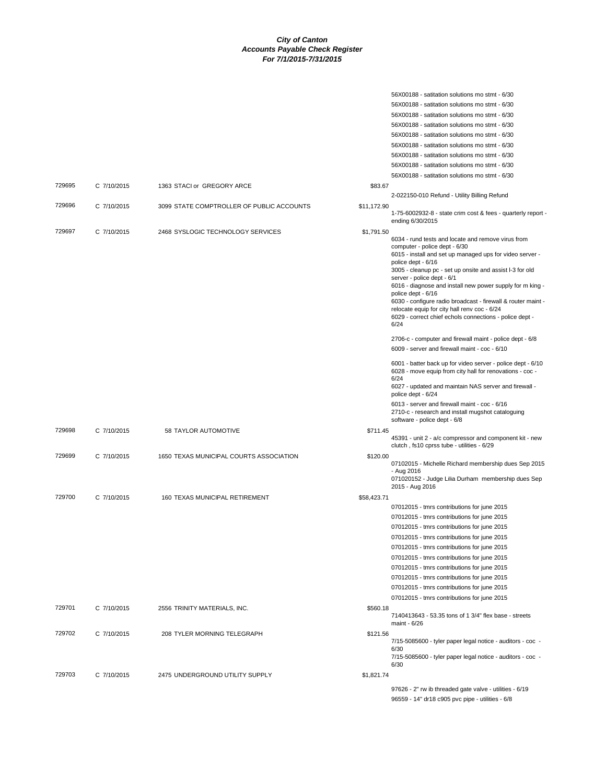|        |             |                                           |             | 56X00188 - satitation solutions mo stmt - 6/30                                            |
|--------|-------------|-------------------------------------------|-------------|-------------------------------------------------------------------------------------------|
|        |             |                                           |             | 56X00188 - satitation solutions mo stmt - 6/30                                            |
|        |             |                                           |             | 56X00188 - satitation solutions mo stmt - 6/30                                            |
|        |             |                                           |             | 56X00188 - satitation solutions mo stmt - 6/30                                            |
|        |             |                                           |             | 56X00188 - satitation solutions mo stmt - 6/30                                            |
|        |             |                                           |             | 56X00188 - satitation solutions mo stmt - 6/30                                            |
|        |             |                                           |             | 56X00188 - satitation solutions mo stmt - 6/30                                            |
|        |             |                                           |             | 56X00188 - satitation solutions mo stmt - 6/30                                            |
|        |             |                                           |             | 56X00188 - satitation solutions mo stmt - 6/30                                            |
| 729695 | C 7/10/2015 | 1363 STACI or GREGORY ARCE                | \$83.67     |                                                                                           |
|        |             |                                           |             | 2-022150-010 Refund - Utility Billing Refund                                              |
| 729696 | C 7/10/2015 | 3099 STATE COMPTROLLER OF PUBLIC ACCOUNTS | \$11,172.90 |                                                                                           |
|        |             |                                           |             | 1-75-6002932-8 - state crim cost & fees - quarterly report -                              |
|        |             |                                           |             | ending 6/30/2015                                                                          |
| 729697 | C 7/10/2015 | 2468 SYSLOGIC TECHNOLOGY SERVICES         | \$1,791.50  |                                                                                           |
|        |             |                                           |             | 6034 - rund tests and locate and remove virus from                                        |
|        |             |                                           |             | computer - police dept - 6/30<br>6015 - install and set up managed ups for video server - |
|        |             |                                           |             | police dept - 6/16                                                                        |
|        |             |                                           |             | 3005 - cleanup pc - set up onsite and assist I-3 for old                                  |
|        |             |                                           |             | server - police dept - 6/1<br>6016 - diagnose and install new power supply for m king -   |
|        |             |                                           |             | police dept - 6/16                                                                        |
|        |             |                                           |             | 6030 - configure radio broadcast - firewall & router maint -                              |
|        |             |                                           |             | relocate equip for city hall renv coc - 6/24                                              |
|        |             |                                           |             | 6029 - correct chief echols connections - police dept -<br>6/24                           |
|        |             |                                           |             |                                                                                           |
|        |             |                                           |             | 2706-c - computer and firewall maint - police dept - 6/8                                  |
|        |             |                                           |             | 6009 - server and firewall maint - coc - 6/10                                             |
|        |             |                                           |             | 6001 - batter back up for video server - police dept - 6/10                               |
|        |             |                                           |             | 6028 - move equip from city hall for renovations - coc -                                  |
|        |             |                                           |             | 6/24                                                                                      |
|        |             |                                           |             | 6027 - updated and maintain NAS server and firewall -<br>police dept - 6/24               |
|        |             |                                           |             | 6013 - server and firewall maint - coc - 6/16                                             |
|        |             |                                           |             | 2710-c - research and install mugshot cataloguing                                         |
|        |             |                                           |             | software - police dept - 6/8                                                              |
| 729698 | C 7/10/2015 | 58 TAYLOR AUTOMOTIVE                      | \$711.45    |                                                                                           |
|        |             |                                           |             | 45391 - unit 2 - a/c compressor and component kit - new                                   |
|        |             |                                           |             | clutch, fs10 cprss tube - utilities - 6/29                                                |
| 729699 | C 7/10/2015 | 1650 TEXAS MUNICIPAL COURTS ASSOCIATION   | \$120.00    | 07102015 - Michelle Richard membership dues Sep 2015                                      |
|        |             |                                           |             | - Aug 2016                                                                                |
|        |             |                                           |             | 071020152 - Judge Lilia Durham membership dues Sep                                        |
|        |             |                                           |             | 2015 - Aug 2016                                                                           |
| 729700 | C 7/10/2015 | 160 TEXAS MUNICIPAL RETIREMENT            | \$58,423.71 |                                                                                           |
|        |             |                                           |             | 07012015 - tmrs contributions for june 2015                                               |
|        |             |                                           |             | 07012015 - tmrs contributions for june 2015                                               |
|        |             |                                           |             | 07012015 - tmrs contributions for june 2015                                               |
|        |             |                                           |             | 07012015 - tmrs contributions for june 2015                                               |
|        |             |                                           |             | 07012015 - tmrs contributions for june 2015                                               |
|        |             |                                           |             | 07012015 - tmrs contributions for june 2015                                               |
|        |             |                                           |             | 07012015 - tmrs contributions for june 2015                                               |
|        |             |                                           |             | 07012015 - tmrs contributions for june 2015                                               |
|        |             |                                           |             | 07012015 - tmrs contributions for june 2015                                               |
|        |             |                                           |             | 07012015 - tmrs contributions for june 2015                                               |
| 729701 | C 7/10/2015 | 2556 TRINITY MATERIALS, INC.              | \$560.18    |                                                                                           |
|        |             |                                           |             | 7140413643 - 53.35 tons of 1 3/4" flex base - streets<br>maint - 6/26                     |
|        |             |                                           |             |                                                                                           |
| 729702 | C 7/10/2015 | 208 TYLER MORNING TELEGRAPH               | \$121.56    | 7/15-5085600 - tyler paper legal notice - auditors - coc -                                |
|        |             |                                           |             | 6/30                                                                                      |
|        |             |                                           |             | 7/15-5085600 - tyler paper legal notice - auditors - coc -                                |
|        |             |                                           |             | 6/30                                                                                      |
| 729703 | C 7/10/2015 | 2475 UNDERGROUND UTILITY SUPPLY           | \$1,821.74  |                                                                                           |
|        |             |                                           |             | 97626 - 2" rw ib threaded gate valve - utilities - 6/19                                   |
|        |             |                                           |             | 96559 - 14" dr18 c905 pvc pipe - utilities - 6/8                                          |
|        |             |                                           |             |                                                                                           |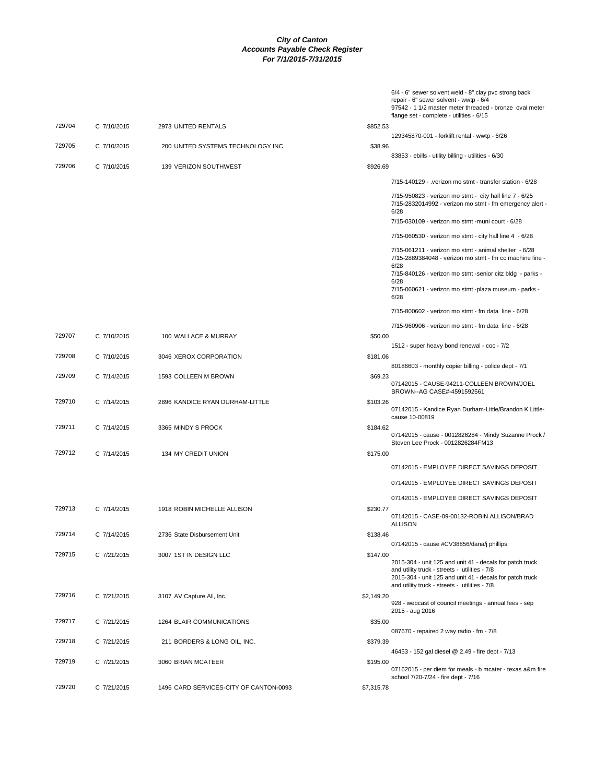|        |             |                                        |            | 6/4 - 6" sewer solvent weld - 8" clay pvc strong back<br>repair - 6" sewer solvent - wwtp - 6/4<br>97542 - 1 1/2 master meter threaded - bronze oval meter                                                             |
|--------|-------------|----------------------------------------|------------|------------------------------------------------------------------------------------------------------------------------------------------------------------------------------------------------------------------------|
|        |             |                                        |            | flange set - complete - utilities - 6/15                                                                                                                                                                               |
| 729704 | C 7/10/2015 | 2973 UNITED RENTALS                    | \$852.53   | 129345870-001 - forklift rental - wwtp - 6/26                                                                                                                                                                          |
| 729705 | C 7/10/2015 | 200 UNITED SYSTEMS TECHNOLOGY INC      | \$38.96    |                                                                                                                                                                                                                        |
|        |             |                                        |            | 83853 - ebills - utility billing - utilities - 6/30                                                                                                                                                                    |
| 729706 | C 7/10/2015 | 139 VERIZON SOUTHWEST                  | \$926.69   |                                                                                                                                                                                                                        |
|        |             |                                        |            | 7/15-140129 - .verizon mo stmt - transfer station - 6/28                                                                                                                                                               |
|        |             |                                        |            | 7/15-950823 - verizon mo stmt - city hall line 7 - 6/25<br>7/15-2832014992 - verizon mo stmt - fm emergency alert -<br>6/28                                                                                            |
|        |             |                                        |            | 7/15-030109 - verizon mo stmt -muni court - 6/28                                                                                                                                                                       |
|        |             |                                        |            | 7/15-060530 - verizon mo stmt - city hall line 4 - 6/28                                                                                                                                                                |
|        |             |                                        |            | 7/15-061211 - verizon mo stmt - animal shelter - 6/28<br>7/15-2889384048 - verizon mo stmt - fm cc machine line -<br>6/28                                                                                              |
|        |             |                                        |            | 7/15-840126 - verizon mo stmt -senior citz bldg - parks -<br>6/28                                                                                                                                                      |
|        |             |                                        |            | 7/15-060621 - verizon mo stmt -plaza museum - parks -<br>6/28                                                                                                                                                          |
|        |             |                                        |            | 7/15-800602 - verizon mo stmt - fm data line - 6/28                                                                                                                                                                    |
|        |             |                                        |            | 7/15-960906 - verizon mo stmt - fm data line - 6/28                                                                                                                                                                    |
| 729707 | C 7/10/2015 | 100 WALLACE & MURRAY                   | \$50.00    |                                                                                                                                                                                                                        |
|        |             |                                        | \$181.06   | 1512 - super heavy bond renewal - coc - 7/2                                                                                                                                                                            |
| 729708 | C 7/10/2015 | 3046 XEROX CORPORATION                 |            | 80186603 - monthly copier billing - police dept - 7/1                                                                                                                                                                  |
| 729709 | C 7/14/2015 | 1593 COLLEEN M BROWN                   | \$69.23    | 07142015 - CAUSE-94211-COLLEEN BROWN/JOEL<br>BROWN--AG CASE#-4591592561                                                                                                                                                |
| 729710 | C 7/14/2015 | 2896 KANDICE RYAN DURHAM-LITTLE        | \$103.26   | 07142015 - Kandice Ryan Durham-Little/Brandon K Little-<br>cause 10-00819                                                                                                                                              |
| 729711 | C 7/14/2015 | 3365 MINDY S PROCK                     | \$184.62   | 07142015 - cause - 0012826284 - Mindy Suzanne Prock /                                                                                                                                                                  |
| 729712 | C 7/14/2015 | 134 MY CREDIT UNION                    | \$175.00   | Steven Lee Prock - 0012826284FM13                                                                                                                                                                                      |
|        |             |                                        |            | 07142015 - EMPLOYEE DIRECT SAVINGS DEPOSIT                                                                                                                                                                             |
|        |             |                                        |            | 07142015 - EMPLOYEE DIRECT SAVINGS DEPOSIT                                                                                                                                                                             |
|        |             |                                        |            | 07142015 - EMPLOYEE DIRECT SAVINGS DEPOSIT                                                                                                                                                                             |
| 729713 | C 7/14/2015 | 1918 ROBIN MICHELLE ALLISON            | \$230.77   |                                                                                                                                                                                                                        |
|        |             |                                        |            | 07142015 - CASE-09-00132-ROBIN ALLISON/BRAD<br><b>ALLISON</b>                                                                                                                                                          |
| 729714 | C 7/14/2015 | 2736 State Disbursement Unit           | \$138.46   |                                                                                                                                                                                                                        |
| 729715 | C 7/21/2015 |                                        | \$147.00   | 07142015 - cause #CV38856/dana/j phillips                                                                                                                                                                              |
|        |             | 3007 1ST IN DESIGN LLC                 |            | 2015-304 - unit 125 and unit 41 - decals for patch truck<br>and utility truck - streets - utilities - 7/8<br>2015-304 - unit 125 and unit 41 - decals for patch truck<br>and utility truck - streets - utilities - 7/8 |
| 729716 | C 7/21/2015 | 3107 AV Capture All, Inc.              | \$2,149.20 | 928 - webcast of council meetings - annual fees - sep<br>2015 - aug 2016                                                                                                                                               |
| 729717 | C 7/21/2015 | 1264 BLAIR COMMUNICATIONS              | \$35.00    |                                                                                                                                                                                                                        |
| 729718 | C 7/21/2015 | 211 BORDERS & LONG OIL, INC.           | \$379.39   | 087670 - repaired 2 way radio - fm - 7/8                                                                                                                                                                               |
|        |             |                                        |            | 46453 - 152 gal diesel @ 2.49 - fire dept - 7/13                                                                                                                                                                       |
| 729719 | C 7/21/2015 | 3060 BRIAN MCATEER                     | \$195.00   | 07162015 - per diem for meals - b mcater - texas a&m fire<br>school 7/20-7/24 - fire dept - 7/16                                                                                                                       |
| 729720 | C 7/21/2015 | 1496 CARD SERVICES-CITY OF CANTON-0093 | \$7,315.78 |                                                                                                                                                                                                                        |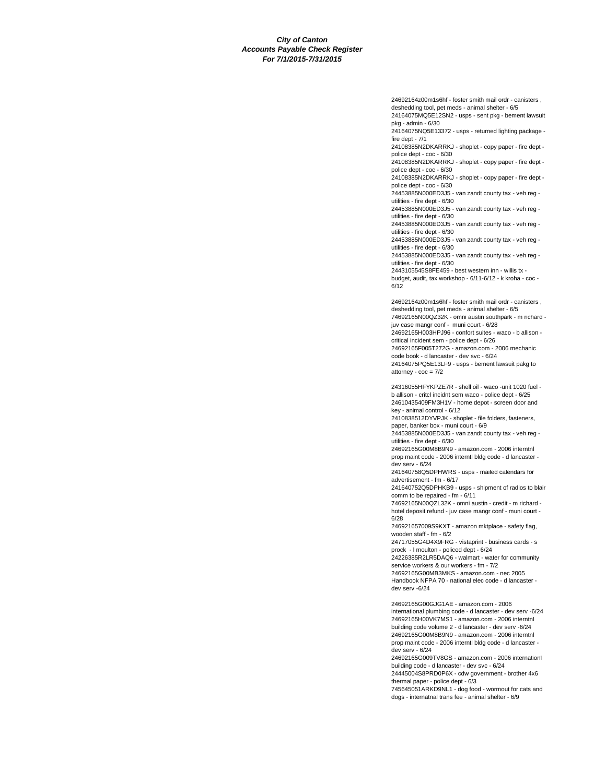24692164z00m1s6hf - foster smith mail ordr - canisters , deshedding tool, pet meds - animal shelter - 6/5

24164075MQ5E12SN2 - usps - sent pkg - bement lawsuit pkg - admin - 6/30

24164075NQ5E13372 - usps - returned lighting package fire dept - 7/1

24108385N2DKARRKJ - shoplet - copy paper - fire dept police dept - coc - 6/30

24108385N2DKARRKJ - shoplet - copy paper - fire dept police dept - coc - 6/30

24108385N2DKARRKJ - shoplet - copy paper - fire dept police dept - coc - 6/30

24453885N000ED3J5 - van zandt county tax - veh reg utilities - fire dept - 6/30

24453885N000ED3J5 - van zandt county tax - veh reg utilities - fire dept - 6/30

24453885N000ED3J5 - van zandt county tax - veh reg utilities - fire dept - 6/30

24453885N000ED3J5 - van zandt county tax - veh reg utilities - fire dept - 6/30

24453885N000ED3J5 - van zandt county tax - veh reg utilities - fire dept - 6/30

2443105545S8FE459 - best western inn - willis tx -

budget, audit, tax workshop - 6/11-6/12 - k kroha - coc - 6/12

24692164z00m1s6hf - foster smith mail ordr - canisters , deshedding tool, pet meds - animal shelter - 6/5 74692165N00QZ32K - omni austin southpark - m richard juv case mangr conf - muni court - 6/28 24692165H003HPJ96 - confort suites - waco - b allison critical incident sem - police dept - 6/26

24692165F005T272G - amazon.com - 2006 mechanic code book - d lancaster - dev svc - 6/24

24164075PQ5E13LF9 - usps - bement lawsuit pakg to attorney -  $\csc = 7/2$ 

24316055HFYKPZE7R - shell oil - waco -unit 1020 fuel b allison - critcl incidnt sem waco - police dept - 6/25 24610435409FM3H1V - home depot - screen door and key - animal control - 6/12

2410838512DYVPJK - shoplet - file folders, fasteners, paper, banker box - muni court - 6/9

24453885N000ED3J5 - van zandt county tax - veh reg utilities - fire dept - 6/30

24692165G00M8B9N9 - amazon.com - 2006 interntnl prop maint code - 2006 interntl bldg code - d lancaster dev serv - 6/24

241640758Q5DPHWRS - usps - mailed calendars for advertisement - fm - 6/17

241640752Q5DPHKB9 - usps - shipment of radios to blair comm to be repaired - fm - 6/11

74692165N00QZL32K - omni austin - credit - m richard hotel deposit refund - juv case mangr conf - muni court - 6/28

246921657009S9KXT - amazon mktplace - safety flag, wooden staff - fm - 6/2

24717055G4D4X9FRG - vistaprint - business cards - s prock - l moulton - policed dept - 6/24

24226385R2LR5DAQ6 - walmart - water for community service workers & our workers - fm - 7/2

24692165G00MB3MKS - amazon.com - nec 2005 Handbook NFPA 70 - national elec code - d lancaster dev serv -6/24

24692165G00GJG1AE - amazon.com - 2006 international plumbing code - d lancaster - dev serv -6/24 24692165H00VK7MS1 - amazon.com - 2006 interntnl building code volume 2 - d lancaster - dev serv -6/24 24692165G00M8B9N9 - amazon.com - 2006 interntnl prop maint code - 2006 interntl bldg code - d lancaster dev serv - 6/24

24692165G009TV8GS - amazon.com - 2006 internationl building code - d lancaster - dev svc - 6/24 24445004S8PRD0P6X - cdw government - brother 4x6

thermal paper - police dept - 6/3

745645051ARKD9NL1 - dog food - wormout for cats and dogs - internatnal trans fee - animal shelter - 6/9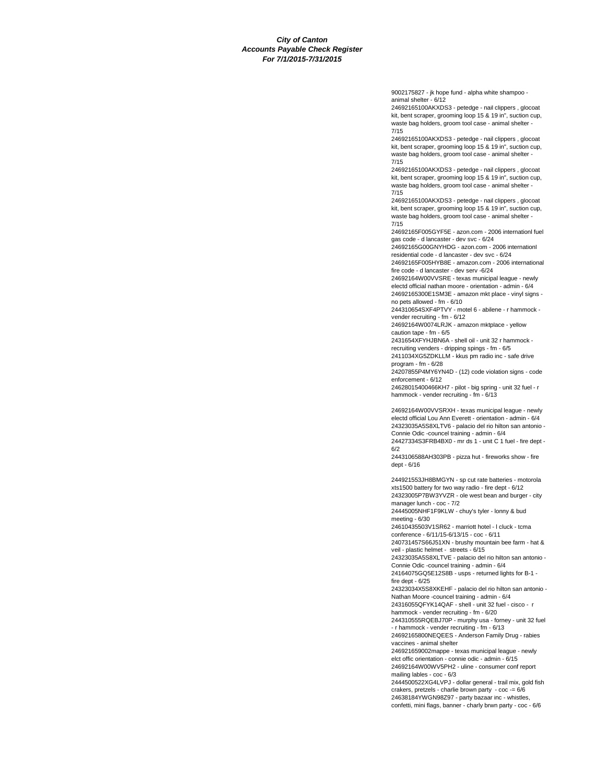9002175827 - jk hope fund - alpha white shampoo animal shelter - 6/12

24692165100AKXDS3 - petedge - nail clippers , glocoat kit, bent scraper, grooming loop 15 & 19 in", suction cup, waste bag holders, groom tool case - animal shelter - 7/15

24692165100AKXDS3 - petedge - nail clippers , glocoat kit, bent scraper, grooming loop 15 & 19 in", suction cup, waste bag holders, groom tool case - animal shelter -7/15

24692165100AKXDS3 - petedge - nail clippers , glocoat kit, bent scraper, grooming loop 15 & 19 in", suction cup, waste bag holders, groom tool case - animal shelter - 7/15

24692165100AKXDS3 - petedge - nail clippers , glocoat kit, bent scraper, grooming loop 15 & 19 in", suction cup, waste bag holders, groom tool case - animal shelter - 7/15

24692165F005GYF5E - azon.com - 2006 internationl fuel gas code - d lancaster - dev svc - 6/24

24692165G00GNYHDG - azon.com - 2006 internationl residential code - d lancaster - dev svc - 6/24

24692165F005HYB8E - amazon.com - 2006 international fire code - d lancaster - dev serv -6/24

24692164W00VVSRE - texas municipal league - newly electd official nathan moore - orientation - admin - 6/4 24692165300E1SM3E - amazon mkt place - vinyl signs -

no pets allowed - fm - 6/10 244310654SXF4PTVY - motel 6 - abilene - r hammock -

vender recruiting - fm - 6/12 24692164W0074LRJK - amazon mktplace - yellow

caution tape - fm - 6/5 2431654XFYHJBN6A - shell oil - unit 32 r hammock -

recruiting venders - dripping spings - fm - 6/5 2411034XG5ZDKLLM - kkus pm radio inc - safe drive program - fm - 6/28

24207855P4MY6YN4D - (12) code violation signs - code enforcement - 6/12

24628015400466KH7 - pilot - big spring - unit 32 fuel - r hammock - vender recruiting - fm - 6/13

24692164W00VVSRXH - texas municipal league - newly electd official Lou Ann Everett - orientation - admin - 6/4 24323035A5S8XLTV6 - palacio del rio hilton san antonio - Connie Odic -councel training - admin - 6/4

24427334S3FRB4BX0 - mr ds 1 - unit C 1 fuel - fire dept - 6/2

2443106588AH303PB - pizza hut - fireworks show - fire dept - 6/16

244921553JH8BMGYN - sp cut rate batteries - motorola xts1500 battery for two way radio - fire dept - 6/12 24323005P7BW3YVZR - ole west bean and burger - city

manager lunch - coc - 7/2 24445005NHF1F9KLW - chuy's tyler - lonny & bud meeting - 6/30

24610435503V1SR62 - marriott hotel - l cluck - tcma conference - 6/11/15-6/13/15 - coc - 6/11

240731457S66J51XN - brushy mountain bee farm - hat & veil - plastic helmet - streets - 6/15

24323035A5S8XLTVE - palacio del rio hilton san antonio - Connie Odic -councel training - admin - 6/4

24164075GQ5E12S8B - usps - returned lights for B-1 fire dept - 6/25

24323034X5S8XKEHF - palacio del rio hilton san antonio - Nathan Moore -councel training - admin - 6/4

24316055QFYK14QAF - shell - unit 32 fuel - cisco - r hammock - vender recruiting - fm - 6/20

244310555RQEBJ70P - murphy usa - forney - unit 32 fuel - r hammock - vender recruiting - fm - 6/13 24692165800NEQEES - Anderson Family Drug - rabies

vaccines - animal shelter

246921659002mappe - texas municipal league - newly elct offic orientation - connie odic - admin - 6/15 24692164W00WV5PH2 - uline - consumer conf report mailing lables - coc - 6/3

2444500522XG4LVPJ - dollar general - trail mix, gold fish crakers, pretzels - charlie brown party - coc -= 6/6 24638184YWGN98Z97 - party bazaar inc - whistles, confetti, mini flags, banner - charly brwn party - coc - 6/6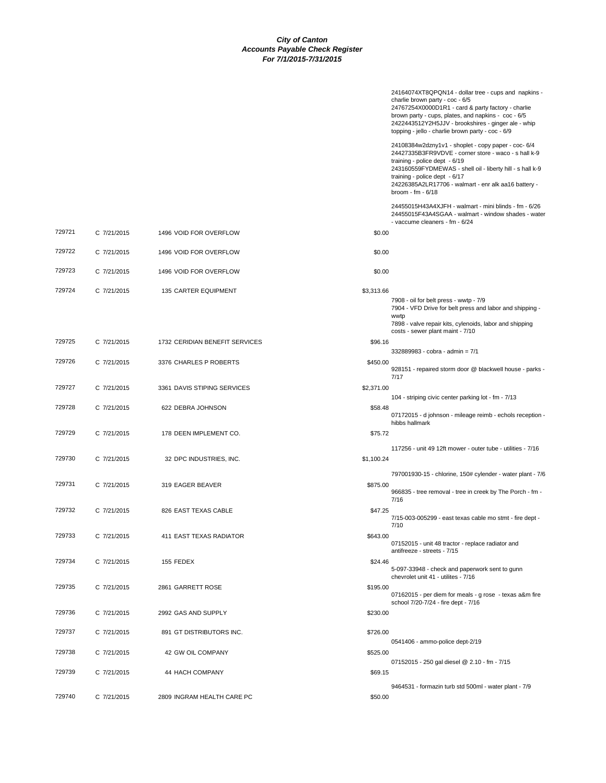|        |             |                                |            | 24164074XT8QPQN14 - dollar tree - cups and napkins -<br>charlie brown party - coc - 6/5<br>24767254X0000D1R1 - card & party factory - charlie<br>brown party - cups, plates, and napkins - coc - 6/5<br>2422443512Y2H5JJV - brookshires - ginger ale - whip<br>topping - jello - charlie brown party - coc - 6/9            |
|--------|-------------|--------------------------------|------------|-----------------------------------------------------------------------------------------------------------------------------------------------------------------------------------------------------------------------------------------------------------------------------------------------------------------------------|
|        |             |                                |            | 24108384w2dzny1v1 - shoplet - copy paper - coc- 6/4<br>24427335B3FR9VDVE - corner store - waco - s hall k-9<br>training - police dept - 6/19<br>243160559FYDMEWAS - shell oil - liberty hill - s hall k-9<br>training - police dept - $6/17$<br>24226385A2LR17706 - walmart - enr alk aa16 battery -<br>broom - $fm - 6/18$ |
|        |             |                                |            | 24455015H43A4XJFH - walmart - mini blinds - fm - 6/26<br>24455015F43A4SGAA - walmart - window shades - water<br>- vaccume cleaners - fm - 6/24                                                                                                                                                                              |
| 729721 | C 7/21/2015 | 1496 VOID FOR OVERFLOW         | \$0.00     |                                                                                                                                                                                                                                                                                                                             |
| 729722 | C 7/21/2015 | 1496 VOID FOR OVERFLOW         | \$0.00     |                                                                                                                                                                                                                                                                                                                             |
| 729723 | C 7/21/2015 | 1496 VOID FOR OVERFLOW         | \$0.00     |                                                                                                                                                                                                                                                                                                                             |
| 729724 | C 7/21/2015 | 135 CARTER EQUIPMENT           | \$3,313.66 |                                                                                                                                                                                                                                                                                                                             |
|        |             |                                |            | 7908 - oil for belt press - wwtp - 7/9<br>7904 - VFD Drive for belt press and labor and shipping -<br>wwtp<br>7898 - valve repair kits, cylenoids, labor and shipping                                                                                                                                                       |
| 729725 | C 7/21/2015 | 1732 CERIDIAN BENEFIT SERVICES | \$96.16    | costs - sewer plant maint - 7/10                                                                                                                                                                                                                                                                                            |
| 729726 | C 7/21/2015 | 3376 CHARLES P ROBERTS         | \$450.00   | 332889983 - cobra - admin = 7/1                                                                                                                                                                                                                                                                                             |
|        |             |                                |            | 928151 - repaired storm door @ blackwell house - parks -<br>7/17                                                                                                                                                                                                                                                            |
| 729727 | C 7/21/2015 | 3361 DAVIS STIPING SERVICES    | \$2,371.00 | 104 - striping civic center parking lot - fm - 7/13                                                                                                                                                                                                                                                                         |
| 729728 | C 7/21/2015 | 622 DEBRA JOHNSON              | \$58.48    | 07172015 - d johnson - mileage reimb - echols reception -                                                                                                                                                                                                                                                                   |
| 729729 | C 7/21/2015 | 178 DEEN IMPLEMENT CO.         | \$75.72    | hibbs hallmark                                                                                                                                                                                                                                                                                                              |
| 729730 | C 7/21/2015 | 32 DPC INDUSTRIES, INC.        | \$1,100.24 | 117256 - unit 49 12ft mower - outer tube - utilities - 7/16                                                                                                                                                                                                                                                                 |
|        |             |                                |            | 797001930-15 - chlorine, 150# cylender - water plant - 7/6                                                                                                                                                                                                                                                                  |
| 729731 | C 7/21/2015 | 319 EAGER BEAVER               | \$875.00   | 966835 - tree removal - tree in creek by The Porch - fm -<br>7/16                                                                                                                                                                                                                                                           |
| 729732 | C 7/21/2015 | 826 EAST TEXAS CABLE           | \$47.25    | 7/15-003-005299 - east texas cable mo stmt - fire dept -<br>7/10                                                                                                                                                                                                                                                            |
| 729733 | C 7/21/2015 | 411 EAST TEXAS RADIATOR        | \$643.00   | 07152015 - unit 48 tractor - replace radiator and                                                                                                                                                                                                                                                                           |
| 729734 | C 7/21/2015 | 155 FEDEX                      | \$24.46    | antifreeze - streets - 7/15<br>5-097-33948 - check and paperwork sent to gunn                                                                                                                                                                                                                                               |
| 729735 | C 7/21/2015 | 2861 GARRETT ROSE              | \$195.00   | chevrolet unit 41 - utilites - 7/16<br>07162015 - per diem for meals - g rose - texas a&m fire                                                                                                                                                                                                                              |
| 729736 | C 7/21/2015 | 2992 GAS AND SUPPLY            | \$230.00   | school 7/20-7/24 - fire dept - 7/16                                                                                                                                                                                                                                                                                         |
| 729737 | C 7/21/2015 | 891 GT DISTRIBUTORS INC.       | \$726.00   |                                                                                                                                                                                                                                                                                                                             |
| 729738 | C 7/21/2015 | 42 GW OIL COMPANY              | \$525.00   | 0541406 - ammo-police dept-2/19                                                                                                                                                                                                                                                                                             |
| 729739 | C 7/21/2015 | 44 HACH COMPANY                | \$69.15    | 07152015 - 250 gal diesel @ 2.10 - fm - 7/15                                                                                                                                                                                                                                                                                |
| 729740 | C 7/21/2015 | 2809 INGRAM HEALTH CARE PC     | \$50.00    | 9464531 - formazin turb std 500ml - water plant - 7/9                                                                                                                                                                                                                                                                       |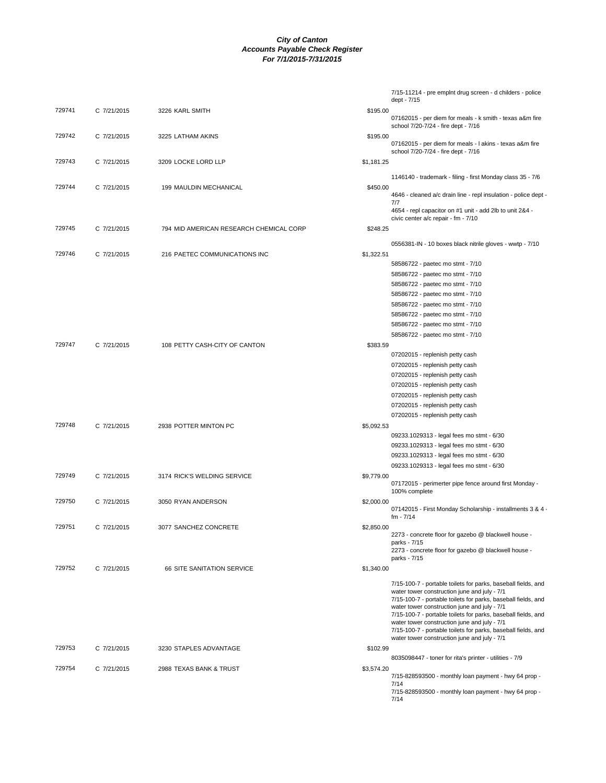|        |             |                                         |            | 7/15-11214 - pre emplnt drug screen - d childers - police                                                     |
|--------|-------------|-----------------------------------------|------------|---------------------------------------------------------------------------------------------------------------|
|        |             |                                         |            | dept - 7/15                                                                                                   |
| 729741 | C 7/21/2015 | 3226 KARL SMITH                         | \$195.00   | 07162015 - per diem for meals - k smith - texas a&m fire<br>school 7/20-7/24 - fire dept - 7/16               |
| 729742 | C 7/21/2015 | 3225 LATHAM AKINS                       | \$195.00   | 07162015 - per diem for meals - I akins - texas a&m fire                                                      |
| 729743 | C 7/21/2015 | 3209 LOCKE LORD LLP                     | \$1,181.25 | school 7/20-7/24 - fire dept - 7/16                                                                           |
|        |             |                                         |            | 1146140 - trademark - filing - first Monday class 35 - 7/6                                                    |
| 729744 | C 7/21/2015 | 199 MAULDIN MECHANICAL                  | \$450.00   | 4646 - cleaned a/c drain line - repl insulation - police dept -                                               |
|        |             |                                         |            | 7/7<br>4654 - repl capacitor on #1 unit - add 2lb to unit 2&4 -                                               |
|        |             |                                         |            | civic center a/c repair - fm - 7/10                                                                           |
| 729745 | C 7/21/2015 | 794 MID AMERICAN RESEARCH CHEMICAL CORP | \$248.25   |                                                                                                               |
| 729746 | C 7/21/2015 | 216 PAETEC COMMUNICATIONS INC           |            | 0556381-IN - 10 boxes black nitrile gloves - wwtp - 7/10                                                      |
|        |             |                                         | \$1,322.51 | 58586722 - paetec mo stmt - 7/10                                                                              |
|        |             |                                         |            |                                                                                                               |
|        |             |                                         |            | 58586722 - paetec mo stmt - 7/10                                                                              |
|        |             |                                         |            | 58586722 - paetec mo stmt - 7/10                                                                              |
|        |             |                                         |            | 58586722 - paetec mo stmt - 7/10                                                                              |
|        |             |                                         |            | 58586722 - paetec mo stmt - 7/10                                                                              |
|        |             |                                         |            | 58586722 - paetec mo stmt - 7/10                                                                              |
|        |             |                                         |            | 58586722 - paetec mo stmt - 7/10                                                                              |
|        |             |                                         |            | 58586722 - paetec mo stmt - 7/10                                                                              |
| 729747 | C 7/21/2015 | 108 PETTY CASH-CITY OF CANTON           | \$383.59   |                                                                                                               |
|        |             |                                         |            | 07202015 - replenish petty cash                                                                               |
|        |             |                                         |            | 07202015 - replenish petty cash                                                                               |
|        |             |                                         |            | 07202015 - replenish petty cash                                                                               |
|        |             |                                         |            | 07202015 - replenish petty cash                                                                               |
|        |             |                                         |            | 07202015 - replenish petty cash                                                                               |
|        |             |                                         |            | 07202015 - replenish petty cash                                                                               |
|        |             |                                         |            | 07202015 - replenish petty cash                                                                               |
| 729748 | C 7/21/2015 | 2938 POTTER MINTON PC                   | \$5,092.53 |                                                                                                               |
|        |             |                                         |            | 09233.1029313 - legal fees mo stmt - 6/30                                                                     |
|        |             |                                         |            | 09233.1029313 - legal fees mo stmt - 6/30                                                                     |
|        |             |                                         |            | 09233.1029313 - legal fees mo stmt - 6/30                                                                     |
|        |             |                                         |            | 09233.1029313 - legal fees mo stmt - 6/30                                                                     |
| 729749 | C 7/21/2015 | 3174 RICK'S WELDING SERVICE             | \$9,779.00 |                                                                                                               |
|        |             |                                         |            | 07172015 - perimerter pipe fence around first Monday -<br>100% complete                                       |
| 729750 | C 7/21/2015 | 3050 RYAN ANDERSON                      | \$2,000.00 |                                                                                                               |
|        |             |                                         |            | 07142015 - First Monday Scholarship - installments 3 & 4 ·<br>fm - 7/14                                       |
| 729751 | C 7/21/2015 | 3077 SANCHEZ CONCRETE                   | \$2,850.00 |                                                                                                               |
|        |             |                                         |            | 2273 - concrete floor for gazebo @ blackwell house -<br>parks - 7/15                                          |
|        |             |                                         |            | 2273 - concrete floor for gazebo @ blackwell house -<br>parks - 7/15                                          |
| 729752 | C 7/21/2015 | 66 SITE SANITATION SERVICE              | \$1,340.00 |                                                                                                               |
|        |             |                                         |            |                                                                                                               |
|        |             |                                         |            | 7/15-100-7 - portable toilets for parks, baseball fields, and<br>water tower construction june and july - 7/1 |
|        |             |                                         |            | 7/15-100-7 - portable toilets for parks, baseball fields, and                                                 |
|        |             |                                         |            | water tower construction june and july - 7/1                                                                  |
|        |             |                                         |            | 7/15-100-7 - portable toilets for parks, baseball fields, and                                                 |
|        |             |                                         |            | water tower construction june and july - 7/1<br>7/15-100-7 - portable toilets for parks, baseball fields, and |
|        |             |                                         |            | water tower construction june and july - 7/1                                                                  |
| 729753 | C 7/21/2015 | 3230 STAPLES ADVANTAGE                  | \$102.99   |                                                                                                               |
|        |             |                                         |            | 8035098447 - toner for rita's printer - utilities - 7/9                                                       |
| 729754 | C 7/21/2015 | 2988 TEXAS BANK & TRUST                 | \$3,574.20 |                                                                                                               |
|        |             |                                         |            | 7/15-828593500 - monthly loan payment - hwy 64 prop -                                                         |
|        |             |                                         |            | 7/14                                                                                                          |
|        |             |                                         |            | 7/15-828593500 - monthly loan payment - hwy 64 prop -<br>7/14                                                 |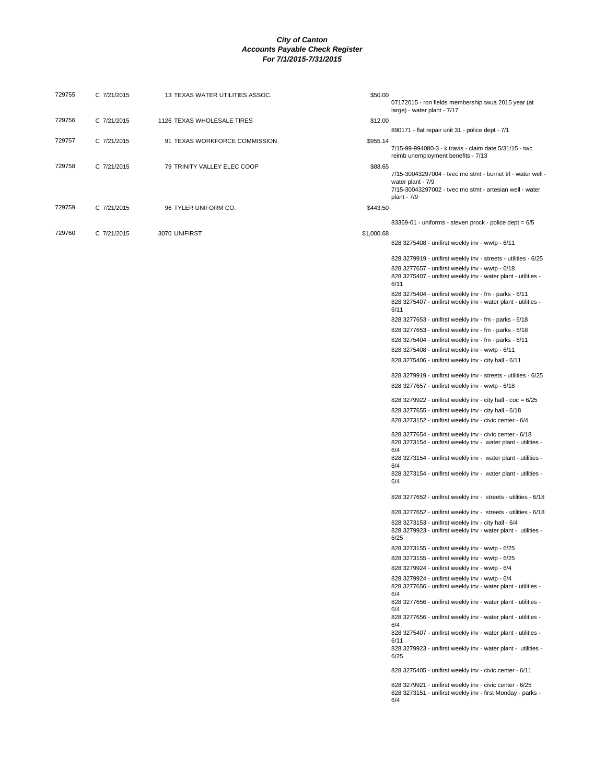| 729755 | C 7/21/2015 | 13 TEXAS WATER UTILITIES ASSOC. | \$50.00    | 07172015 - ron fields membership twua 2015 year (at<br>large) - water plant - 7/17                                                                                                                                                                  |
|--------|-------------|---------------------------------|------------|-----------------------------------------------------------------------------------------------------------------------------------------------------------------------------------------------------------------------------------------------------|
| 729756 | C 7/21/2015 | 1126 TEXAS WHOLESALE TIRES      | \$12.00    |                                                                                                                                                                                                                                                     |
| 729757 | C 7/21/2015 | 91 TEXAS WORKFORCE COMMISSION   | \$955.14   | 890171 - flat repair unit 31 - police dept - 7/1<br>7/15-99-994080-3 - k travis - claim date 5/31/15 - twc<br>reimb unemployment benefits - 7/13                                                                                                    |
| 729758 | C 7/21/2015 | 79 TRINITY VALLEY ELEC COOP     | \$88.65    | 7/15-30043297004 - tvec mo stmt - burnet trl - water well -<br>water plant - 7/9<br>7/15-30043297002 - tvec mo stmt - artesian well - water<br>plant - 7/9                                                                                          |
| 729759 | C 7/21/2015 | 96 TYLER UNIFORM CO.            | \$443.50   |                                                                                                                                                                                                                                                     |
| 729760 | C 7/21/2015 | 3070 UNIFIRST                   | \$1,000.68 | 83369-01 - uniforms - steven prock - police dept = 6/5                                                                                                                                                                                              |
|        |             |                                 |            | 828 3275408 - unifirst weekly inv - wwtp - 6/11                                                                                                                                                                                                     |
|        |             |                                 |            | 828 3279919 - unifirst weekly inv - streets - utilities - 6/25<br>828 3277657 - unifirst weekly inv - wwtp - 6/18<br>828 3275407 - unifirst weekly inv - water plant - utilities -<br>6/11<br>828 3275404 - unifirst weekly inv - fm - parks - 6/11 |
|        |             |                                 |            | 828 3275407 - unifirst weekly inv - water plant - utilities -<br>6/11                                                                                                                                                                               |
|        |             |                                 |            | 828 3277653 - unifirst weekly inv - fm - parks - 6/18                                                                                                                                                                                               |
|        |             |                                 |            | 828 3277653 - unifirst weekly inv - fm - parks - 6/18<br>828 3275404 - unifirst weekly inv - fm - parks - 6/11                                                                                                                                      |
|        |             |                                 |            | 828 3275408 - unifirst weekly inv - wwtp - 6/11                                                                                                                                                                                                     |
|        |             |                                 |            | 828 3275406 - unifirst weekly inv - city hall - 6/11                                                                                                                                                                                                |
|        |             |                                 |            | 828 3279919 - unifirst weekly inv - streets - utilities - 6/25                                                                                                                                                                                      |
|        |             |                                 |            | 828 3277657 - unifirst weekly inv - wwtp - 6/18                                                                                                                                                                                                     |
|        |             |                                 |            | 828 3279922 - unifirst weekly inv - city hall - coc = 6/25                                                                                                                                                                                          |
|        |             |                                 |            | 828 3277655 - unifirst weekly inv - city hall - 6/18                                                                                                                                                                                                |
|        |             |                                 |            | 828 3273152 - unifirst weekly inv - civic center - 6/4                                                                                                                                                                                              |
|        |             |                                 |            | 828 3277654 - unifirst weekly inv - civic center - 6/18<br>828 3273154 - unifirst weekly inv - water plant - utilities -<br>6/4                                                                                                                     |
|        |             |                                 |            | 828 3273154 - unifirst weekly inv - water plant - utilities -<br>6/4                                                                                                                                                                                |
|        |             |                                 |            | 828 3273154 - unifirst weekly inv - water plant - utilities -<br>6/4                                                                                                                                                                                |
|        |             |                                 |            | 828 3277652 - unifirst weekly inv - streets - utilities - 6/18                                                                                                                                                                                      |
|        |             |                                 |            | 828 3277652 - unifirst weekly inv - streets - utilities - 6/18                                                                                                                                                                                      |
|        |             |                                 |            | 828 3273153 - unifirst weekly inv - city hall - 6/4<br>828 3279923 - unifirst weekly inv - water plant - utilities -<br>6/25                                                                                                                        |
|        |             |                                 |            | 828 3273155 - unifirst weekly inv - wwtp - 6/25                                                                                                                                                                                                     |
|        |             |                                 |            | 828 3273155 - unifirst weekly inv - wwtp - 6/25                                                                                                                                                                                                     |
|        |             |                                 |            | 828 3279924 - unifirst weekly inv - wwtp - 6/4                                                                                                                                                                                                      |
|        |             |                                 |            | 828 3279924 - unifirst weekly inv - wwtp - 6/4<br>828 3277656 - unifirst weekly inv - water plant - utilities -<br>6/4                                                                                                                              |
|        |             |                                 |            | 828 3277656 - unifirst weekly inv - water plant - utilities -<br>6/4                                                                                                                                                                                |
|        |             |                                 |            | 828 3277656 - unifirst weekly inv - water plant - utilities -<br>6/4                                                                                                                                                                                |
|        |             |                                 |            | 828 3275407 - unifirst weekly inv - water plant - utilities -<br>6/11                                                                                                                                                                               |
|        |             |                                 |            | 828 3279923 - unifirst weekly inv - water plant - utilities -<br>6/25                                                                                                                                                                               |
|        |             |                                 |            | 828 3275405 - unifirst weekly inv - civic center - 6/11                                                                                                                                                                                             |
|        |             |                                 |            | 828 3279921 - unifirst weekly inv - civic center - 6/25<br>828 3273151 - unifirst weekly inv - first Monday - parks -<br>6/4                                                                                                                        |
|        |             |                                 |            |                                                                                                                                                                                                                                                     |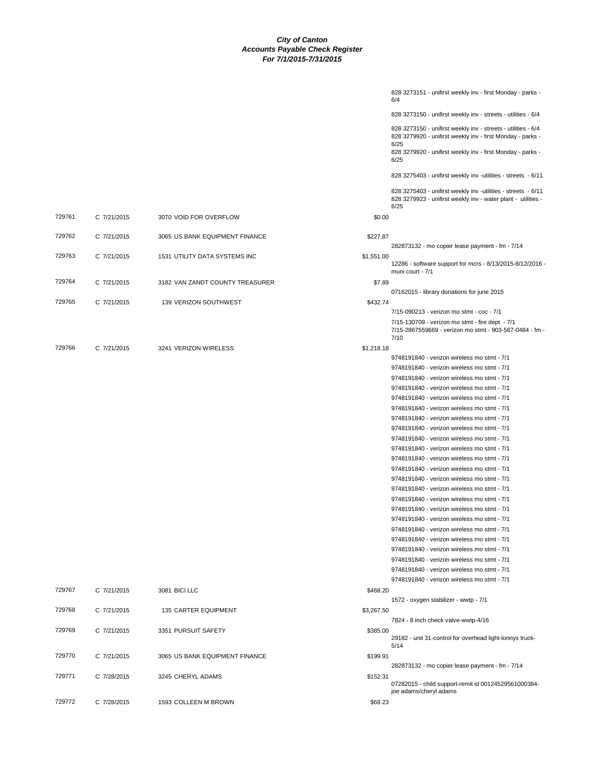|        |             |                                 |            | 828 3273150 - unifirst weekly inv - streets - utilities - 6/4                                                                          |
|--------|-------------|---------------------------------|------------|----------------------------------------------------------------------------------------------------------------------------------------|
|        |             |                                 |            | 828 3273150 - unifirst weekly inv - streets - utilities - 6/4<br>828 3279920 - unifirst weekly inv - first Monday - parks -<br>6/25    |
|        |             |                                 |            | 828 3279920 - unifirst weekly inv - first Monday - parks -<br>6/25                                                                     |
|        |             |                                 |            | 828 3275403 - unifirst weekly inv -utilities - streets - 6/11                                                                          |
|        |             |                                 |            | 828 3275403 - unifirst weekly inv -utilities - streets - 6/11<br>828 3279923 - unifirst weekly inv - water plant - utilities -<br>6/25 |
| 729761 | C 7/21/2015 | 3070 VOID FOR OVERFLOW          | \$0.00     |                                                                                                                                        |
| 729762 | C 7/21/2015 | 3065 US BANK EQUIPMENT FINANCE  | \$227.87   |                                                                                                                                        |
| 729763 | C 7/21/2015 | 1531 UTILITY DATA SYSTEMS INC   | \$1,551.00 | 282873132 - mo copier lease payment - fm - 7/14                                                                                        |
|        |             |                                 |            | 12286 - software support for mcrs - 8/13/2015-8/12/2016 -<br>muni court - 7/1                                                          |
| 729764 | C 7/21/2015 | 3182 VAN ZANDT COUNTY TREASURER | \$7.89     |                                                                                                                                        |
|        |             |                                 |            | 07162015 - library donations for june 2015                                                                                             |
| 729765 | C 7/21/2015 | 139 VERIZON SOUTHWEST           | \$432.74   |                                                                                                                                        |
|        |             |                                 |            | 7/15-090213 - verizon mo stmt - coc - 7/1                                                                                              |
|        |             |                                 |            | 7/15-130709 - verizon mo stmt - fire dept - 7/1<br>7/15-2867559669 - verizon mo stmt - 903-567-0484 - fm -<br>7/10                     |
| 729766 | C 7/21/2015 | 3241 VERIZON WIRELESS           | \$1,218.18 |                                                                                                                                        |
|        |             |                                 |            | 9748191840 - verizon wireless mo stmt - 7/1                                                                                            |
|        |             |                                 |            | 9748191840 - verizon wireless mo stmt - 7/1                                                                                            |
|        |             |                                 |            | 9748191840 - verizon wireless mo stmt - 7/1                                                                                            |
|        |             |                                 |            | 9748191840 - verizon wireless mo stmt - 7/1                                                                                            |
|        |             |                                 |            | 9748191840 - verizon wireless mo stmt - 7/1                                                                                            |
|        |             |                                 |            | 9748191840 - verizon wireless mo stmt - 7/1                                                                                            |
|        |             |                                 |            | 9748191840 - verizon wireless mo stmt - 7/1                                                                                            |
|        |             |                                 |            | 9748191840 - verizon wireless mo stmt - 7/1                                                                                            |
|        |             |                                 |            | 9748191840 - verizon wireless mo stmt - 7/1                                                                                            |
|        |             |                                 |            | 9748191840 - verizon wireless mo stmt - 7/1                                                                                            |
|        |             |                                 |            | 9748191840 - verizon wireless mo stmt - 7/1                                                                                            |
|        |             |                                 |            | 9748191840 - verizon wireless mo stmt - 7/1                                                                                            |
|        |             |                                 |            | 9748191840 - verizon wireless mo stmt - 7/1                                                                                            |
|        |             |                                 |            | 9748191840 - verizon wireless mo stmt - 7/1                                                                                            |
|        |             |                                 |            | 9748191840 - verizon wireless mo stmt - 7/1                                                                                            |
|        |             |                                 |            |                                                                                                                                        |
|        |             |                                 |            | 9748191840 - verizon wireless mo stmt - 7/1                                                                                            |
|        |             |                                 |            | 9748191840 - verizon wireless mo stmt - 7/1                                                                                            |
|        |             |                                 |            | 9748191840 - verizon wireless mo stmt - 7/1                                                                                            |
|        |             |                                 |            | 9748191840 - verizon wireless mo stmt - 7/1                                                                                            |
|        |             |                                 |            | 9748191840 - verizon wireless mo stmt - 7/1                                                                                            |
|        |             |                                 |            | 9748191840 - verizon wireless mo stmt - 7/1                                                                                            |
|        |             |                                 |            | 9748191840 - verizon wireless mo stmt - 7/1                                                                                            |
|        |             |                                 |            | 9748191840 - verizon wireless mo stmt - 7/1                                                                                            |
| 729767 | C 7/21/2015 | 3081 BICI LLC                   | \$468.20   |                                                                                                                                        |
|        |             |                                 |            | 1572 - oxygen stabilizer - wwtp - 7/1                                                                                                  |
| 729768 | C 7/21/2015 | 135 CARTER EQUIPMENT            | \$3,267.50 |                                                                                                                                        |
|        |             |                                 |            | 7824 - 8 inch check valve-wwtp-4/16                                                                                                    |
| 729769 | C 7/21/2015 | 3351 PURSUIT SAFETY             | \$385.00   | 29182 - unit 31-control for overhead light-lonnys truck-                                                                               |
|        |             |                                 |            | 5/14                                                                                                                                   |
| 729770 | C 7/21/2015 | 3065 US BANK EQUIPMENT FINANCE  | \$199.91   |                                                                                                                                        |
|        |             |                                 |            | 282873132 - mo copier lease payment - fm - 7/14                                                                                        |
| 729771 | C 7/28/2015 | 3245 CHERYL ADAMS               | \$152.31   | 07282015 - child support-remit id 00124529561000384-<br>joe adams/cheryl adams                                                         |
| 729772 | C 7/28/2015 | 1593 COLLEEN M BROWN            | \$69.23    |                                                                                                                                        |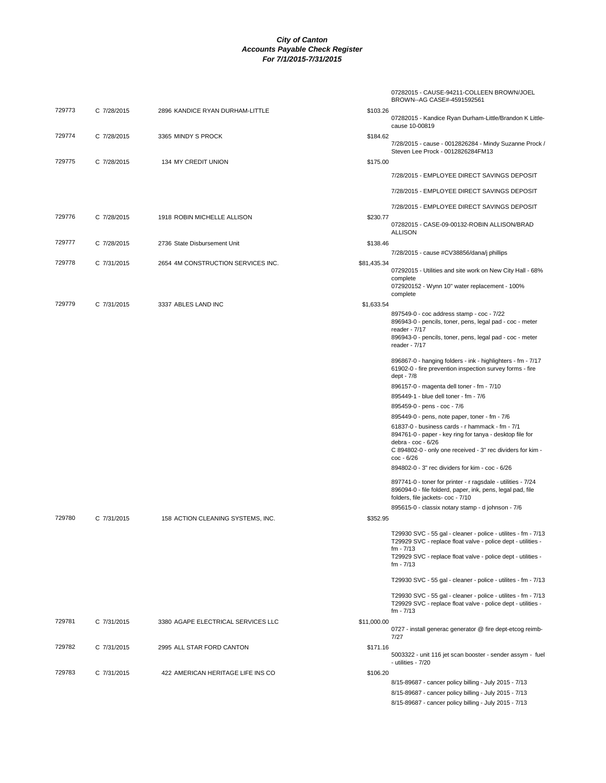|        |             |                                    |             | 07282015 - CAUSE-94211-COLLEEN BROWN/JOEL<br>BROWN--AG CASE#-4591592561                                                                                                                                    |
|--------|-------------|------------------------------------|-------------|------------------------------------------------------------------------------------------------------------------------------------------------------------------------------------------------------------|
| 729773 | C 7/28/2015 | 2896 KANDICE RYAN DURHAM-LITTLE    | \$103.26    | 07282015 - Kandice Ryan Durham-Little/Brandon K Little-<br>cause 10-00819                                                                                                                                  |
| 729774 | C 7/28/2015 | 3365 MINDY S PROCK                 | \$184.62    | 7/28/2015 - cause - 0012826284 - Mindy Suzanne Prock /<br>Steven Lee Prock - 0012826284FM13                                                                                                                |
| 729775 | C 7/28/2015 | 134 MY CREDIT UNION                | \$175.00    |                                                                                                                                                                                                            |
|        |             |                                    |             | 7/28/2015 - EMPLOYEE DIRECT SAVINGS DEPOSIT                                                                                                                                                                |
|        |             |                                    |             | 7/28/2015 - EMPLOYEE DIRECT SAVINGS DEPOSIT                                                                                                                                                                |
|        |             |                                    |             | 7/28/2015 - EMPLOYEE DIRECT SAVINGS DEPOSIT                                                                                                                                                                |
| 729776 | C 7/28/2015 | 1918 ROBIN MICHELLE ALLISON        | \$230.77    | 07282015 - CASE-09-00132-ROBIN ALLISON/BRAD                                                                                                                                                                |
|        |             |                                    |             | <b>ALLISON</b>                                                                                                                                                                                             |
| 729777 | C 7/28/2015 | 2736 State Disbursement Unit       | \$138.46    | 7/28/2015 - cause #CV38856/dana/j phillips                                                                                                                                                                 |
| 729778 | C 7/31/2015 | 2654 4M CONSTRUCTION SERVICES INC. | \$81,435.34 |                                                                                                                                                                                                            |
|        |             |                                    |             | 07292015 - Utilities and site work on New City Hall - 68%<br>complete<br>072920152 - Wynn 10" water replacement - 100%                                                                                     |
|        |             |                                    |             | complete                                                                                                                                                                                                   |
| 729779 | C 7/31/2015 | 3337 ABLES LAND INC                | \$1,633.54  |                                                                                                                                                                                                            |
|        |             |                                    |             | 897549-0 - coc address stamp - coc - 7/22<br>896943-0 - pencils, toner, pens, legal pad - coc - meter<br>reader - 7/17                                                                                     |
|        |             |                                    |             | 896943-0 - pencils, toner, pens, legal pad - coc - meter<br>reader - 7/17                                                                                                                                  |
|        |             |                                    |             | 896867-0 - hanging folders - ink - highlighters - fm - 7/17<br>61902-0 - fire prevention inspection survey forms - fire<br>dept - 7/8                                                                      |
|        |             |                                    |             | 896157-0 - magenta dell toner - fm - 7/10                                                                                                                                                                  |
|        |             |                                    |             | 895449-1 - blue dell toner - fm - 7/6                                                                                                                                                                      |
|        |             |                                    |             | 895459-0 - pens - coc - 7/6                                                                                                                                                                                |
|        |             |                                    |             | 895449-0 - pens, note paper, toner - fm - 7/6                                                                                                                                                              |
|        |             |                                    |             | 61837-0 - business cards - r hammack - fm - 7/1<br>894761-0 - paper - key ring for tanya - desktop file for<br>debra - coc - 6/26                                                                          |
|        |             |                                    |             | C 894802-0 - only one received - 3" rec dividers for kim -<br>coc - 6/26                                                                                                                                   |
|        |             |                                    |             | 894802-0 - 3" rec dividers for kim - coc - 6/26                                                                                                                                                            |
|        |             |                                    |             | 897741-0 - toner for printer - r ragsdale - utilities - 7/24<br>896094-0 - file folderd, paper, ink, pens, legal pad, file<br>folders, file jackets- coc - 7/10                                            |
|        |             |                                    |             | 895615-0 - classix notary stamp - d johnson - 7/6                                                                                                                                                          |
| 729780 | C 7/31/2015 | 158 ACTION CLEANING SYSTEMS, INC.  | \$352.95    |                                                                                                                                                                                                            |
|        |             |                                    |             | T29930 SVC - 55 gal - cleaner - police - utilites - fm - 7/13<br>T29929 SVC - replace float valve - police dept - utilities -<br>fm - 7/13<br>T29929 SVC - replace float valve - police dept - utilities - |
|        |             |                                    |             | fm - 7/13                                                                                                                                                                                                  |
|        |             |                                    |             | T29930 SVC - 55 gal - cleaner - police - utilites - fm - 7/13                                                                                                                                              |
|        |             |                                    |             | T29930 SVC - 55 gal - cleaner - police - utilites - fm - 7/13<br>T29929 SVC - replace float valve - police dept - utilities -<br>fm - 7/13                                                                 |
| 729781 | C 7/31/2015 | 3380 AGAPE ELECTRICAL SERVICES LLC | \$11,000.00 | 0727 - install generac generator @ fire dept-etcog reimb-<br>7/27                                                                                                                                          |
| 729782 | C 7/31/2015 | 2995 ALL STAR FORD CANTON          | \$171.16    | 5003322 - unit 116 jet scan booster - sender assym - fuel<br>- utilities - 7/20                                                                                                                            |
| 729783 | C 7/31/2015 | 422 AMERICAN HERITAGE LIFE INS CO  | \$106.20    |                                                                                                                                                                                                            |
|        |             |                                    |             | 8/15-89687 - cancer policy billing - July 2015 - 7/13                                                                                                                                                      |
|        |             |                                    |             | 8/15-89687 - cancer policy billing - July 2015 - 7/13                                                                                                                                                      |
|        |             |                                    |             | 8/15-89687 - cancer policy billing - July 2015 - 7/13                                                                                                                                                      |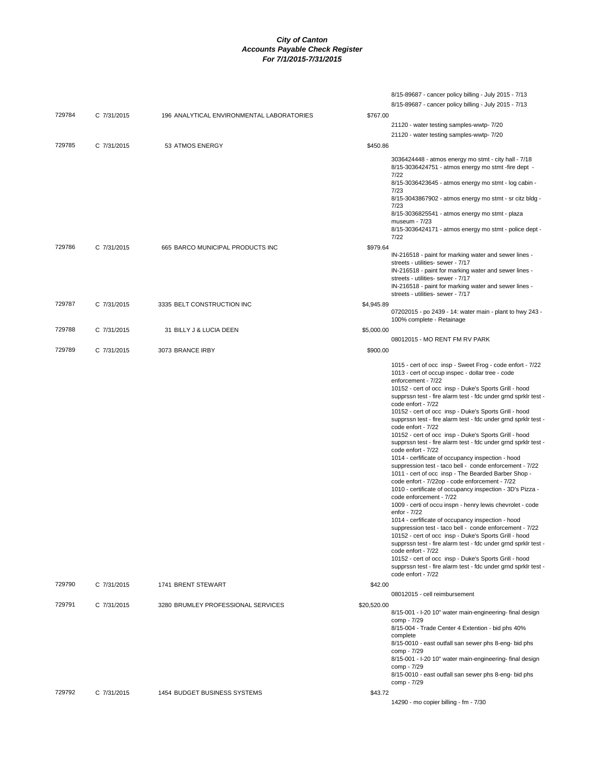|        |             |                                           |             | 8/15-89687 - cancer policy billing - July 2015 - 7/13<br>8/15-89687 - cancer policy billing - July 2015 - 7/13                                                                                                                                                                                                                                                                                                                                                                                                                                                                                                                                                                                                                                                                                                                                                                                                                                                                                                                                                                                                                                                                                                                                                                                                                                                                                         |
|--------|-------------|-------------------------------------------|-------------|--------------------------------------------------------------------------------------------------------------------------------------------------------------------------------------------------------------------------------------------------------------------------------------------------------------------------------------------------------------------------------------------------------------------------------------------------------------------------------------------------------------------------------------------------------------------------------------------------------------------------------------------------------------------------------------------------------------------------------------------------------------------------------------------------------------------------------------------------------------------------------------------------------------------------------------------------------------------------------------------------------------------------------------------------------------------------------------------------------------------------------------------------------------------------------------------------------------------------------------------------------------------------------------------------------------------------------------------------------------------------------------------------------|
| 729784 | C 7/31/2015 | 196 ANALYTICAL ENVIRONMENTAL LABORATORIES | \$767.00    | 21120 - water testing samples-wwtp- 7/20                                                                                                                                                                                                                                                                                                                                                                                                                                                                                                                                                                                                                                                                                                                                                                                                                                                                                                                                                                                                                                                                                                                                                                                                                                                                                                                                                               |
| 729785 | C 7/31/2015 | 53 ATMOS ENERGY                           | \$450.86    | 21120 - water testing samples-wwtp- 7/20                                                                                                                                                                                                                                                                                                                                                                                                                                                                                                                                                                                                                                                                                                                                                                                                                                                                                                                                                                                                                                                                                                                                                                                                                                                                                                                                                               |
|        |             |                                           |             | 3036424448 - atmos energy mo stmt - city hall - 7/18<br>8/15-3036424751 - atmos energy mo stmt -fire dept -<br>7/22<br>8/15-3036423645 - atmos energy mo stmt - log cabin -<br>7/23<br>8/15-3043867902 - atmos energy mo stmt - sr citz bldg -<br>7/23<br>8/15-3036825541 - atmos energy mo stmt - plaza<br>museum - 7/23<br>8/15-3036424171 - atmos energy mo stmt - police dept -<br>7/22                                                                                                                                                                                                                                                                                                                                                                                                                                                                                                                                                                                                                                                                                                                                                                                                                                                                                                                                                                                                            |
| 729786 | C 7/31/2015 | 665 BARCO MUNICIPAL PRODUCTS INC          | \$979.64    | IN-216518 - paint for marking water and sewer lines -<br>streets - utilities- sewer - 7/17<br>IN-216518 - paint for marking water and sewer lines -<br>streets - utilities- sewer - 7/17<br>IN-216518 - paint for marking water and sewer lines -<br>streets - utilities- sewer - 7/17                                                                                                                                                                                                                                                                                                                                                                                                                                                                                                                                                                                                                                                                                                                                                                                                                                                                                                                                                                                                                                                                                                                 |
| 729787 | C 7/31/2015 | 3335 BELT CONSTRUCTION INC                | \$4,945.89  | 07202015 - po 2439 - 14: water main - plant to hwy 243 -                                                                                                                                                                                                                                                                                                                                                                                                                                                                                                                                                                                                                                                                                                                                                                                                                                                                                                                                                                                                                                                                                                                                                                                                                                                                                                                                               |
| 729788 | C 7/31/2015 | 31 BILLY J & LUCIA DEEN                   | \$5,000.00  | 100% complete - Retainage                                                                                                                                                                                                                                                                                                                                                                                                                                                                                                                                                                                                                                                                                                                                                                                                                                                                                                                                                                                                                                                                                                                                                                                                                                                                                                                                                                              |
| 729789 | C 7/31/2015 | 3073 BRANCE IRBY                          | \$900.00    | 08012015 - MO RENT FM RV PARK                                                                                                                                                                                                                                                                                                                                                                                                                                                                                                                                                                                                                                                                                                                                                                                                                                                                                                                                                                                                                                                                                                                                                                                                                                                                                                                                                                          |
|        |             |                                           |             | 1015 - cert of occ insp - Sweet Frog - code enfort - 7/22<br>1013 - cert of occup inspec - dollar tree - code<br>enforcement - 7/22<br>10152 - cert of occ insp - Duke's Sports Grill - hood<br>supprssn test - fire alarm test - fdc under grnd sprklr test -<br>code enfort - 7/22<br>10152 - cert of occ insp - Duke's Sports Grill - hood<br>supprssn test - fire alarm test - fdc under grnd sprklr test -<br>code enfort - 7/22<br>10152 - cert of occ insp - Duke's Sports Grill - hood<br>supprssn test - fire alarm test - fdc under grnd sprklr test -<br>code enfort - 7/22<br>1014 - cerfificate of occupancy inspection - hood<br>suppression test - taco bell - conde enforcement - 7/22<br>1011 - cert of occ insp - The Bearded Barber Shop -<br>code enfort - 7/22op - code enforcement - 7/22<br>1010 - certificate of occupancy inspection - 3D's Pizza -<br>code enforcement - 7/22<br>1009 - certi of occu inspn - henry lewis chevrolet - code<br>enfor - 7/22<br>1014 - cerfificate of occupancy inspection - hood<br>suppression test - taco bell - conde enforcement - 7/22<br>10152 - cert of occ insp - Duke's Sports Grill - hood<br>supprssn test - fire alarm test - fdc under grnd sprklr test -<br>code enfort - 7/22<br>10152 - cert of occ insp - Duke's Sports Grill - hood<br>supprssn test - fire alarm test - fdc under grnd sprklr test -<br>code enfort - 7/22 |
| 729790 | C 7/31/2015 | 1741 BRENT STEWART                        | \$42.00     | 08012015 - cell reimbursement                                                                                                                                                                                                                                                                                                                                                                                                                                                                                                                                                                                                                                                                                                                                                                                                                                                                                                                                                                                                                                                                                                                                                                                                                                                                                                                                                                          |
| 729791 | C 7/31/2015 | 3280 BRUMLEY PROFESSIONAL SERVICES        | \$20,520.00 | 8/15-001 - I-20 10" water main-engineering- final design<br>comp - 7/29<br>8/15-004 - Trade Center 4 Extention - bid phs 40%<br>complete<br>8/15-0010 - east outfall san sewer phs 8-eng- bid phs<br>comp - 7/29<br>8/15-001 - I-20 10" water main-engineering- final design<br>comp - 7/29<br>8/15-0010 - east outfall san sewer phs 8-eng- bid phs<br>comp - 7/29                                                                                                                                                                                                                                                                                                                                                                                                                                                                                                                                                                                                                                                                                                                                                                                                                                                                                                                                                                                                                                    |
| 729792 | C 7/31/2015 | 1454 BUDGET BUSINESS SYSTEMS              | \$43.72     | 14290 - mo copier billing - fm - 7/30                                                                                                                                                                                                                                                                                                                                                                                                                                                                                                                                                                                                                                                                                                                                                                                                                                                                                                                                                                                                                                                                                                                                                                                                                                                                                                                                                                  |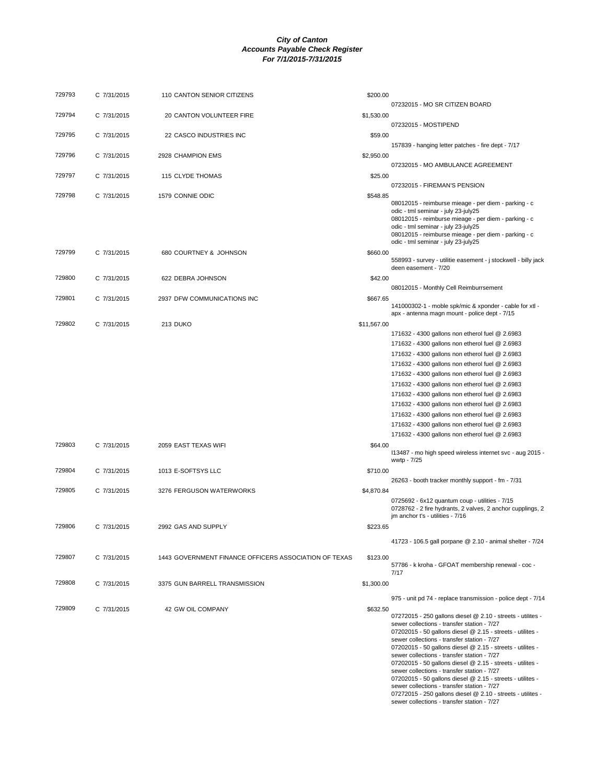| 729793 | C 7/31/2015 | 110 CANTON SENIOR CITIZENS                            | \$200.00    |                                                                                                                                                                                                                                                                                                                                                                                                                                                                                                                 |
|--------|-------------|-------------------------------------------------------|-------------|-----------------------------------------------------------------------------------------------------------------------------------------------------------------------------------------------------------------------------------------------------------------------------------------------------------------------------------------------------------------------------------------------------------------------------------------------------------------------------------------------------------------|
|        |             |                                                       |             | 07232015 - MO SR CITIZEN BOARD                                                                                                                                                                                                                                                                                                                                                                                                                                                                                  |
| 729794 | C 7/31/2015 | 20 CANTON VOLUNTEER FIRE                              | \$1,530.00  | 07232015 - MOSTIPEND                                                                                                                                                                                                                                                                                                                                                                                                                                                                                            |
| 729795 | C 7/31/2015 | 22 CASCO INDUSTRIES INC                               | \$59.00     |                                                                                                                                                                                                                                                                                                                                                                                                                                                                                                                 |
|        |             |                                                       |             | 157839 - hanging letter patches - fire dept - 7/17                                                                                                                                                                                                                                                                                                                                                                                                                                                              |
| 729796 | C 7/31/2015 | 2928 CHAMPION EMS                                     | \$2,950.00  |                                                                                                                                                                                                                                                                                                                                                                                                                                                                                                                 |
|        |             |                                                       |             | 07232015 - MO AMBULANCE AGREEMENT                                                                                                                                                                                                                                                                                                                                                                                                                                                                               |
| 729797 | C 7/31/2015 | 115 CLYDE THOMAS                                      | \$25.00     |                                                                                                                                                                                                                                                                                                                                                                                                                                                                                                                 |
|        |             |                                                       |             | 07232015 - FIREMAN'S PENSION                                                                                                                                                                                                                                                                                                                                                                                                                                                                                    |
| 729798 | C 7/31/2015 | 1579 CONNIE ODIC                                      | \$548.85    | 08012015 - reimburse mieage - per diem - parking - c<br>odic - tml seminar - july 23-july25<br>08012015 - reimburse mieage - per diem - parking - c<br>odic - tml seminar - july 23-july25<br>08012015 - reimburse mieage - per diem - parking - c<br>odic - tml seminar - july 23-july25                                                                                                                                                                                                                       |
| 729799 | C 7/31/2015 | 680 COURTNEY & JOHNSON                                | \$660.00    | 558993 - survey - utilitie easement - j stockwell - billy jack<br>deen easement - 7/20                                                                                                                                                                                                                                                                                                                                                                                                                          |
| 729800 | C 7/31/2015 | 622 DEBRA JOHNSON                                     | \$42.00     |                                                                                                                                                                                                                                                                                                                                                                                                                                                                                                                 |
|        |             |                                                       |             | 08012015 - Monthly Cell Reimburrsement                                                                                                                                                                                                                                                                                                                                                                                                                                                                          |
| 729801 | C 7/31/2015 | 2937 DFW COMMUNICATIONS INC                           | \$667.65    |                                                                                                                                                                                                                                                                                                                                                                                                                                                                                                                 |
|        |             |                                                       |             | 141000302-1 - moble spk/mic & xponder - cable for xtl -<br>apx - antenna magn mount - police dept - 7/15                                                                                                                                                                                                                                                                                                                                                                                                        |
| 729802 | C 7/31/2015 | 213 DUKO                                              | \$11,567.00 |                                                                                                                                                                                                                                                                                                                                                                                                                                                                                                                 |
|        |             |                                                       |             | 171632 - 4300 gallons non etherol fuel @ 2.6983                                                                                                                                                                                                                                                                                                                                                                                                                                                                 |
|        |             |                                                       |             | 171632 - 4300 gallons non etherol fuel @ 2.6983                                                                                                                                                                                                                                                                                                                                                                                                                                                                 |
|        |             |                                                       |             | 171632 - 4300 gallons non etherol fuel @ 2.6983                                                                                                                                                                                                                                                                                                                                                                                                                                                                 |
|        |             |                                                       |             | 171632 - 4300 gallons non etherol fuel @ 2.6983                                                                                                                                                                                                                                                                                                                                                                                                                                                                 |
|        |             |                                                       |             | 171632 - 4300 gallons non etherol fuel @ 2.6983                                                                                                                                                                                                                                                                                                                                                                                                                                                                 |
|        |             |                                                       |             | 171632 - 4300 gallons non etherol fuel @ 2.6983                                                                                                                                                                                                                                                                                                                                                                                                                                                                 |
|        |             |                                                       |             | 171632 - 4300 gallons non etherol fuel @ 2.6983                                                                                                                                                                                                                                                                                                                                                                                                                                                                 |
|        |             |                                                       |             | 171632 - 4300 gallons non etherol fuel @ 2.6983                                                                                                                                                                                                                                                                                                                                                                                                                                                                 |
|        |             |                                                       |             | 171632 - 4300 gallons non etherol fuel @ 2.6983                                                                                                                                                                                                                                                                                                                                                                                                                                                                 |
|        |             |                                                       |             | 171632 - 4300 gallons non etherol fuel @ 2.6983                                                                                                                                                                                                                                                                                                                                                                                                                                                                 |
|        |             |                                                       |             | 171632 - 4300 gallons non etherol fuel @ 2.6983                                                                                                                                                                                                                                                                                                                                                                                                                                                                 |
| 729803 | C 7/31/2015 | 2059 EAST TEXAS WIFI                                  | \$64.00     |                                                                                                                                                                                                                                                                                                                                                                                                                                                                                                                 |
|        |             |                                                       |             | 113487 - mo high speed wireless internet svc - aug 2015 -<br>wwtp - 7/25                                                                                                                                                                                                                                                                                                                                                                                                                                        |
| 729804 | C 7/31/2015 | 1013 E-SOFTSYS LLC                                    | \$710.00    |                                                                                                                                                                                                                                                                                                                                                                                                                                                                                                                 |
|        |             |                                                       |             | 26263 - booth tracker monthly support - fm - 7/31                                                                                                                                                                                                                                                                                                                                                                                                                                                               |
| 729805 | C 7/31/2015 | 3276 FERGUSON WATERWORKS                              | \$4,870.84  |                                                                                                                                                                                                                                                                                                                                                                                                                                                                                                                 |
|        |             |                                                       |             | 0725692 - 6x12 quantum coup - utilities - 7/15<br>0728762 - 2 fire hydrants, 2 valves, 2 anchor cupplings, 2<br>jm anchor t's - utilities - 7/16                                                                                                                                                                                                                                                                                                                                                                |
| 729806 | C 7/31/2015 | 2992 GAS AND SUPPLY                                   | \$223.65    |                                                                                                                                                                                                                                                                                                                                                                                                                                                                                                                 |
|        |             |                                                       |             | 41723 - 106.5 gall porpane @ 2.10 - animal shelter - 7/24                                                                                                                                                                                                                                                                                                                                                                                                                                                       |
| 729807 | C 7/31/2015 | 1443 GOVERNMENT FINANCE OFFICERS ASSOCIATION OF TEXAS | \$123.00    | 57786 - k kroha - GFOAT membership renewal - coc -<br>7/17                                                                                                                                                                                                                                                                                                                                                                                                                                                      |
| 729808 | C 7/31/2015 | 3375 GUN BARRELL TRANSMISSION                         | \$1,300.00  |                                                                                                                                                                                                                                                                                                                                                                                                                                                                                                                 |
|        |             |                                                       |             | 975 - unit pd 74 - replace transmission - police dept - 7/14                                                                                                                                                                                                                                                                                                                                                                                                                                                    |
| 729809 | C 7/31/2015 | 42 GW OIL COMPANY                                     | \$632.50    | 07272015 - 250 gallons diesel @ 2.10 - streets - utilites -<br>sewer collections - transfer station - 7/27<br>07202015 - 50 gallons diesel @ 2.15 - streets - utilites -<br>sewer collections - transfer station - 7/27<br>07202015 - 50 gallons diesel @ 2.15 - streets - utilites -<br>sewer collections - transfer station - 7/27<br>07202015 - 50 gallons diesel @ 2.15 - streets - utilites -<br>sewer collections - transfer station - 7/27<br>07202015 - 50 gallons diesel @ 2.15 - streets - utilites - |

07202015 - 50 gallons diesel @ 2.15 - streets - utilites - sewer collections - transfer station - 7/27 07272015 - 250 gallons diesel @ 2.10 - streets - utilites - sewer collections - transfer station - 7/27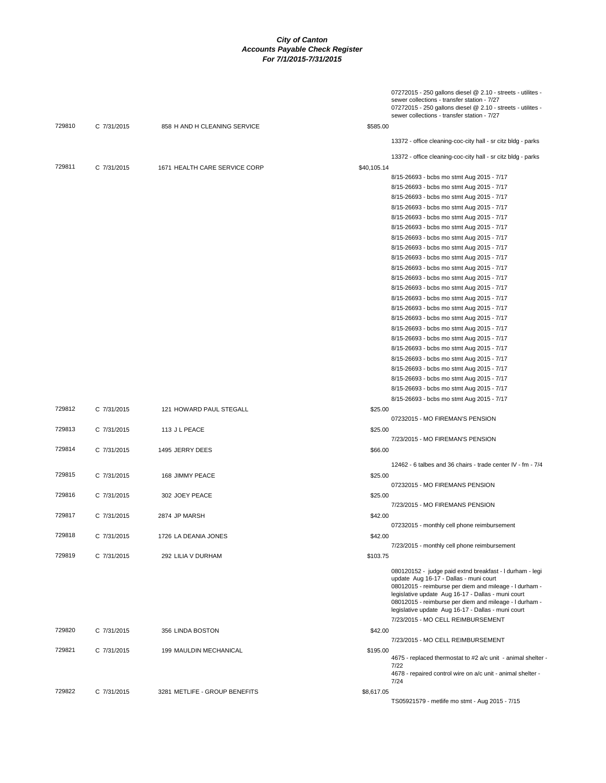|        |             |                               | 07272015 - 250 gallons diesel @ 2.10 - streets - utilites -<br>sewer collections - transfer station - 7/27<br>07272015 - 250 gallons diesel @ 2.10 - streets - utilites -<br>sewer collections - transfer station - 7/27                                                                                                                                                |
|--------|-------------|-------------------------------|-------------------------------------------------------------------------------------------------------------------------------------------------------------------------------------------------------------------------------------------------------------------------------------------------------------------------------------------------------------------------|
| 729810 | C 7/31/2015 | 858 H AND H CLEANING SERVICE  | \$585.00                                                                                                                                                                                                                                                                                                                                                                |
|        |             |                               | 13372 - office cleaning-coc-city hall - sr citz bldg - parks                                                                                                                                                                                                                                                                                                            |
|        |             |                               | 13372 - office cleaning-coc-city hall - sr citz bldg - parks                                                                                                                                                                                                                                                                                                            |
| 729811 | C 7/31/2015 | 1671 HEALTH CARE SERVICE CORP | \$40,105.14                                                                                                                                                                                                                                                                                                                                                             |
|        |             |                               | 8/15-26693 - bcbs mo stmt Aug 2015 - 7/17                                                                                                                                                                                                                                                                                                                               |
|        |             |                               | 8/15-26693 - bcbs mo stmt Aug 2015 - 7/17                                                                                                                                                                                                                                                                                                                               |
|        |             |                               | 8/15-26693 - bcbs mo stmt Aug 2015 - 7/17                                                                                                                                                                                                                                                                                                                               |
|        |             |                               | 8/15-26693 - bcbs mo stmt Aug 2015 - 7/17                                                                                                                                                                                                                                                                                                                               |
|        |             |                               | 8/15-26693 - bcbs mo stmt Aug 2015 - 7/17                                                                                                                                                                                                                                                                                                                               |
|        |             |                               | 8/15-26693 - bcbs mo stmt Aug 2015 - 7/17<br>8/15-26693 - bcbs mo stmt Aug 2015 - 7/17                                                                                                                                                                                                                                                                                  |
|        |             |                               |                                                                                                                                                                                                                                                                                                                                                                         |
|        |             |                               | 8/15-26693 - bcbs mo stmt Aug 2015 - 7/17<br>8/15-26693 - bcbs mo stmt Aug 2015 - 7/17                                                                                                                                                                                                                                                                                  |
|        |             |                               | 8/15-26693 - bcbs mo stmt Aug 2015 - 7/17                                                                                                                                                                                                                                                                                                                               |
|        |             |                               | 8/15-26693 - bcbs mo stmt Aug 2015 - 7/17                                                                                                                                                                                                                                                                                                                               |
|        |             |                               | 8/15-26693 - bcbs mo stmt Aug 2015 - 7/17                                                                                                                                                                                                                                                                                                                               |
|        |             |                               | 8/15-26693 - bcbs mo stmt Aug 2015 - 7/17                                                                                                                                                                                                                                                                                                                               |
|        |             |                               | 8/15-26693 - bcbs mo stmt Aug 2015 - 7/17                                                                                                                                                                                                                                                                                                                               |
|        |             |                               | 8/15-26693 - bcbs mo stmt Aug 2015 - 7/17                                                                                                                                                                                                                                                                                                                               |
|        |             |                               | 8/15-26693 - bcbs mo stmt Aug 2015 - 7/17                                                                                                                                                                                                                                                                                                                               |
|        |             |                               | 8/15-26693 - bcbs mo stmt Aug 2015 - 7/17                                                                                                                                                                                                                                                                                                                               |
|        |             |                               | 8/15-26693 - bcbs mo stmt Aug 2015 - 7/17                                                                                                                                                                                                                                                                                                                               |
|        |             |                               | 8/15-26693 - bcbs mo stmt Aug 2015 - 7/17                                                                                                                                                                                                                                                                                                                               |
|        |             |                               | 8/15-26693 - bcbs mo stmt Aug 2015 - 7/17                                                                                                                                                                                                                                                                                                                               |
|        |             |                               | 8/15-26693 - bcbs mo stmt Aug 2015 - 7/17                                                                                                                                                                                                                                                                                                                               |
|        |             |                               | 8/15-26693 - bcbs mo stmt Aug 2015 - 7/17                                                                                                                                                                                                                                                                                                                               |
|        |             |                               | 8/15-26693 - bcbs mo stmt Aug 2015 - 7/17                                                                                                                                                                                                                                                                                                                               |
| 729812 | C 7/31/2015 | 121 HOWARD PAUL STEGALL       | \$25.00                                                                                                                                                                                                                                                                                                                                                                 |
|        |             |                               | 07232015 - MO FIREMAN'S PENSION                                                                                                                                                                                                                                                                                                                                         |
| 729813 | C 7/31/2015 | 113 J L PEACE                 | \$25.00                                                                                                                                                                                                                                                                                                                                                                 |
|        |             |                               | 7/23/2015 - MO FIREMAN'S PENSION                                                                                                                                                                                                                                                                                                                                        |
| 729814 | C 7/31/2015 | 1495 JERRY DEES               | \$66.00                                                                                                                                                                                                                                                                                                                                                                 |
|        |             |                               | 12462 - 6 talbes and 36 chairs - trade center IV - fm - 7/4                                                                                                                                                                                                                                                                                                             |
| 729815 | C 7/31/2015 | 168 JIMMY PEACE               | \$25.00                                                                                                                                                                                                                                                                                                                                                                 |
|        |             |                               | 07232015 - MO FIREMANS PENSION                                                                                                                                                                                                                                                                                                                                          |
| 729816 | C 7/31/2015 | 302 JOEY PEACE                | \$25.00                                                                                                                                                                                                                                                                                                                                                                 |
|        |             |                               | 7/23/2015 - MO FIREMANS PENSION                                                                                                                                                                                                                                                                                                                                         |
| 729817 | C 7/31/2015 | 2874 JP MARSH                 | \$42.00                                                                                                                                                                                                                                                                                                                                                                 |
|        |             |                               | 07232015 - monthly cell phone reimbursement                                                                                                                                                                                                                                                                                                                             |
| 729818 | C 7/31/2015 | 1726 LA DEANIA JONES          | \$42.00                                                                                                                                                                                                                                                                                                                                                                 |
|        |             |                               | 7/23/2015 - monthly cell phone reimbursement                                                                                                                                                                                                                                                                                                                            |
| 729819 | C 7/31/2015 | 292 LILIA V DURHAM            | \$103.75                                                                                                                                                                                                                                                                                                                                                                |
|        |             |                               | 080120152 - judge paid extnd breakfast - I durham - legi<br>update Aug 16-17 - Dallas - muni court<br>08012015 - reimburse per diem and mileage - I durham -<br>legislative update Aug 16-17 - Dallas - muni court<br>08012015 - reimburse per diem and mileage - I durham -<br>legislative update Aug 16-17 - Dallas - muni court<br>7/23/2015 - MO CELL REIMBURSEMENT |
| 729820 | C 7/31/2015 | 356 LINDA BOSTON              | \$42.00                                                                                                                                                                                                                                                                                                                                                                 |
|        |             |                               | 7/23/2015 - MO CELL REIMBURSEMENT                                                                                                                                                                                                                                                                                                                                       |
| 729821 | C 7/31/2015 | 199 MAULDIN MECHANICAL        | \$195.00                                                                                                                                                                                                                                                                                                                                                                |
|        |             |                               | 4675 - replaced thermostat to #2 a/c unit - animal shelter -<br>7/22                                                                                                                                                                                                                                                                                                    |
|        |             |                               | 4678 - repaired control wire on a/c unit - animal shelter -<br>7/24                                                                                                                                                                                                                                                                                                     |
| 729822 | C 7/31/2015 | 3281 METLIFE - GROUP BENEFITS | \$8,617.05                                                                                                                                                                                                                                                                                                                                                              |
|        |             |                               | TS05921579 - metlife mo stmt - Aug 2015 - 7/15                                                                                                                                                                                                                                                                                                                          |
|        |             |                               |                                                                                                                                                                                                                                                                                                                                                                         |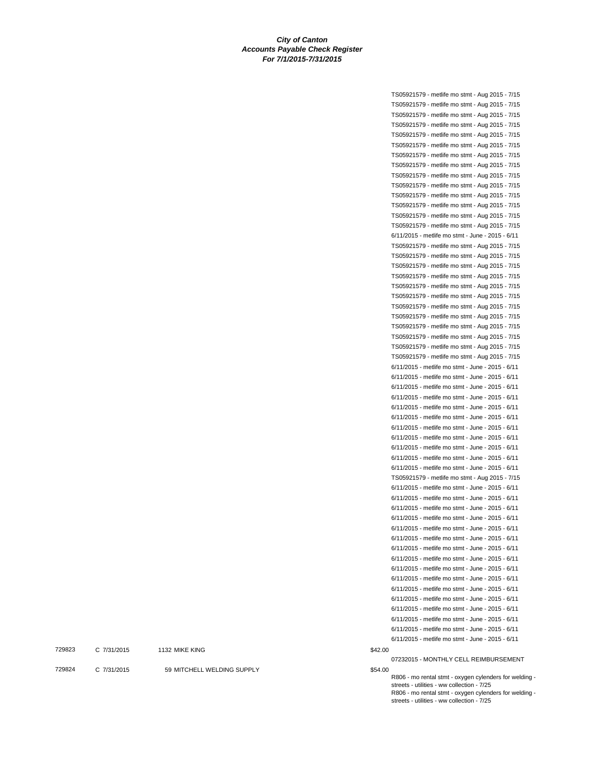|    | TS05921579 - metlife mo stmt - Aug 2015 - 7/15                                                       |
|----|------------------------------------------------------------------------------------------------------|
|    | TS05921579 - metlife mo stmt - Aug 2015 - 7/15                                                       |
|    | TS05921579 - metlife mo stmt - Aug 2015 - 7/15                                                       |
|    | TS05921579 - metlife mo stmt - Aug 2015 - 7/15                                                       |
|    | TS05921579 - metlife mo stmt - Aug 2015 - 7/15                                                       |
|    | TS05921579 - metlife mo stmt - Aug 2015 - 7/15                                                       |
|    | TS05921579 - metlife mo stmt - Aug 2015 - 7/15                                                       |
|    | TS05921579 - metlife mo stmt - Aug 2015 - 7/15                                                       |
|    | TS05921579 - metlife mo stmt - Aug 2015 - 7/15                                                       |
|    | TS05921579 - metlife mo stmt - Aug 2015 - 7/15                                                       |
|    | TS05921579 - metlife mo stmt - Aug 2015 - 7/15                                                       |
|    | TS05921579 - metlife mo stmt - Aug 2015 - 7/15                                                       |
|    | TS05921579 - metlife mo stmt - Aug 2015 - 7/15                                                       |
|    | TS05921579 - metlife mo stmt - Aug 2015 - 7/15                                                       |
|    | 6/11/2015 - metlife mo stmt - June - 2015 - 6/11                                                     |
|    | TS05921579 - metlife mo stmt - Aug 2015 - 7/15                                                       |
|    | TS05921579 - metlife mo stmt - Aug 2015 - 7/15                                                       |
|    | TS05921579 - metlife mo stmt - Aug 2015 - 7/15                                                       |
|    | TS05921579 - metlife mo stmt - Aug 2015 - 7/15                                                       |
|    | TS05921579 - metlife mo stmt - Aug 2015 - 7/15                                                       |
|    | TS05921579 - metlife mo stmt - Aug 2015 - 7/15                                                       |
|    | TS05921579 - metlife mo stmt - Aug 2015 - 7/15                                                       |
|    | TS05921579 - metlife mo stmt - Aug 2015 - 7/15                                                       |
|    | TS05921579 - metlife mo stmt - Aug 2015 - 7/15                                                       |
|    | TS05921579 - metlife mo stmt - Aug 2015 - 7/15                                                       |
|    | TS05921579 - metlife mo stmt - Aug 2015 - 7/15                                                       |
|    | TS05921579 - metlife mo stmt - Aug 2015 - 7/15                                                       |
|    | 6/11/2015 - metlife mo stmt - June - 2015 - 6/11                                                     |
|    | 6/11/2015 - metlife mo stmt - June - 2015 - 6/11                                                     |
|    | 6/11/2015 - metlife mo stmt - June - 2015 - 6/11                                                     |
|    | 6/11/2015 - metlife mo stmt - June - 2015 - 6/11                                                     |
|    | 6/11/2015 - metlife mo stmt - June - 2015 - 6/11                                                     |
|    | 6/11/2015 - metlife mo stmt - June - 2015 - 6/11                                                     |
|    | 6/11/2015 - metlife mo stmt - June - 2015 - 6/11                                                     |
|    | 6/11/2015 - metlife mo stmt - June - 2015 - 6/11                                                     |
|    | 6/11/2015 - metlife mo stmt - June - 2015 - 6/11                                                     |
|    | 6/11/2015 - metlife mo stmt - June - 2015 - 6/11                                                     |
|    | 6/11/2015 - metlife mo stmt - June - 2015 - 6/11                                                     |
|    | TS05921579 - metlife mo stmt - Aug 2015 - 7/15                                                       |
|    | 6/11/2015 - metlife mo stmt - June - 2015 - 6/11                                                     |
|    | 6/11/2015 - metlife mo stmt - June - 2015 - 6/11                                                     |
|    | 6/11/2015 - metlife mo stmt - June - 2015 - 6/11                                                     |
|    | 6/11/2015 - metlife mo stmt - June - 2015 - 6/11                                                     |
|    | 6/11/2015 - metlife mo stmt - June - 2015 - 6/11                                                     |
|    | 6/11/2015 - metlife mo stmt - June - 2015 - 6/11                                                     |
|    | 6/11/2015 - metlife mo stmt - June - 2015 - 6/11                                                     |
|    | 6/11/2015 - metlife mo stmt - June - 2015 - 6/11                                                     |
|    |                                                                                                      |
|    | 6/11/2015 - metlife mo stmt - June - 2015 - 6/11<br>6/11/2015 - metlife mo stmt - June - 2015 - 6/11 |
|    | 6/11/2015 - metlife mo stmt - June - 2015 - 6/11                                                     |
|    | 6/11/2015 - metlife mo stmt - June - 2015 - 6/11                                                     |
|    |                                                                                                      |
|    | 6/11/2015 - metlife mo stmt - June - 2015 - 6/11<br>6/11/2015 - metlife mo stmt - June - 2015 - 6/11 |
|    |                                                                                                      |
|    | 6/11/2015 - metlife mo stmt - June - 2015 - 6/11<br>6/11/2015 - metlife mo stmt - June - 2015 - 6/11 |
|    |                                                                                                      |
| 00 |                                                                                                      |

729823 C 7/31/2015 1132 MIKE KING 1999 12:00 12:00 12:00 12:00 13:00 14:00 14:00 15:00 17:00 17:00 17:00 17:00

729824 C 7/31/2015 59 MITCHELL WELDING SUPPLY

07232015 - MONTHLY CELL REIMBURSEMENT

R806 - mo rental stmt - oxygen cylenders for welding - streets - utilities - ww collection - 7/25 R806 - mo rental stmt - oxygen cylenders for welding - streets - utilities - ww collection - 7/25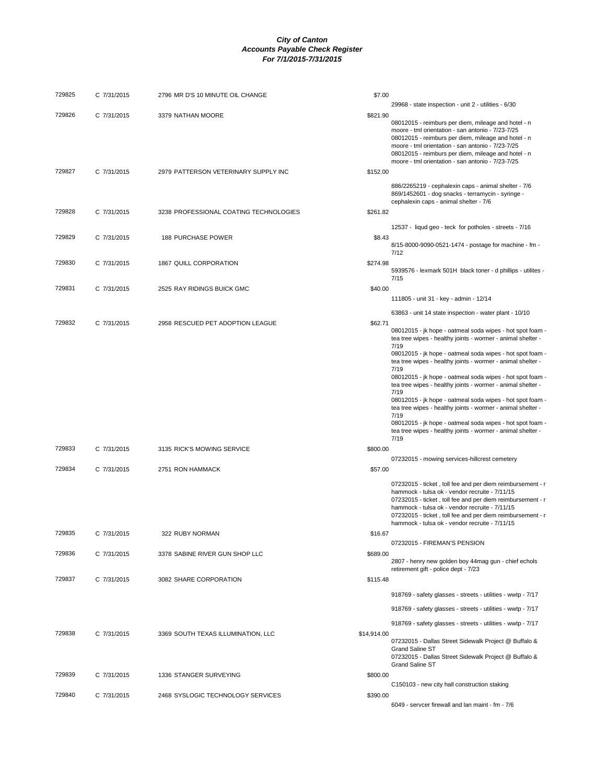| 729825 | C 7/31/2015 | 2796 MR D'S 10 MINUTE OIL CHANGE       | \$7.00      |                                                                                                                                                                                                                                                                                                                                              |
|--------|-------------|----------------------------------------|-------------|----------------------------------------------------------------------------------------------------------------------------------------------------------------------------------------------------------------------------------------------------------------------------------------------------------------------------------------------|
| 729826 | C 7/31/2015 | 3379 NATHAN MOORE                      | \$821.90    | 29968 - state inspection - unit 2 - utilities - 6/30                                                                                                                                                                                                                                                                                         |
|        |             |                                        |             | 08012015 - reimburs per diem, mileage and hotel - n<br>moore - tml orientation - san antonio - 7/23-7/25<br>08012015 - reimburs per diem, mileage and hotel - n<br>moore - tml orientation - san antonio - 7/23-7/25<br>08012015 - reimburs per diem, mileage and hotel - n<br>moore - tml orientation - san antonio - 7/23-7/25             |
| 729827 | C 7/31/2015 | 2979 PATTERSON VETERINARY SUPPLY INC   | \$152.00    |                                                                                                                                                                                                                                                                                                                                              |
|        |             |                                        |             | 886/2265219 - cephalexin caps - animal shelter - 7/6<br>869/1452601 - dog snacks - terramycin - syringe -<br>cephalexin caps - animal shelter - 7/6                                                                                                                                                                                          |
| 729828 | C 7/31/2015 | 3238 PROFESSIONAL COATING TECHNOLOGIES | \$261.82    |                                                                                                                                                                                                                                                                                                                                              |
| 729829 |             |                                        | \$8.43      | 12537 - liqud geo - teck for potholes - streets - 7/16                                                                                                                                                                                                                                                                                       |
|        | C 7/31/2015 | <b>188 PURCHASE POWER</b>              |             | 8/15-8000-9090-0521-1474 - postage for machine - fm -<br>7/12                                                                                                                                                                                                                                                                                |
| 729830 | C 7/31/2015 | 1867 QUILL CORPORATION                 | \$274.98    | 5939576 - lexmark 501H black toner - d phillips - utilites -<br>7/15                                                                                                                                                                                                                                                                         |
| 729831 | C 7/31/2015 | 2525 RAY RIDINGS BUICK GMC             | \$40.00     | 111805 - unit 31 - key - admin - 12/14                                                                                                                                                                                                                                                                                                       |
|        |             |                                        |             | 63863 - unit 14 state inspection - water plant - 10/10                                                                                                                                                                                                                                                                                       |
| 729832 | C 7/31/2015 | 2958 RESCUED PET ADOPTION LEAGUE       | \$62.71     | 08012015 - jk hope - oatmeal soda wipes - hot spot foam -<br>tea tree wipes - healthy joints - wormer - animal shelter -<br>7/19                                                                                                                                                                                                             |
|        |             |                                        |             | 08012015 - jk hope - oatmeal soda wipes - hot spot foam -<br>tea tree wipes - healthy joints - wormer - animal shelter -<br>7/19                                                                                                                                                                                                             |
|        |             |                                        |             | 08012015 - jk hope - oatmeal soda wipes - hot spot foam -<br>tea tree wipes - healthy joints - wormer - animal shelter -<br>7/19                                                                                                                                                                                                             |
|        |             |                                        |             | 08012015 - jk hope - oatmeal soda wipes - hot spot foam -<br>tea tree wipes - healthy joints - wormer - animal shelter -<br>7/19<br>08012015 - jk hope - oatmeal soda wipes - hot spot foam -<br>tea tree wipes - healthy joints - wormer - animal shelter -                                                                                 |
| 729833 | C 7/31/2015 | 3135 RICK'S MOWING SERVICE             | \$800.00    | 7/19                                                                                                                                                                                                                                                                                                                                         |
|        |             |                                        |             | 07232015 - mowing services-hillcrest cemetery                                                                                                                                                                                                                                                                                                |
| 729834 | C 7/31/2015 | 2751 RON HAMMACK                       | \$57.00     |                                                                                                                                                                                                                                                                                                                                              |
|        |             |                                        |             | 07232015 - ticket, toll fee and per diem reimbursement - r<br>hammock - tulsa ok - vendor recruite - 7/11/15<br>07232015 - ticket, toll fee and per diem reimbursement - r<br>hammock - tulsa ok - vendor recruite - 7/11/15<br>07232015 - ticket, toll fee and per diem reimbursement - r<br>hammock - tulsa ok - vendor recruite - 7/11/15 |
| 729835 | C 7/31/2015 | 322 RUBY NORMAN                        | \$16.67     |                                                                                                                                                                                                                                                                                                                                              |
| 729836 | C 7/31/2015 | 3378 SABINE RIVER GUN SHOP LLC         | \$689.00    | 07232015 - FIREMAN'S PENSION                                                                                                                                                                                                                                                                                                                 |
|        |             |                                        |             | 2807 - henry new golden boy 44mag gun - chief echols<br>retirement gift - police dept - 7/23                                                                                                                                                                                                                                                 |
| 729837 | C 7/31/2015 | 3082 SHARE CORPORATION                 | \$115.48    |                                                                                                                                                                                                                                                                                                                                              |
|        |             |                                        |             | 918769 - safety glasses - streets - utilities - wwtp - 7/17                                                                                                                                                                                                                                                                                  |
|        |             |                                        |             | 918769 - safety glasses - streets - utilities - wwtp - 7/17                                                                                                                                                                                                                                                                                  |
| 729838 | C 7/31/2015 | 3369 SOUTH TEXAS ILLUMINATION, LLC     | \$14,914.00 | 918769 - safety glasses - streets - utilities - wwtp - 7/17                                                                                                                                                                                                                                                                                  |
|        |             |                                        |             | 07232015 - Dallas Street Sidewalk Project @ Buffalo &<br>Grand Saline ST<br>07232015 - Dallas Street Sidewalk Project @ Buffalo &                                                                                                                                                                                                            |
| 729839 | C 7/31/2015 | 1336 STANGER SURVEYING                 | \$800.00    | Grand Saline ST                                                                                                                                                                                                                                                                                                                              |
|        |             |                                        |             | C150103 - new city hall construction staking                                                                                                                                                                                                                                                                                                 |
| 729840 | C 7/31/2015 | 2468 SYSLOGIC TECHNOLOGY SERVICES      | \$390.00    | 6049 - servcer firewall and lan maint - fm - 7/6                                                                                                                                                                                                                                                                                             |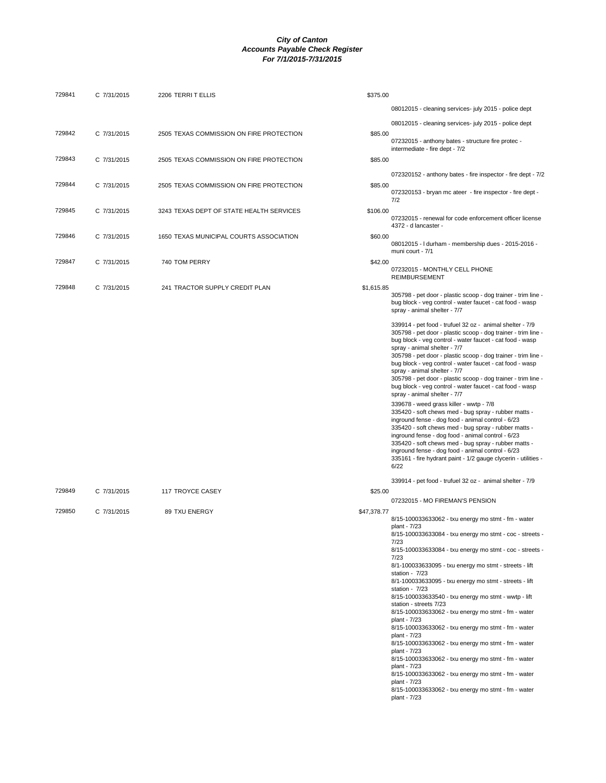| 729841 | C 7/31/2015 | 2206 TERRIT ELLIS                        | \$375.00    |                                                                                                                                                                                                                                                                                                                                                                                                                                                                                                                                                                                                                                                                                                                                                                                                                                                                                                   |
|--------|-------------|------------------------------------------|-------------|---------------------------------------------------------------------------------------------------------------------------------------------------------------------------------------------------------------------------------------------------------------------------------------------------------------------------------------------------------------------------------------------------------------------------------------------------------------------------------------------------------------------------------------------------------------------------------------------------------------------------------------------------------------------------------------------------------------------------------------------------------------------------------------------------------------------------------------------------------------------------------------------------|
|        |             |                                          |             | 08012015 - cleaning services- july 2015 - police dept                                                                                                                                                                                                                                                                                                                                                                                                                                                                                                                                                                                                                                                                                                                                                                                                                                             |
|        |             |                                          |             | 08012015 - cleaning services- july 2015 - police dept                                                                                                                                                                                                                                                                                                                                                                                                                                                                                                                                                                                                                                                                                                                                                                                                                                             |
| 729842 | C 7/31/2015 | 2505 TEXAS COMMISSION ON FIRE PROTECTION | \$85.00     | 07232015 - anthony bates - structure fire protec -<br>intermediate - fire dept - 7/2                                                                                                                                                                                                                                                                                                                                                                                                                                                                                                                                                                                                                                                                                                                                                                                                              |
| 729843 | C 7/31/2015 | 2505 TEXAS COMMISSION ON FIRE PROTECTION | \$85.00     |                                                                                                                                                                                                                                                                                                                                                                                                                                                                                                                                                                                                                                                                                                                                                                                                                                                                                                   |
|        |             |                                          |             | 072320152 - anthony bates - fire inspector - fire dept - 7/2                                                                                                                                                                                                                                                                                                                                                                                                                                                                                                                                                                                                                                                                                                                                                                                                                                      |
| 729844 | C 7/31/2015 | 2505 TEXAS COMMISSION ON FIRE PROTECTION | \$85.00     | 072320153 - bryan mc ateer - fire inspector - fire dept -<br>7/2                                                                                                                                                                                                                                                                                                                                                                                                                                                                                                                                                                                                                                                                                                                                                                                                                                  |
| 729845 | C 7/31/2015 | 3243 TEXAS DEPT OF STATE HEALTH SERVICES | \$106.00    | 07232015 - renewal for code enforcement officer license<br>4372 - d lancaster -                                                                                                                                                                                                                                                                                                                                                                                                                                                                                                                                                                                                                                                                                                                                                                                                                   |
| 729846 | C 7/31/2015 | 1650 TEXAS MUNICIPAL COURTS ASSOCIATION  | \$60.00     | 08012015 - I durham - membership dues - 2015-2016 -<br>muni court - 7/1                                                                                                                                                                                                                                                                                                                                                                                                                                                                                                                                                                                                                                                                                                                                                                                                                           |
| 729847 | C 7/31/2015 | 740 TOM PERRY                            | \$42.00     | 07232015 - MONTHLY CELL PHONE<br><b>REIMBURSEMENT</b>                                                                                                                                                                                                                                                                                                                                                                                                                                                                                                                                                                                                                                                                                                                                                                                                                                             |
| 729848 | C 7/31/2015 | 241 TRACTOR SUPPLY CREDIT PLAN           | \$1,615.85  | 305798 - pet door - plastic scoop - dog trainer - trim line -<br>bug block - veg control - water faucet - cat food - wasp<br>spray - animal shelter - 7/7                                                                                                                                                                                                                                                                                                                                                                                                                                                                                                                                                                                                                                                                                                                                         |
|        |             |                                          |             | 339914 - pet food - trufuel 32 oz - animal shelter - 7/9<br>305798 - pet door - plastic scoop - dog trainer - trim line -<br>bug block - veg control - water faucet - cat food - wasp<br>spray - animal shelter - 7/7<br>305798 - pet door - plastic scoop - dog trainer - trim line -<br>bug block - veg control - water faucet - cat food - wasp<br>spray - animal shelter - 7/7<br>305798 - pet door - plastic scoop - dog trainer - trim line -<br>bug block - veg control - water faucet - cat food - wasp<br>spray - animal shelter - 7/7                                                                                                                                                                                                                                                                                                                                                   |
|        |             |                                          |             | 339678 - weed grass killer - wwtp - 7/8<br>335420 - soft chews med - bug spray - rubber matts -<br>inground fense - dog food - animal control - 6/23<br>335420 - soft chews med - bug spray - rubber matts -<br>inground fense - dog food - animal control - 6/23<br>335420 - soft chews med - bug spray - rubber matts -<br>inground fense - dog food - animal control - 6/23<br>335161 - fire hydrant paint - 1/2 gauge clycerin - utilities -<br>6/22                                                                                                                                                                                                                                                                                                                                                                                                                                          |
| 729849 | C 7/31/2015 | 117 TROYCE CASEY                         | \$25.00     | 339914 - pet food - trufuel 32 oz - animal shelter - 7/9                                                                                                                                                                                                                                                                                                                                                                                                                                                                                                                                                                                                                                                                                                                                                                                                                                          |
|        |             |                                          |             | 07232015 - MO FIREMAN'S PENSION                                                                                                                                                                                                                                                                                                                                                                                                                                                                                                                                                                                                                                                                                                                                                                                                                                                                   |
| 729850 | C 7/31/2015 | 89 TXU ENERGY                            | \$47,378.77 | 8/15-100033633062 - txu energy mo stmt - fm - water<br>plant - 7/23<br>8/15-100033633084 - txu energy mo stmt - coc - streets -<br>7/23<br>8/15-100033633084 - txu energy mo stmt - coc - streets -<br>7/23<br>8/1-100033633095 - txu energy mo stmt - streets - lift<br>station - $7/23$<br>8/1-100033633095 - txu energy mo stmt - streets - lift<br>station - 7/23<br>8/15-100033633540 - txu energy mo stmt - wwtp - lift<br>station - streets 7/23<br>8/15-100033633062 - txu energy mo stmt - fm - water<br>plant - 7/23<br>8/15-100033633062 - txu energy mo stmt - fm - water<br>plant - 7/23<br>8/15-100033633062 - txu energy mo stmt - fm - water<br>plant - 7/23<br>8/15-100033633062 - txu energy mo stmt - fm - water<br>plant - 7/23<br>8/15-100033633062 - txu energy mo stmt - fm - water<br>plant - 7/23<br>8/15-100033633062 - txu energy mo stmt - fm - water<br>plant - 7/23 |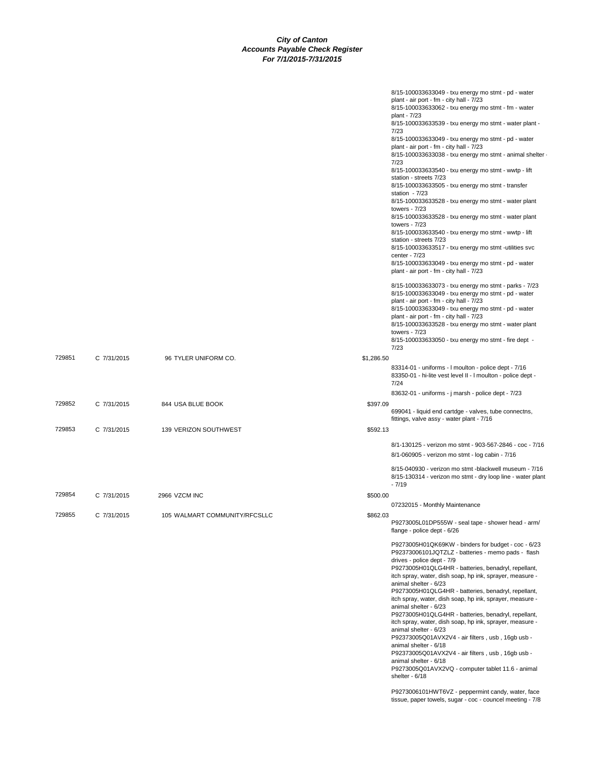|             |                               | 8/15-100033633049 - txu energy mo stmt - pd - water<br>plant - air port - fm - city hall - 7/23<br>8/15-100033633062 - txu energy mo stmt - fm - water<br>plant - 7/23<br>8/15-100033633539 - txu energy mo stmt - water plant -<br>7/23<br>8/15-100033633049 - txu energy mo stmt - pd - water<br>plant - air port - fm - city hall - 7/23<br>8/15-100033633038 - txu energy mo stmt - animal shelter ·<br>7/23<br>8/15-100033633540 - txu energy mo stmt - wwtp - lift<br>station - streets 7/23<br>8/15-100033633505 - txu energy mo stmt - transfer<br>station - 7/23<br>8/15-100033633528 - txu energy mo stmt - water plant<br>towers - $7/23$<br>8/15-100033633528 - txu energy mo stmt - water plant                                                                                                                                                        |
|-------------|-------------------------------|---------------------------------------------------------------------------------------------------------------------------------------------------------------------------------------------------------------------------------------------------------------------------------------------------------------------------------------------------------------------------------------------------------------------------------------------------------------------------------------------------------------------------------------------------------------------------------------------------------------------------------------------------------------------------------------------------------------------------------------------------------------------------------------------------------------------------------------------------------------------|
|             |                               | towers - $7/23$<br>8/15-100033633540 - txu energy mo stmt - wwtp - lift<br>station - streets 7/23<br>8/15-100033633517 - txu energy mo stmt -utilities svc<br>center - 7/23                                                                                                                                                                                                                                                                                                                                                                                                                                                                                                                                                                                                                                                                                         |
|             |                               | 8/15-100033633049 - txu energy mo stmt - pd - water<br>plant - air port - fm - city hall - 7/23<br>8/15-100033633073 - txu energy mo stmt - parks - 7/23<br>8/15-100033633049 - txu energy mo stmt - pd - water                                                                                                                                                                                                                                                                                                                                                                                                                                                                                                                                                                                                                                                     |
|             |                               | plant - air port - fm - city hall - 7/23<br>8/15-100033633049 - txu energy mo stmt - pd - water<br>plant - air port - fm - city hall - 7/23<br>8/15-100033633528 - txu energy mo stmt - water plant<br>towers - $7/23$<br>8/15-100033633050 - txu energy mo stmt - fire dept -<br>7/23                                                                                                                                                                                                                                                                                                                                                                                                                                                                                                                                                                              |
| C 7/31/2015 | 96 TYLER UNIFORM CO.          | \$1,286.50<br>83314-01 - uniforms - I moulton - police dept - 7/16<br>83350-01 - hi-lite vest level II - I moulton - police dept -<br>7/24                                                                                                                                                                                                                                                                                                                                                                                                                                                                                                                                                                                                                                                                                                                          |
| C 7/31/2015 | 844 USA BLUE BOOK             | 83632-01 - uniforms - j marsh - police dept - 7/23<br>\$397.09<br>699041 - liquid end cartdge - valves, tube connectns,                                                                                                                                                                                                                                                                                                                                                                                                                                                                                                                                                                                                                                                                                                                                             |
| C 7/31/2015 | 139 VERIZON SOUTHWEST         | fittings, valve assy - water plant - 7/16<br>\$592.13                                                                                                                                                                                                                                                                                                                                                                                                                                                                                                                                                                                                                                                                                                                                                                                                               |
|             |                               | 8/1-130125 - verizon mo stmt - 903-567-2846 - coc - 7/16                                                                                                                                                                                                                                                                                                                                                                                                                                                                                                                                                                                                                                                                                                                                                                                                            |
|             |                               | 8/1-060905 - verizon mo stmt - log cabin - 7/16                                                                                                                                                                                                                                                                                                                                                                                                                                                                                                                                                                                                                                                                                                                                                                                                                     |
|             |                               | 8/15-040930 - verizon mo stmt -blackwell museum - 7/16<br>8/15-130314 - verizon mo stmt - dry loop line - water plant<br>$-7/19$                                                                                                                                                                                                                                                                                                                                                                                                                                                                                                                                                                                                                                                                                                                                    |
| C 7/31/2015 | 2966 VZCM INC                 | \$500.00<br>07232015 - Monthly Maintenance                                                                                                                                                                                                                                                                                                                                                                                                                                                                                                                                                                                                                                                                                                                                                                                                                          |
| C 7/31/2015 | 105 WALMART COMMUNITY/RFCSLLC | \$862.03<br>P9273005L01DP555W - seal tape - shower head - arm/<br>flange - police dept - 6/26                                                                                                                                                                                                                                                                                                                                                                                                                                                                                                                                                                                                                                                                                                                                                                       |
|             |                               | P9273005H01QK69KW - binders for budget - coc - 6/23<br>P92373006101JQTZLZ - batteries - memo pads - flash<br>drives - police dept - 7/9<br>P9273005H01QLG4HR - batteries, benadryl, repellant,<br>itch spray, water, dish soap, hp ink, sprayer, measure -<br>animal shelter - 6/23<br>P9273005H01QLG4HR - batteries, benadryl, repellant,<br>itch spray, water, dish soap, hp ink, sprayer, measure -<br>animal shelter - 6/23<br>P9273005H01QLG4HR - batteries, benadryl, repellant,<br>itch spray, water, dish soap, hp ink, sprayer, measure -<br>animal shelter - 6/23<br>P92373005Q01AVX2V4 - air filters, usb, 16gb usb -<br>animal shelter - 6/18<br>P92373005Q01AVX2V4 - air filters, usb, 16gb usb -<br>animal shelter - 6/18<br>P9273005Q01AVX2VQ - computer tablet 11.6 - animal<br>shelter - 6/18<br>P9273006101HWT6VZ - peppermint candy, water, face |
|             |                               |                                                                                                                                                                                                                                                                                                                                                                                                                                                                                                                                                                                                                                                                                                                                                                                                                                                                     |